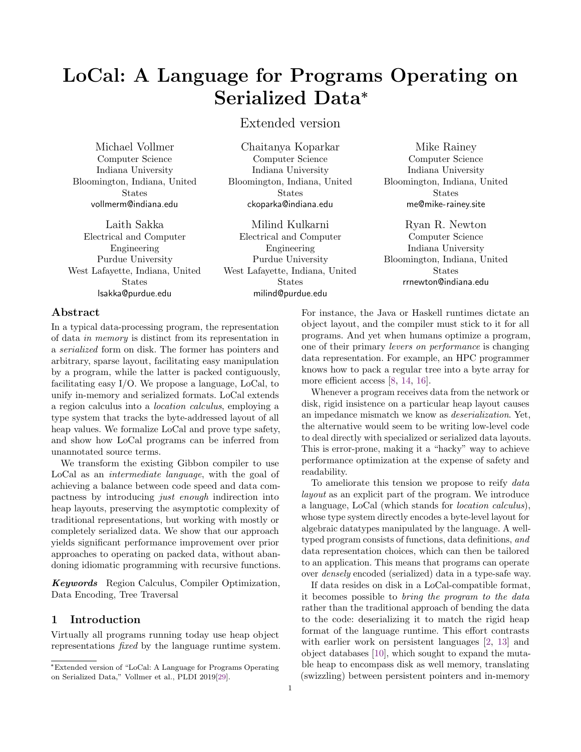# LoCal: A Language for Programs Operating on Serialized Data<sup>∗</sup>

Extended version

Michael Vollmer Computer Science Indiana University Bloomington, Indiana, United States vollmerm@indiana.edu

Laith Sakka Electrical and Computer Engineering Purdue University West Lafayette, Indiana, United States lsakka@purdue.edu

Chaitanya Koparkar Computer Science Indiana University Bloomington, Indiana, United States ckoparka@indiana.edu

Milind Kulkarni Electrical and Computer Engineering Purdue University West Lafayette, Indiana, United States milind@purdue.edu

Mike Rainey Computer Science Indiana University Bloomington, Indiana, United States me@mike-rainey.site

Ryan R. Newton Computer Science Indiana University Bloomington, Indiana, United States rrnewton@indiana.edu

# Abstract

In a typical data-processing program, the representation of data in memory is distinct from its representation in a serialized form on disk. The former has pointers and arbitrary, sparse layout, facilitating easy manipulation by a program, while the latter is packed contiguously, facilitating easy I/O. We propose a language, LoCal, to unify in-memory and serialized formats. LoCal extends a region calculus into a location calculus, employing a type system that tracks the byte-addressed layout of all heap values. We formalize LoCal and prove type safety, and show how LoCal programs can be inferred from unannotated source terms.

We transform the existing Gibbon compiler to use LoCal as an intermediate language, with the goal of achieving a balance between code speed and data compactness by introducing just enough indirection into heap layouts, preserving the asymptotic complexity of traditional representations, but working with mostly or completely serialized data. We show that our approach yields significant performance improvement over prior approaches to operating on packed data, without abandoning idiomatic programming with recursive functions.

Keywords Region Calculus, Compiler Optimization, Data Encoding, Tree Traversal

## 1 Introduction

Virtually all programs running today use heap object representations fixed by the language runtime system. For instance, the Java or Haskell runtimes dictate an object layout, and the compiler must stick to it for all programs. And yet when humans optimize a program, one of their primary levers on performance is changing data representation. For example, an HPC programmer knows how to pack a regular tree into a byte array for more efficient access [\[8,](#page-14-0) [14,](#page-14-1) [16\]](#page-15-1).

Whenever a program receives data from the network or disk, rigid insistence on a particular heap layout causes an impedance mismatch we know as deserialization. Yet, the alternative would seem to be writing low-level code to deal directly with specialized or serialized data layouts. This is error-prone, making it a "hacky" way to achieve performance optimization at the expense of safety and readability.

To ameliorate this tension we propose to reify data layout as an explicit part of the program. We introduce a language, LoCal (which stands for location calculus), whose type system directly encodes a byte-level layout for algebraic datatypes manipulated by the language. A welltyped program consists of functions, data definitions, and data representation choices, which can then be tailored to an application. This means that programs can operate over densely encoded (serialized) data in a type-safe way.

If data resides on disk in a LoCal-compatible format, it becomes possible to bring the program to the data rather than the traditional approach of bending the data to the code: deserializing it to match the rigid heap format of the language runtime. This effort contrasts with earlier work on persistent languages [\[2,](#page-14-2) [13\]](#page-14-3) and object databases [\[10\]](#page-14-4), which sought to expand the mutable heap to encompass disk as well memory, translating (swizzling) between persistent pointers and in-memory

<sup>∗</sup>Extended version of "LoCal: A Language for Programs Operating on Serialized Data," Vollmer et al., PLDI 2019[\[29\]](#page-15-0).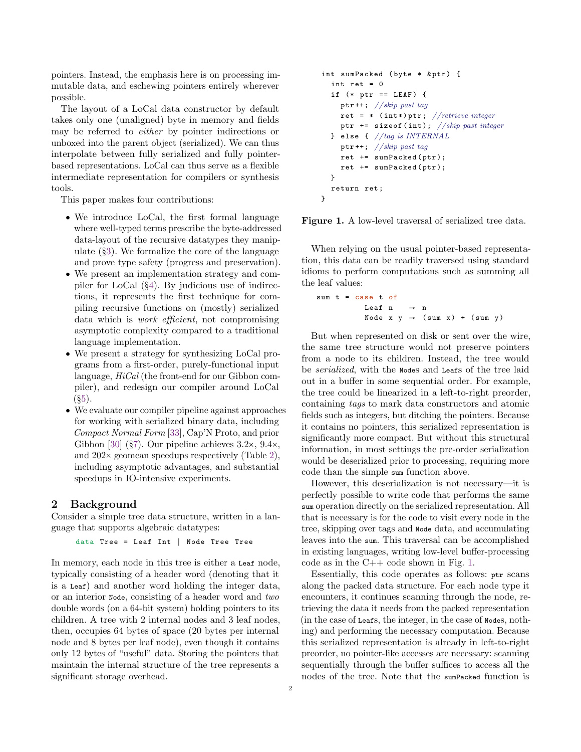pointers. Instead, the emphasis here is on processing immutable data, and eschewing pointers entirely wherever possible.

The layout of a LoCal data constructor by default takes only one (unaligned) byte in memory and fields may be referred to either by pointer indirections or unboxed into the parent object (serialized). We can thus interpolate between fully serialized and fully pointerbased representations. LoCal can thus serve as a flexible intermediate representation for compilers or synthesis tools.

This paper makes four contributions:

- We introduce LoCal, the first formal language where well-typed terms prescribe the byte-addressed data-layout of the recursive datatypes they manipulate (§[3\)](#page-2-0). We formalize the core of the language and prove type safety (progress and preservation).
- We present an implementation strategy and compiler for LoCal (§[4\)](#page-8-0). By judicious use of indirections, it represents the first technique for compiling recursive functions on (mostly) serialized data which is work efficient, not compromising asymptotic complexity compared to a traditional language implementation.
- We present a strategy for synthesizing LoCal programs from a first-order, purely-functional input language, HiCal (the front-end for our Gibbon compiler), and redesign our compiler around LoCal  $(85)$  $(85)$ .
- We evaluate our compiler pipeline against approaches for working with serialized binary data, including Compact Normal Form [\[33\]](#page-15-2), Cap'N Proto, and prior Gibbon [\[30\]](#page-15-3) (§[7\)](#page-11-0). Our pipeline achieves  $3.2 \times$ ,  $9.4 \times$ , and 202× geomean speedups respectively (Table [2\)](#page-13-0), including asymptotic advantages, and substantial speedups in IO-intensive experiments.

## <span id="page-1-1"></span>2 Background

Consider a simple tree data structure, written in a language that supports algebraic datatypes:

data Tree = Leaf Int ∣ Node Tree Tree

In memory, each node in this tree is either a Leaf node, typically consisting of a header word (denoting that it is a Leaf) and another word holding the integer data, or an interior Node, consisting of a header word and two double words (on a 64-bit system) holding pointers to its children. A tree with 2 internal nodes and 3 leaf nodes, then, occupies 64 bytes of space (20 bytes per internal node and 8 bytes per leaf node), even though it contains only 12 bytes of "useful" data. Storing the pointers that maintain the internal structure of the tree represents a significant storage overhead.

```
int sumPacked ( byte * & ptr ) {
  int ret = 0if (* ptr == LEAF) {
    ptr ++; //skip past tag
    ret = * (int*)ptr; //retrieve integer
    ptr += sizeof(int); //skip past integer
  } else { //tag is INTERNAL
    ptr ++; //skip past tag
    ret += sumPacked ( ptr );
    ret += sumPacked ( ptr );
  }
  return ret ;
}
```
Figure 1. A low-level traversal of serialized tree data.

When relying on the usual pointer-based representation, this data can be readily traversed using standard idioms to perform computations such as summing all the leaf values:

sum t = case t of Leaf $\,$ n $\quad$   $\rightarrow$   $\,$  n Node  $x \ y \ \rightarrow \ (sum \ x) \ + \ (sum \ y)$ 

But when represented on disk or sent over the wire, the same tree structure would not preserve pointers from a node to its children. Instead, the tree would be serialized, with the Nodes and Leafs of the tree laid out in a buffer in some sequential order. For example, the tree could be linearized in a left-to-right preorder, containing tags to mark data constructors and atomic fields such as integers, but ditching the pointers. Because it contains no pointers, this serialized representation is significantly more compact. But without this structural information, in most settings the pre-order serialization would be deserialized prior to processing, requiring more code than the simple sum function above.

However, this deserialization is not necessary—it is perfectly possible to write code that performs the same sum operation directly on the serialized representation. All that is necessary is for the code to visit every node in the tree, skipping over tags and Node data, and accumulating leaves into the sum. This traversal can be accomplished in existing languages, writing low-level buffer-processing code as in the  $C++$  code shown in Fig. [1.](#page-1-0)

Essentially, this code operates as follows: ptr scans along the packed data structure. For each node type it encounters, it continues scanning through the node, retrieving the data it needs from the packed representation (in the case of Leafs, the integer, in the case of Nodes, nothing) and performing the necessary computation. Because this serialized representation is already in left-to-right preorder, no pointer-like accesses are necessary: scanning sequentially through the buffer suffices to access all the nodes of the tree. Note that the sumPacked function is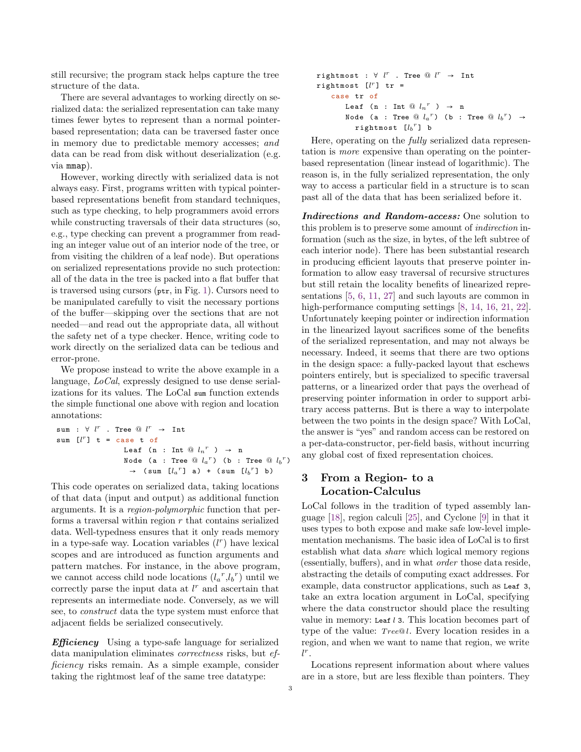still recursive; the program stack helps capture the tree structure of the data.

There are several advantages to working directly on serialized data: the serialized representation can take many times fewer bytes to represent than a normal pointerbased representation; data can be traversed faster once in memory due to predictable memory accesses; and data can be read from disk without deserialization (e.g. via mmap).

However, working directly with serialized data is not always easy. First, programs written with typical pointerbased representations benefit from standard techniques, such as type checking, to help programmers avoid errors while constructing traversals of their data structures (so, e.g., type checking can prevent a programmer from reading an integer value out of an interior node of the tree, or from visiting the children of a leaf node). But operations on serialized representations provide no such protection: all of the data in the tree is packed into a flat buffer that is traversed using cursors (ptr, in Fig. [1\)](#page-1-0). Cursors need to be manipulated carefully to visit the necessary portions of the buffer—skipping over the sections that are not needed—and read out the appropriate data, all without the safety net of a type checker. Hence, writing code to work directly on the serialized data can be tedious and error-prone.

We propose instead to write the above example in a language, LoCal, expressly designed to use dense serializations for its values. The LoCal sum function extends the simple functional one above with region and location annotations:

```
sum : \forall l^r . Tree @ l^r \rightarrow Int
sum [l^r] t = case t of
                       Leaf (n : Int @l_n^r) \rightarrow n
                       Node (a : Tree @~l_{a}^{~r}) (b : Tree @~l_{b}^{~r})
                         \rightarrow (sum \lbrack l_a^r \rbrack a) + (sum \lbrack l_b^r \rbrack b)
```
This code operates on serialized data, taking locations of that data (input and output) as additional function arguments. It is a region-polymorphic function that performs a traversal within region  $r$  that contains serialized data. Well-typedness ensures that it only reads memory in a type-safe way. Location variables  $(l<sup>r</sup>)$  have lexical scopes and are introduced as function arguments and pattern matches. For instance, in the above program, we cannot access child node locations  $(l_a^r, l_b^r)$  until we correctly parse the input data at  $l<sup>r</sup>$  and ascertain that represents an intermediate node. Conversely, as we will see, to construct data the type system must enforce that adjacent fields be serialized consecutively.

**Efficiency** Using a type-safe language for serialized data manipulation eliminates correctness risks, but efficiency risks remain. As a simple example, consider taking the rightmost leaf of the same tree datatype:

rightmost : 
$$
\forall l^r
$$
. Tree @  $l^r \rightarrow$  Int  
rightmost  $[l^r]$  tr =  
case tr of  
Leaf (n : Int @  $l_n^r$ )  $\rightarrow$  n  
Node (a : Tree @  $l_a^r$ ) (b : Tree @  $l_b^r$ )  $\rightarrow$   
rightmost  $[l_b^r]$  b

Here, operating on the fully serialized data representation is more expensive than operating on the pointerbased representation (linear instead of logarithmic). The reason is, in the fully serialized representation, the only way to access a particular field in a structure is to scan past all of the data that has been serialized before it.

Indirections and Random-access: One solution to this problem is to preserve some amount of indirection information (such as the size, in bytes, of the left subtree of each interior node). There has been substantial research in producing efficient layouts that preserve pointer information to allow easy traversal of recursive structures but still retain the locality benefits of linearized representations [\[5,](#page-14-5) [6,](#page-14-6) [11,](#page-14-7) [27\]](#page-15-4) and such layouts are common in high-performance computing settings [\[8,](#page-14-0) [14,](#page-14-1) [16,](#page-15-1) [21,](#page-15-5) [22\]](#page-15-6). Unfortunately keeping pointer or indirection information in the linearized layout sacrifices some of the benefits of the serialized representation, and may not always be necessary. Indeed, it seems that there are two options in the design space: a fully-packed layout that eschews pointers entirely, but is specialized to specific traversal patterns, or a linearized order that pays the overhead of preserving pointer information in order to support arbitrary access patterns. But is there a way to interpolate between the two points in the design space? With LoCal, the answer is "yes" and random access can be restored on a per-data-constructor, per-field basis, without incurring any global cost of fixed representation choices.

# <span id="page-2-0"></span>3 From a Region- to a Location-Calculus

LoCal follows in the tradition of typed assembly language [\[18\]](#page-15-7), region calculi [\[25\]](#page-15-8), and Cyclone [\[9\]](#page-14-8) in that it uses types to both expose and make safe low-level implementation mechanisms. The basic idea of LoCal is to first establish what data share which logical memory regions (essentially, buffers), and in what order those data reside, abstracting the details of computing exact addresses. For example, data constructor applications, such as Leaf 3, take an extra location argument in LoCal, specifying where the data constructor should place the resulting value in memory: Leaf  $l$  3. This location becomes part of type of the value:  $Tree@l$ . Every location resides in a region, and when we want to name that region, we write  $l^r$ .

Locations represent information about where values are in a store, but are less flexible than pointers. They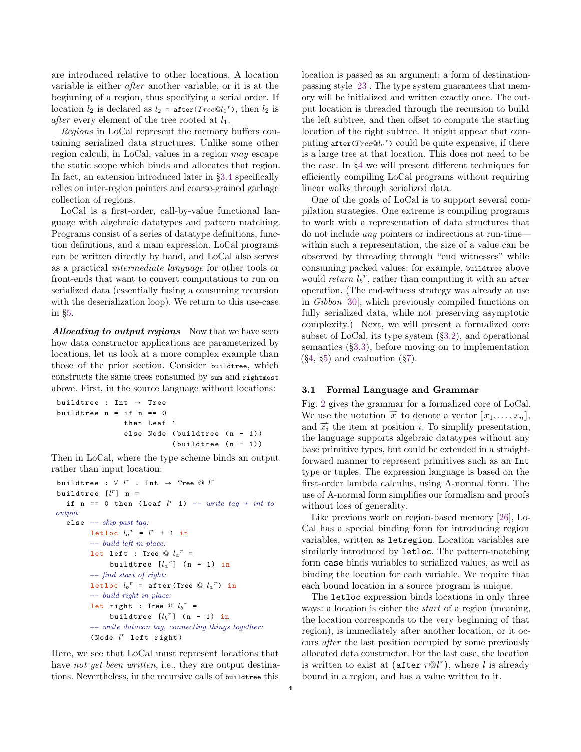are introduced relative to other locations. A location variable is either after another variable, or it is at the beginning of a region, thus specifying a serial order. If location  $l_2$  is declared as  $l_2$  = after(TreeQl<sub>1</sub><sup>r</sup>), then  $l_2$  is after every element of the tree rooted at  $l_1$ .

Regions in LoCal represent the memory buffers containing serialized data structures. Unlike some other region calculi, in LoCal, values in a region may escape the static scope which binds and allocates that region. In fact, an extension introduced later in §[3.4](#page-7-0) specifically relies on inter-region pointers and coarse-grained garbage collection of regions.

LoCal is a first-order, call-by-value functional language with algebraic datatypes and pattern matching. Programs consist of a series of datatype definitions, function definitions, and a main expression. LoCal programs can be written directly by hand, and LoCal also serves as a practical intermediate language for other tools or front-ends that want to convert computations to run on serialized data (essentially fusing a consuming recursion with the deserialization loop). We return to this use-case in §[5.](#page-10-0)

**Allocating to output regions** Now that we have seen how data constructor applications are parameterized by locations, let us look at a more complex example than those of the prior section. Consider buildtree, which constructs the same trees consumed by sum and rightmost above. First, in the source language without locations:

```
buildtree : Int \rightarrow Tree
buildtree n = if n == 0then Leaf 1
               else Node (buildtree (n - 1))
                          (buildtree (n - 1))
```
Then in LoCal, where the type scheme binds an output rather than input location:

```
buildtree : \forall l^r . Int \rightarrow Tree @ l^rbuildtree [l^r] n =
   if n == 0 then (Leaf l^r 1) -- write tag + int tooutput
  else −− skip past tag:
          letloc l_a^r = l^r + 1 in
         −− build left in place:
          let left : Tree @ a_a^r =buildtree \left[ l_a^{\ r} \right] (n - 1) in
         −− find start of right:
          letloc {l_b}^r = after (Tree @~{l_a}^r) in
         −− build right in place:
          let right : Tree @ l_b^r =buildtree \left[l_{b}^{\ r}\right] (n - 1) in
         −− write datacon tag, connecting things together:
          (Node l^r left right)
```
Here, we see that LoCal must represent locations that have not yet been written, i.e., they are output destinations. Nevertheless, in the recursive calls of buildtree this

location is passed as an argument: a form of destinationpassing style [\[23\]](#page-15-9). The type system guarantees that memory will be initialized and written exactly once. The output location is threaded through the recursion to build the left subtree, and then offset to compute the starting location of the right subtree. It might appear that computing  $\text{after}(Tree@l_a^r)$  could be quite expensive, if there is a large tree at that location. This does not need to be the case. In §[4](#page-8-0) we will present different techniques for efficiently compiling LoCal programs without requiring linear walks through serialized data.

One of the goals of LoCal is to support several compilation strategies. One extreme is compiling programs to work with a representation of data structures that do not include any pointers or indirections at run-time within such a representation, the size of a value can be observed by threading through "end witnesses" while consuming packed values: for example, buildtree above would *return*  $l_b^r$ , rather than computing it with an after operation. (The end-witness strategy was already at use in Gibbon [\[30\]](#page-15-3), which previously compiled functions on fully serialized data, while not preserving asymptotic complexity.) Next, we will present a formalized core subset of LoCal, its type system (§[3.2\)](#page-4-0), and operational semantics (§[3.3\)](#page-6-0), before moving on to implementation  $(\S4, \S5)$  $(\S4, \S5)$  $(\S4, \S5)$  $(\S4, \S5)$  and evaluation  $(\S7)$  $(\S7)$ .

#### 3.1 Formal Language and Grammar

Fig. [2](#page-4-1) gives the grammar for a formalized core of LoCal. We use the notation  $\overrightarrow{x}$  to denote a vector  $[x_1, \ldots, x_n]$ , and  $\vec{x}_i$  the item at position i. To simplify presentation, the language supports algebraic datatypes without any base primitive types, but could be extended in a straightforward manner to represent primitives such as an Int type or tuples. The expression language is based on the first-order lambda calculus, using A-normal form. The use of A-normal form simplifies our formalism and proofs without loss of generality.

Like previous work on region-based memory [\[26\]](#page-15-10), Lo-Cal has a special binding form for introducing region variables, written as letregion. Location variables are similarly introduced by letloc. The pattern-matching form case binds variables to serialized values, as well as binding the location for each variable. We require that each bound location in a source program is unique.

The letloc expression binds locations in only three ways: a location is either the *start* of a region (meaning, the location corresponds to the very beginning of that region), is immediately after another location, or it occurs after the last position occupied by some previously allocated data constructor. For the last case, the location is written to exist at  $(\text{after } \tau \mathbb{Q} l^r)$ , where l is already bound in a region, and has a value written to it.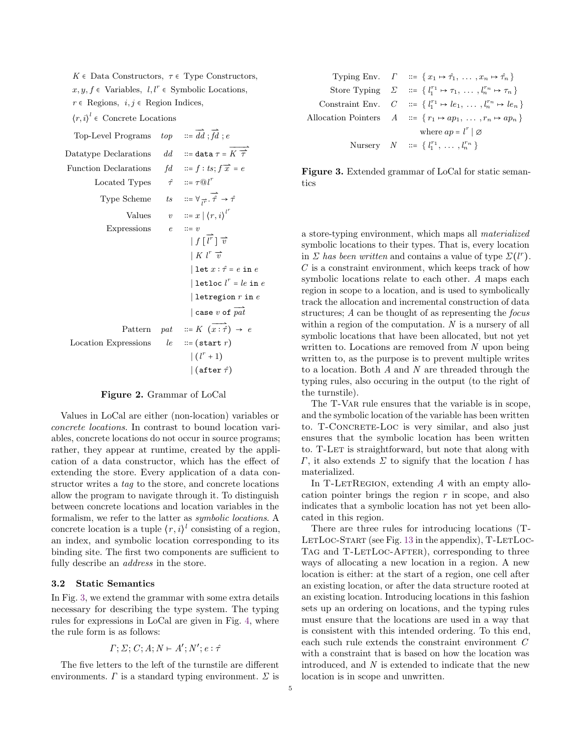<span id="page-4-1"></span> $K \in$  Data Constructors,  $\tau \in$  Type Constructors,  $x, y, f \in \text{Variables}, \ l, l^r \in \text{Symbolic Locations},$  $r \in$  Regions,  $i, j \in$  Region Indices,

|  |  |  |  |  | $\langle r, i \rangle^l \in$ Concrete Locations |
|--|--|--|--|--|-------------------------------------------------|
|--|--|--|--|--|-------------------------------------------------|

| Top-Level Programs                     | top        | $::= \overline{dd}$ ; $\overline{fd}$ ; $e$                                                                     |
|----------------------------------------|------------|-----------------------------------------------------------------------------------------------------------------|
| Datatype Declarations                  |            | dd ::= data $\tau = \overrightarrow{K} \cdot \overrightarrow{\tau}$                                             |
| <b>Function Declarations</b>           |            | $fd$ ::= $f : ts; f \overrightarrow{x} = e$                                                                     |
| Located Types                          |            | $\hat{\tau}$ ::= $\tau \Omega l^r$                                                                              |
| Type Scheme                            |            | ts $\overrightarrow{x}$ $\overrightarrow{y}$ $\overrightarrow{r}$ $\overrightarrow{f}$ $\rightarrow \hat{\tau}$ |
| Values                                 |            | $v = x   (r, i)^{l^r}$                                                                                          |
| Expressions                            | $\epsilon$ | $ ::= v$                                                                                                        |
|                                        |            | $\vert f \vert \overline{l^r} \vert \overrightarrow{v}$                                                         |
|                                        |            | $K l^r \vec{v}$                                                                                                 |
|                                        |            | $\vert \texttt{let } x : \hat{\tau} = e \texttt{ in } e$                                                        |
|                                        |            | letloc $l^r$ = $le$ in $e$                                                                                      |
|                                        |            | letregion $r$ in $e$                                                                                            |
|                                        |            | $\vert$ case $v$ of $pat$                                                                                       |
| Pattern                                |            | pat $::= K(\overrightarrow{x:\hat{\tau}}) \rightarrow e$                                                        |
| Location Expressions $le$ := (start r) |            |                                                                                                                 |
|                                        |            | $\left( l^{r}+1\right)$                                                                                         |
|                                        |            | $\mid$ (after $\hat{\tau}$ )                                                                                    |

Figure 2. Grammar of LoCal

Values in LoCal are either (non-location) variables or concrete locations. In contrast to bound location variables, concrete locations do not occur in source programs; rather, they appear at runtime, created by the application of a data constructor, which has the effect of extending the store. Every application of a data constructor writes a tag to the store, and concrete locations allow the program to navigate through it. To distinguish between concrete locations and location variables in the formalism, we refer to the latter as symbolic locations. A concrete location is a tuple  $\langle r, i \rangle^l$  consisting of a region, an index, and symbolic location corresponding to its binding site. The first two components are sufficient to fully describe an address in the store.

## <span id="page-4-0"></span>3.2 Static Semantics

In Fig. [3,](#page-4-2) we extend the grammar with some extra details necessary for describing the type system. The typing rules for expressions in LoCal are given in Fig. [4,](#page-5-0) where the rule form is as follows:

$$
\Gamma; \Sigma; C; A; N \vdash A'; N'; e: \hat{\tau}
$$

The five letters to the left of the turnstile are different environments.  $\Gamma$  is a standard typing environment.  $\Sigma$  is

<span id="page-4-2"></span>

|  | Typing Env. $\Gamma$ ::= $\{x_1 \mapsto \hat{\tau}_1, \dots, x_n \mapsto \hat{\tau}_n\}$   |
|--|--------------------------------------------------------------------------------------------|
|  | Store Typing $\Sigma$ ::= $\{l_1^{r_1} \mapsto \tau_1, \ldots, l_n^{r_n} \mapsto \tau_n\}$ |
|  | Constraint Env. $C \cong \{l_1^{r_1} \mapsto le_1, \ldots, l_n^{r_n} \mapsto le_n\}$       |
|  | Allocation Pointers $A ::= \{r_1 \mapsto ap_1, \ldots, r_n \mapsto ap_n\}$                 |
|  | where $ap = l^r   \varnothing$                                                             |
|  | Nursery $N = \{l_1^{r_1}, \ldots, l_n^{r_n}\}\$                                            |

Figure 3. Extended grammar of LoCal for static semantics

a store-typing environment, which maps all materialized symbolic locations to their types. That is, every location in  $\Sigma$  has been written and contains a value of type  $\Sigma(l^r)$ . C is a constraint environment, which keeps track of how symbolic locations relate to each other. A maps each region in scope to a location, and is used to symbolically track the allocation and incremental construction of data structures; A can be thought of as representing the focus within a region of the computation. N is a nursery of all symbolic locations that have been allocated, but not yet written to. Locations are removed from N upon being written to, as the purpose is to prevent multiple writes to a location. Both  $A$  and  $N$  are threaded through the typing rules, also occuring in the output (to the right of the turnstile).

The T-VAR rule ensures that the variable is in scope, and the symbolic location of the variable has been written to. T-CONCRETE-LOC is very similar, and also just ensures that the symbolic location has been written to. T-LET is straightforward, but note that along with Γ, it also extends Σ to signify that the location l has materialized.

In T-LETREGION, extending A with an empty allocation pointer brings the region  $r$  in scope, and also indicates that a symbolic location has not yet been allocated in this region.

There are three rules for introducing locations (T-LETLOC-START (see Fig.  $13$  in the appendix), T-LETLOC-TAG and T-LETLOC-AFTER), corresponding to three ways of allocating a new location in a region. A new location is either: at the start of a region, one cell after an existing location, or after the data structure rooted at an existing location. Introducing locations in this fashion sets up an ordering on locations, and the typing rules must ensure that the locations are used in a way that is consistent with this intended ordering. To this end, each such rule extends the constraint environment C with a constraint that is based on how the location was introduced, and  $N$  is extended to indicate that the new location is in scope and unwritten.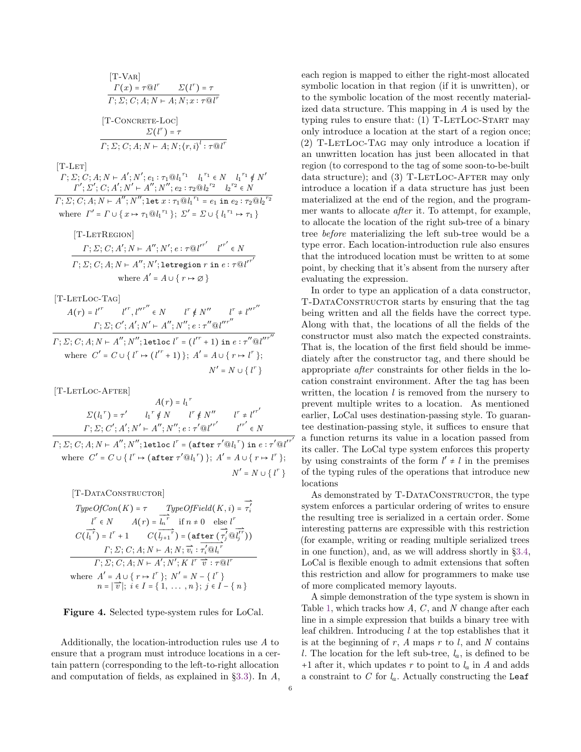<span id="page-5-0"></span>
$$
[\text{T-VAR}]
$$
  
\n
$$
\Gamma(x) = \tau \textcircled{a} l^r
$$
  
\n
$$
\sum T; \Sigma; C; A; N \vdash A; N; x : \tau \textcircled{a} l^r
$$
  
\n[T-CONCRETE-LOC]  
\n
$$
\sum (l^r) = \tau
$$
  
\n
$$
\Gamma; \Sigma; C; A; N \vdash A; N; \langle r, i \rangle^l : \tau \textcircled{a} l^r
$$

 $[T-LET]$ 

 $\Gamma; \Sigma; C; A; N \vdash A'; N'; e_1 : \tau_1 @ l_1^{r_1} \quad l_1^{r_1} \in N \quad l_1^{r_1} \notin N'$  $\Gamma';\Sigma';C;A';N'+A'';N'';e_2:\tau_2@l_2^{r_2}\quad l_2^{r_2}\in N$  $\overline{\varGamma;\varSigma;C;A;N\vdash A'';N'';}$ let  $x:\tau_1\overset{\frown}{\omega}l_1{}^{\tau_1}=e_1$  in  $e_2:\tau_2\overset{\frown}{\omega}l_2{}^{\tau_2}$ where  $\Gamma' = \Gamma \cup \{x \mapsto \tau_1 \mathcal{Q}l_1^{r_1}\}; \ \Sigma' = \Sigma \cup \{l_1^{r_1} \mapsto \tau_1\}$ 

| [T-LETREGION]                                                                                         |  |
|-------------------------------------------------------------------------------------------------------|--|
| $\Gamma; \Sigma; C; A'; N \vdash A''; N'; e : \tau \mathbb{Q}l'^{r'} \quad l'^{r'} \in N$             |  |
| $\Gamma$ ; $\Sigma$ ; $C$ ; $A$ ; $N \vdash A''$ ; $N'$ ; letregion r in $e : \tau \mathbb{Q}l'^{r'}$ |  |
| where $A' = A \cup \{r \mapsto \emptyset\}$                                                           |  |

[T-LetLoc-Tag]

$$
A(r) = l'' \t l'', l'''' \in N \t l'' \notin N'' \t l'' + l''''
$$
  
\n
$$
\Gamma; \Sigma; C'; A'; N' \vdash A''; N''; e : \tau'' @ l''^{r''}
$$
  
\n
$$
\Gamma; \Sigma; C; A; N \vdash A''; N''; \text{letloc } l^r = (l'^r + 1) \text{ in } e : \tau'' @ l''^{r''}
$$
  
\nwhere  $C' = C \cup \{ l^r \mapsto (l'^r + 1) \}; A' = A \cup \{ r \mapsto l^r \};$   
\n
$$
N' = N \cup \{ l^r \}
$$

[T-LETLOC-AFTER]

$$
A(r) = l_1^r
$$
  
\n
$$
\Sigma(l_1^r) = \tau' \qquad l_1^r \notin N \qquad l^r \notin N'' \qquad l^r \neq l'^{r'}
$$
  
\n
$$
\Gamma; \Sigma; C'; A'; N' \vdash A''; N''; e : \tau' \textcircled{t'}^{r'} \qquad l'^{r'} \in N
$$

 $\varGamma;\varSigma;C;A;N\vdash A'';N'';$ letloc  $l^r$  = (after  $\tau'\textcircled{a_1}^r)$  in  $e:\tau'\textcircled{a'}^{r''}$ where  $C' = C \cup \{ l^r \mapsto (\text{after } \tau' @ l_1^r) \}; A' = A \cup \{ r \mapsto l^r \};$  $N' = N \cup \{ l^r \}$ 

[T-DATACONSTRUCTOR]  $TypeOfCon(K) = \tau$   $TypeOfField(K, i) = \overrightarrow{\tau_i}$  $l^r \in N$   $A(r) = \overrightarrow{l_n}^r$  if  $n \neq 0$  else  $l^r$  $C(\overrightarrow{l_1}^r) = l^r + 1$   $C(\overrightarrow{l_{j+1}}^r) = (\text{after } (\overrightarrow{r_j} \textcircled{u_j'}^r))$  $\Gamma; \Sigma; C; A; N \vdash A; N; \overrightarrow{v_i} : \overrightarrow{\tau'_i \otimes l_i}^r$  $\Gamma; \Sigma; C; A; N \vdash A'; N'; K l^r \stackrel{\rightarrow}{v} : \tau \mathbb{Q} l^r$ where  $A' = A \cup \{ r \mapsto l^r \}; N' = N - \{ l^r \}$  $n = |\overrightarrow{v}|; i \in I = \{ 1, \ldots, n \}; j \in I - \{ n \}$ 

Figure 4. Selected type-system rules for LoCal.

Additionally, the location-introduction rules use A to ensure that a program must introduce locations in a certain pattern (corresponding to the left-to-right allocation and computation of fields, as explained in §[3.3\)](#page-6-0). In A,

each region is mapped to either the right-most allocated symbolic location in that region (if it is unwritten), or to the symbolic location of the most recently materialized data structure. This mapping in A is used by the typing rules to ensure that:  $(1)$  T-LETLOC-START may only introduce a location at the start of a region once;  $(2)$  T-LETLOC-TAG may only introduce a location if an unwritten location has just been allocated in that region (to correspond to the tag of some soon-to-be-built data structure); and  $(3)$  T-LETLOC-AFTER may only introduce a location if a data structure has just been materialized at the end of the region, and the programmer wants to allocate after it. To attempt, for example, to allocate the location of the right sub-tree of a binary tree before materializing the left sub-tree would be a type error. Each location-introduction rule also ensures that the introduced location must be written to at some point, by checking that it's absent from the nursery after evaluating the expression.

In order to type an application of a data constructor, T-DataConstructor starts by ensuring that the tag being written and all the fields have the correct type. Along with that, the locations of all the fields of the constructor must also match the expected constraints. That is, the location of the first field should be immediately after the constructor tag, and there should be appropriate after constraints for other fields in the location constraint environment. After the tag has been written, the location  $l$  is removed from the nursery to prevent multiple writes to a location. As mentioned earlier, LoCal uses destination-passing style. To guarantee destination-passing style, it suffices to ensure that a function returns its value in a location passed from its caller. The LoCal type system enforces this property by using constraints of the form  $l' \neq l$  in the premises of the typing rules of the operations that introduce new locations

As demonstrated by T-DATACONSTRUCTOR, the type system enforces a particular ordering of writes to ensure the resulting tree is serialized in a certain order. Some interesting patterns are expressible with this restriction (for example, writing or reading multiple serialized trees in one function), and, as we will address shortly in §[3.4,](#page-7-0) LoCal is flexible enough to admit extensions that soften this restriction and allow for programmers to make use of more complicated memory layouts.

A simple demonstration of the type system is shown in Table [1,](#page-6-1) which tracks how  $A, C$ , and  $N$  change after each line in a simple expression that builds a binary tree with leaf children. Introducing  $l$  at the top establishes that it is at the beginning of  $r$ ,  $A$  maps  $r$  to  $l$ , and  $N$  contains l. The location for the left sub-tree,  $l_a$ , is defined to be +1 after it, which updates r to point to  $l_a$  in A and adds a constraint to C for  $l_a$ . Actually constructing the Leaf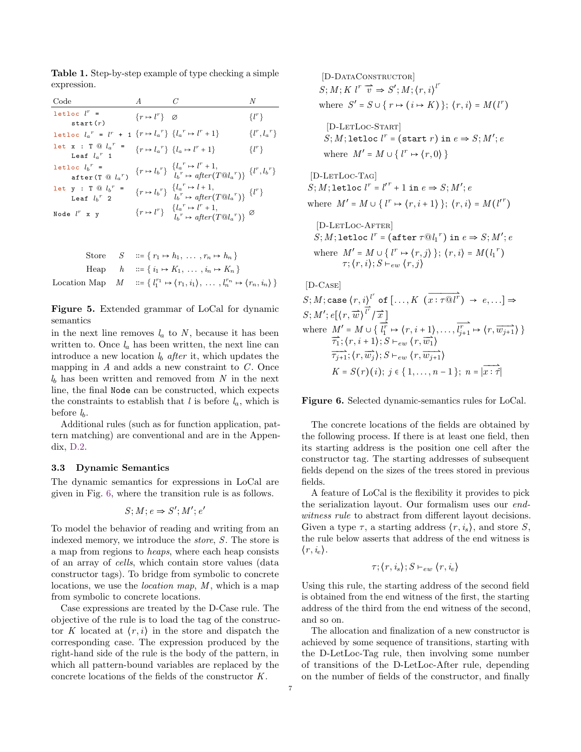<span id="page-6-1"></span>

|             | <b>Table 1.</b> Step-by-step example of type checking a simple |  |  |
|-------------|----------------------------------------------------------------|--|--|
| expression. |                                                                |  |  |

| Code                                                                   | A                                 | C                                                                                                                                      | N                |
|------------------------------------------------------------------------|-----------------------------------|----------------------------------------------------------------------------------------------------------------------------------------|------------------|
| letloc $l^r$ =<br>start(r)                                             | $\{r \mapsto l^r\}$ $\varnothing$ |                                                                                                                                        | $\{l^r\}$        |
| letloc $l_a^r = l^r + 1 \{r \mapsto l_a^r\} \{l_a^r \mapsto l^r + 1\}$ |                                   |                                                                                                                                        | $\{l^r, l_a^r\}$ |
| let $x : T @ l_a^r =$<br>Leaf $l_a$ <sup>r</sup> 1                     |                                   | $\{r \mapsto l_a^r\}$ $\{l_a \mapsto l^r + 1\}$                                                                                        | $\{l^r\}$        |
| letloc $l_{h}^{r}$ =<br>after (T $\mathcal{Q}$ $l_a$ <sup>r</sup> )    |                                   | $\{r \mapsto l_b{}^r\} \begin{array}{c} \{l_a{}^r \mapsto l^r + 1, \\ l_b{}^r \mapsto after(T@l_a{}^r)\} \end{array} \{l^r, l_b{}^r\}$ |                  |
| let $y : T @ l_b^r =$<br>Leaf $l_b^r$ 2                                |                                   | $\{r\mapsto {l_b}^r\} \begin{array}{l} \{ {l_a}^r \mapsto l+1, \\ {l_b}^r \mapsto after(T@{l_a}^r)\} \end{array} \{l^r\}$              |                  |
| Node $l^r$ x y                                                         |                                   | $\{r \mapsto l^r\} \begin{array}{c} \{l_a{}^r \mapsto l^r + 1, \\ l_b{}^r \mapsto after(T@l_a{}^r)\} \varnothing \end{array}$          |                  |

<span id="page-6-3"></span>Store

\n
$$
S := \{ r_1 \mapsto h_1, \ldots, r_n \mapsto h_n \}
$$
\nHeap

\n
$$
h := \{ i_1 \mapsto K_1, \ldots, i_n \mapsto K_n \}
$$
\nLocation Map

\n
$$
M := \{ l_1^{r_1} \mapsto (r_1, i_1), \ldots, l_n^{r_n} \mapsto (r_n, i_n) \}
$$

Figure 5. Extended grammar of LoCal for dynamic semantics

in the next line removes  $l_a$  to N, because it has been written to. Once  $l_a$  has been written, the next line can introduce a new location  $l_b$  after it, which updates the mapping in  $A$  and adds a new constraint to  $C$ . Once  $l_b$  has been written and removed from N in the next line, the final Node can be constructed, which expects the constraints to establish that l is before  $l_a$ , which is before  $l_b$ .

Additional rules (such as for function application, pattern matching) are conventional and are in the Appendix, [D.2.](#page-20-0)

#### <span id="page-6-0"></span>3.3 Dynamic Semantics

The dynamic semantics for expressions in LoCal are given in Fig. [6,](#page-6-2) where the transition rule is as follows.

$$
S; M; e \Rightarrow S'; M'; e'
$$

To model the behavior of reading and writing from an indexed memory, we introduce the store, S. The store is a map from regions to heaps, where each heap consists of an array of cells, which contain store values (data constructor tags). To bridge from symbolic to concrete locations, we use the *location map*,  $M$ , which is a map from symbolic to concrete locations.

Case expressions are treated by the D-Case rule. The objective of the rule is to load the tag of the constructor K located at  $\langle r, i \rangle$  in the store and dispatch the corresponding case. The expression produced by the right-hand side of the rule is the body of the pattern, in which all pattern-bound variables are replaced by the concrete locations of the fields of the constructor K.

<span id="page-6-2"></span>[D-DATACONSTRUCTOR]  $S; M; K \, l^r \, \overrightarrow{v} \Rightarrow S'; M; \langle r, i \rangle^{l^r}$ where  $S' = S \cup \{r \mapsto (i \mapsto K)\}; (r, i) = M(l^r)$ [D-LetLoc-Start]  $S; M;$ letloc  $l^r$  = (start r) in  $e \Rightarrow S; M'; e$ where  $M' = M \cup \{l^r \mapsto \langle r, 0 \rangle\}$ [D-LETLOC-TAG]  $S; M;$ letloc  $l^r = l'^r + 1$  in  $e \Rightarrow S; M'; e$ where  $M' = M \cup \{l^r \mapsto \langle r, i+1 \rangle\}; \langle r, i \rangle = M({l'}^r)$ [D-LETLOC-AFTER]

$$
S; M; \text{letloc } l^r = (\text{after } \tau \mathbb{Q}l_1^r) \text{ in } e \Rightarrow S; M'; e
$$
\n
$$
\text{where } M' = M \cup \{ l^r \mapsto \langle r, j \rangle \}; \langle r, i \rangle = M(l_1^r)
$$
\n
$$
\tau; \langle r, i \rangle; S \vdash_{ew} \langle r, j \rangle
$$

[D-Case] S; M; case  $\langle r, i \rangle^{l^r}$  of  $[\ldots, K \, (\overrightarrow{x : \tau \mathbb{Q}l^r}) \to e, \ldots] \Rightarrow$  $S; M'; e[(r, \overrightarrow{w})^{\overrightarrow{l}}/\overrightarrow{x}]$ where  $M' = M \cup \{\overrightarrow{l_1} \mapsto \langle r, i+1 \rangle, \dots, \overrightarrow{l_{j+1}} \mapsto \langle r, \overrightarrow{w_{j+1}} \rangle\}$  $\overrightarrow{\tau_1}; \langle r, i+1 \rangle; S \vdash_{ew} \langle r, \overrightarrow{w_1} \rangle$  $\overrightarrow{\tau_{j+1}}$ ;  $\langle r, \overrightarrow{w_j} \rangle$ ;  $S \vdash_{ew} \langle r, \overrightarrow{w_{j+1}} \rangle$  $K = S(r)(i); j \in \{1, ..., n-1\}; n = |\overrightarrow{x : \hat{\tau}}|$ 

Figure 6. Selected dynamic-semantics rules for LoCal.

The concrete locations of the fields are obtained by the following process. If there is at least one field, then its starting address is the position one cell after the constructor tag. The starting addresses of subsequent fields depend on the sizes of the trees stored in previous fields.

A feature of LoCal is the flexibility it provides to pick the serialization layout. Our formalism uses our endwitness rule to abstract from different layout decisions. Given a type  $\tau$ , a starting address  $\langle r, i_s \rangle$ , and store S, the rule below asserts that address of the end witness is  $\langle r,i_e\rangle$ .

$$
\tau; \langle r, i_s \rangle; S \vdash_{ew} \langle r, i_e \rangle
$$

Using this rule, the starting address of the second field is obtained from the end witness of the first, the starting address of the third from the end witness of the second, and so on.

The allocation and finalization of a new constructor is achieved by some sequence of transitions, starting with the D-LetLoc-Tag rule, then involving some number of transitions of the D-LetLoc-After rule, depending on the number of fields of the constructor, and finally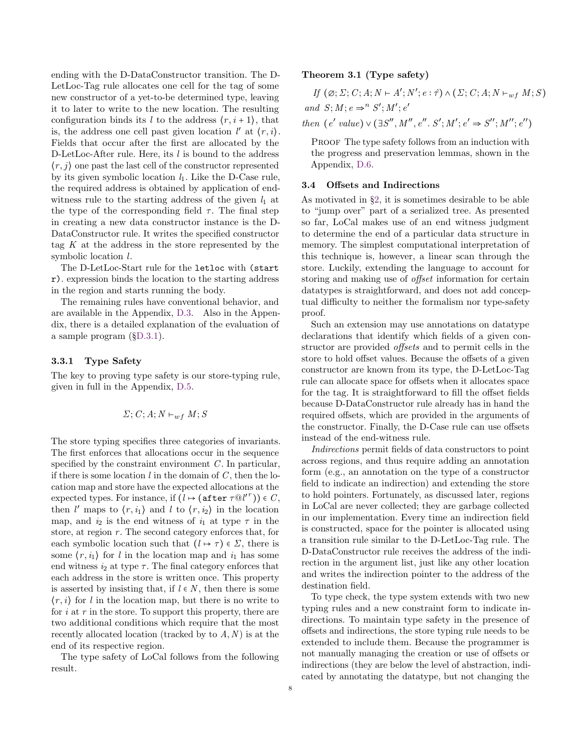ending with the D-DataConstructor transition. The D-LetLoc-Tag rule allocates one cell for the tag of some new constructor of a yet-to-be determined type, leaving it to later to write to the new location. The resulting configuration binds its l to the address  $(r, i + 1)$ , that is, the address one cell past given location  $l'$  at  $\langle r, i \rangle$ . Fields that occur after the first are allocated by the D-LetLoc-After rule. Here, its  $l$  is bound to the address  $\langle r, j \rangle$  one past the last cell of the constructor represented by its given symbolic location  $l_1$ . Like the D-Case rule, the required address is obtained by application of endwitness rule to the starting address of the given  $l_1$  at the type of the corresponding field  $\tau$ . The final step in creating a new data constructor instance is the D-DataConstructor rule. It writes the specified constructor tag  $K$  at the address in the store represented by the symbolic location  $l$ .

The D-LetLoc-Start rule for the letloc with (start r). expression binds the location to the starting address in the region and starts running the body.

The remaining rules have conventional behavior, and are available in the Appendix, [D.3.](#page-21-1) Also in the Appendix, there is a detailed explanation of the evaluation of a sample program (§[D.3.1\)](#page-22-0).

## 3.3.1 Type Safety

The key to proving type safety is our store-typing rule, given in full in the Appendix, [D.5.](#page-23-0)

$$
\Sigma; C; A; N \vdash_{wf} M; S
$$

The store typing specifies three categories of invariants. The first enforces that allocations occur in the sequence specified by the constraint environment  $C$ . In particular, if there is some location  $l$  in the domain of  $C$ , then the location map and store have the expected allocations at the expected types. For instance, if  $(l \mapsto (\texttt{after } \tau \mathbb{Q} l'^r)) \in C$ , then  $l'$  maps to  $\langle r, i_1 \rangle$  and  $l$  to  $\langle r, i_2 \rangle$  in the location map, and  $i_2$  is the end witness of  $i_1$  at type  $\tau$  in the store, at region  $r$ . The second category enforces that, for each symbolic location such that  $(l \mapsto \tau) \in \Sigma$ , there is some  $\langle r, i_1 \rangle$  for l in the location map and  $i_1$  has some end witness  $i_2$  at type  $\tau$ . The final category enforces that each address in the store is written once. This property is asserted by insisting that, if  $l \in N$ , then there is some  $\langle r, i \rangle$  for l in the location map, but there is no write to for  $i$  at  $r$  in the store. To support this property, there are two additional conditions which require that the most recently allocated location (tracked by to  $A, N$ ) is at the end of its respective region.

The type safety of LoCal follows from the following result.

#### Theorem 3.1 (Type safety)

If  $(\emptyset; \Sigma; C; A; N \vdash A'; N'; e : \hat{\tau}) \wedge (\Sigma; C; A; N \vdash_{wf} M; S)$ and  $S; M; e \Rightarrow^n S'; M'; e'$ then  $(e' value) \vee (\exists S'', M'', e'', S'; M'; e' \Rightarrow S''; M''; e'')$ 

PROOF The type safety follows from an induction with the progress and preservation lemmas, shown in the Appendix, [D.6.](#page-25-0)

#### <span id="page-7-0"></span>3.4 Offsets and Indirections

As motivated in §[2,](#page-1-1) it is sometimes desirable to be able to "jump over" part of a serialized tree. As presented so far, LoCal makes use of an end witness judgment to determine the end of a particular data structure in memory. The simplest computational interpretation of this technique is, however, a linear scan through the store. Luckily, extending the language to account for storing and making use of offset information for certain datatypes is straightforward, and does not add conceptual difficulty to neither the formalism nor type-safety proof.

Such an extension may use annotations on datatype declarations that identify which fields of a given constructor are provided offsets and to permit cells in the store to hold offset values. Because the offsets of a given constructor are known from its type, the D-LetLoc-Tag rule can allocate space for offsets when it allocates space for the tag. It is straightforward to fill the offset fields because D-DataConstructor rule already has in hand the required offsets, which are provided in the arguments of the constructor. Finally, the D-Case rule can use offsets instead of the end-witness rule.

Indirections permit fields of data constructors to point across regions, and thus require adding an annotation form (e.g., an annotation on the type of a constructor field to indicate an indirection) and extending the store to hold pointers. Fortunately, as discussed later, regions in LoCal are never collected; they are garbage collected in our implementation. Every time an indirection field is constructed, space for the pointer is allocated using a transition rule similar to the D-LetLoc-Tag rule. The D-DataConstructor rule receives the address of the indirection in the argument list, just like any other location and writes the indirection pointer to the address of the destination field.

To type check, the type system extends with two new typing rules and a new constraint form to indicate indirections. To maintain type safety in the presence of offsets and indirections, the store typing rule needs to be extended to include them. Because the programmer is not manually managing the creation or use of offsets or indirections (they are below the level of abstraction, indicated by annotating the datatype, but not changing the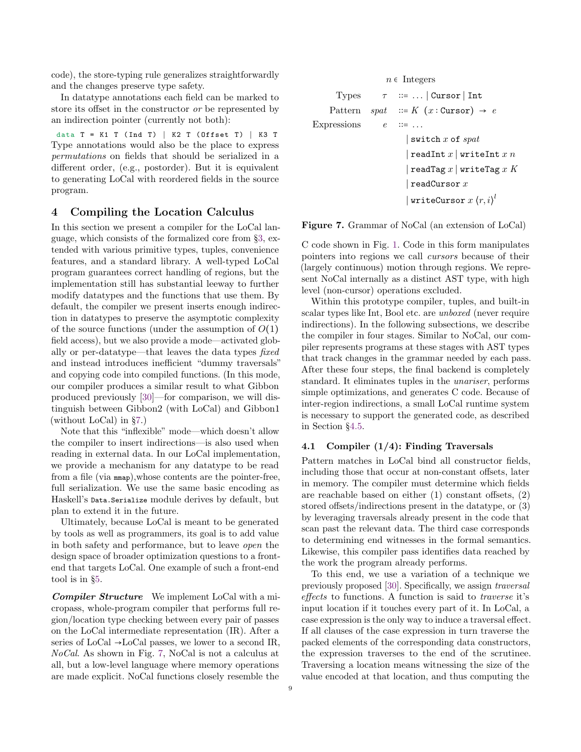code), the store-typing rule generalizes straightforwardly and the changes preserve type safety.

In datatype annotations each field can be marked to store its offset in the constructor or be represented by an indirection pointer (currently not both):

data T = K1 T ( Ind T) ∣ K2 T ( Offset T) ∣ K3 T Type annotations would also be the place to express permutations on fields that should be serialized in a different order, (e.g., postorder). But it is equivalent to generating LoCal with reordered fields in the source program.

## <span id="page-8-0"></span>4 Compiling the Location Calculus

In this section we present a compiler for the LoCal language, which consists of the formalized core from §[3,](#page-2-0) extended with various primitive types, tuples, convenience features, and a standard library. A well-typed LoCal program guarantees correct handling of regions, but the implementation still has substantial leeway to further modify datatypes and the functions that use them. By default, the compiler we present inserts enough indirection in datatypes to preserve the asymptotic complexity of the source functions (under the assumption of  $O(1)$ ) field access), but we also provide a mode—activated globally or per-datatype—that leaves the data types fixed and instead introduces inefficient "dummy traversals" and copying code into compiled functions. (In this mode, our compiler produces a similar result to what Gibbon produced previously [\[30\]](#page-15-3)—for comparison, we will distinguish between Gibbon2 (with LoCal) and Gibbon1 (without LoCal) in §[7.](#page-11-0))

Note that this "inflexible" mode—which doesn't allow the compiler to insert indirections—is also used when reading in external data. In our LoCal implementation, we provide a mechanism for any datatype to be read from a file (via mmap),whose contents are the pointer-free, full serialization. We use the same basic encoding as Haskell's Data.Serialize module derives by default, but plan to extend it in the future.

Ultimately, because LoCal is meant to be generated by tools as well as programmers, its goal is to add value in both safety and performance, but to leave open the design space of broader optimization questions to a frontend that targets LoCal. One example of such a front-end tool is in §[5.](#page-10-0)

Compiler Structure We implement LoCal with a micropass, whole-program compiler that performs full region/location type checking between every pair of passes on the LoCal intermediate representation (IR). After a series of  $LoCal \rightarrow LoCal$  passes, we lower to a second IR, NoCal. As shown in Fig. [7,](#page-8-1) NoCal is not a calculus at all, but a low-level language where memory operations are made explicit. NoCal functions closely resemble the

<span id="page-8-1"></span>

Figure 7. Grammar of NoCal (an extension of LoCal)

C code shown in Fig. [1.](#page-1-0) Code in this form manipulates pointers into regions we call cursors because of their (largely continuous) motion through regions. We represent NoCal internally as a distinct AST type, with high level (non-cursor) operations excluded.

Within this prototype compiler, tuples, and built-in scalar types like Int, Bool etc. are unboxed (never require indirections). In the following subsections, we describe the compiler in four stages. Similar to NoCal, our compiler represents programs at these stages with AST types that track changes in the grammar needed by each pass. After these four steps, the final backend is completely standard. It eliminates tuples in the unariser, performs simple optimizations, and generates C code. Because of inter-region indirections, a small LoCal runtime system is necessary to support the generated code, as described in Section §[4.5.](#page-9-0)

## 4.1 Compiler (1/4): Finding Traversals

Pattern matches in LoCal bind all constructor fields, including those that occur at non-constant offsets, later in memory. The compiler must determine which fields are reachable based on either (1) constant offsets, (2) stored offsets/indirections present in the datatype, or (3) by leveraging traversals already present in the code that scan past the relevant data. The third case corresponds to determining end witnesses in the formal semantics. Likewise, this compiler pass identifies data reached by the work the program already performs.

To this end, we use a variation of a technique we previously proposed [\[30\]](#page-15-3). Specifically, we assign traversal effects to functions. A function is said to traverse it's input location if it touches every part of it. In LoCal, a case expression is the only way to induce a traversal effect. If all clauses of the case expression in turn traverse the packed elements of the corresponding data constructors, the expression traverses to the end of the scrutinee. Traversing a location means witnessing the size of the value encoded at that location, and thus computing the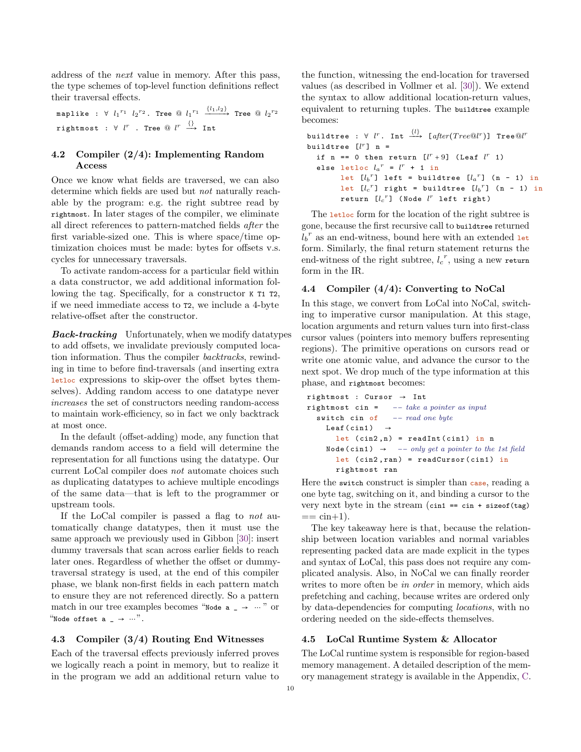address of the next value in memory. After this pass, the type schemes of top-level function definitions reflect their traversal effects.

maplike : ∀  $l_1{}^{r_1}$   $l_2{}^{r_2}$ . Tree @  $l_1{}^{r_1}$   $\xrightarrow{\{l_1,l_2\}}$  Tree @  $l_2{}^{r_2}$ rightmost : ∀  $l^r$  . Tree @  $l^r \stackrel{\{\}}{\longrightarrow}$  Int

## 4.2 Compiler (2/4): Implementing Random Access

Once we know what fields are traversed, we can also determine which fields are used but not naturally reachable by the program: e.g. the right subtree read by rightmost. In later stages of the compiler, we eliminate all direct references to pattern-matched fields after the first variable-sized one. This is where space/time optimization choices must be made: bytes for offsets v.s. cycles for unnecessary traversals.

To activate random-access for a particular field within a data constructor, we add additional information following the tag. Specifically, for a constructor  $K$  T1 T2, if we need immediate access to T2, we include a 4-byte relative-offset after the constructor.

**Back-tracking** Unfortunately, when we modify datatypes to add offsets, we invalidate previously computed location information. Thus the compiler backtracks, rewinding in time to before find-traversals (and inserting extra letloc expressions to skip-over the offset bytes themselves). Adding random access to one datatype never increases the set of constructors needing random-access to maintain work-efficiency, so in fact we only backtrack at most once.

In the default (offset-adding) mode, any function that demands random access to a field will determine the representation for all functions using the datatype. Our current LoCal compiler does not automate choices such as duplicating datatypes to achieve multiple encodings of the same data—that is left to the programmer or upstream tools.

If the LoCal compiler is passed a flag to not automatically change datatypes, then it must use the same approach we previously used in Gibbon [\[30\]](#page-15-3): insert dummy traversals that scan across earlier fields to reach later ones. Regardless of whether the offset or dummytraversal strategy is used, at the end of this compiler phase, we blank non-first fields in each pattern match to ensure they are not referenced directly. So a pattern match in our tree examples becomes "Node  $a \rightarrow \cdots$ " or "Node offset a  $- \rightarrow \cdots$ ".

## 4.3 Compiler (3/4) Routing End Witnesses

Each of the traversal effects previously inferred proves we logically reach a point in memory, but to realize it in the program we add an additional return value to

the function, witnessing the end-location for traversed values (as described in Vollmer et al. [\[30\]](#page-15-3)). We extend the syntax to allow additional location-return values, equivalent to returning tuples. The buildtree example becomes:

buildtree : ∀  $l^r$ . Int  $\stackrel{\{l\}}{\longrightarrow}$  [after( $Tree@l^r)$ ] Tree $@l^r$ buildtree  $[l^r]$  n = if  $n == 0$  then return  $[l^r + 9]$  (Leaf  $l^r$  1) else letloc  $l_a^r = l^r + 1$  in let  $[l_b^r]$  left = buildtree  $[l_a^r]$  (n - 1) in let  $[l_c^r]$  right = buildtree  $[l_b^r]$  (n - 1) in return  $\left[ l_c^{\;\,r} \right]$  (Node  $l^r$  left right)

The letloc form for the location of the right subtree is gone, because the first recursive call to buildtree returned  $\tilde{l_{b}}^{r}$  as an end-witness, bound here with an extended let form. Similarly, the final return statement returns the end-witness of the right subtree,  $l_c^r$ , using a new return form in the IR.

### 4.4 Compiler (4/4): Converting to NoCal

In this stage, we convert from LoCal into NoCal, switching to imperative cursor manipulation. At this stage, location arguments and return values turn into first-class cursor values (pointers into memory buffers representing regions). The primitive operations on cursors read or write one atomic value, and advance the cursor to the next spot. We drop much of the type information at this phase, and rightmost becomes:

```
rightmost : Cursor → Int
rightmost cin = -- take a pointer as input
  switch cin of -- read one byte
    Leaf (\text{cin1}) \rightarrowlet (cin2, n) = readInt(cin1) in nNode (cin1) \rightarrow -- only get a pointer to the 1st field
       let (cin2, ran) = readCursor (cin1) inrightmost ran
```
Here the switch construct is simpler than case, reading a one byte tag, switching on it, and binding a cursor to the very next byte in the stream  $(cin1 == cin + sizeof(tag))$  $==$   $\text{cin+1}.$ 

The key takeaway here is that, because the relationship between location variables and normal variables representing packed data are made explicit in the types and syntax of LoCal, this pass does not require any complicated analysis. Also, in NoCal we can finally reorder writes to more often be in order in memory, which aids prefetching and caching, because writes are ordered only by data-dependencies for computing locations, with no ordering needed on the side-effects themselves.

#### <span id="page-9-0"></span>4.5 LoCal Runtime System & Allocator

The LoCal runtime system is responsible for region-based memory management. A detailed description of the memory management strategy is available in the Appendix, [C.](#page-17-0)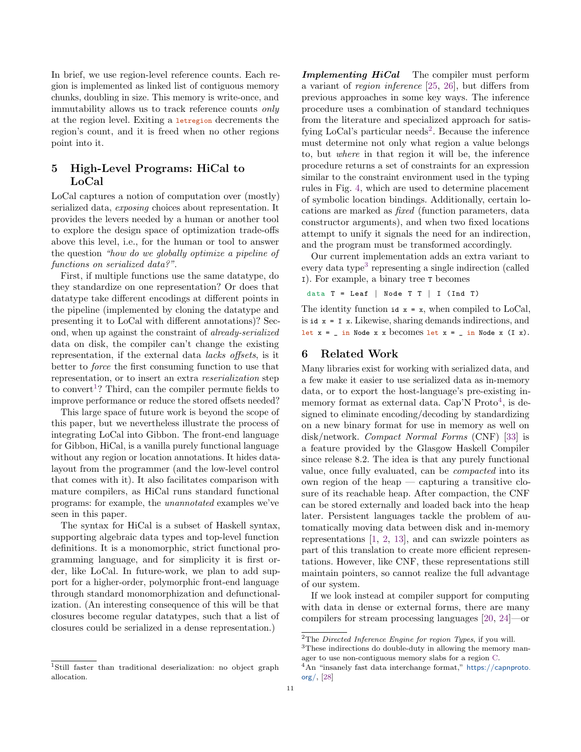In brief, we use region-level reference counts. Each region is implemented as linked list of contiguous memory chunks, doubling in size. This memory is write-once, and immutability allows us to track reference counts only at the region level. Exiting a letregion decrements the region's count, and it is freed when no other regions point into it.

# <span id="page-10-0"></span>5 High-Level Programs: HiCal to LoCal

LoCal captures a notion of computation over (mostly) serialized data, *exposing* choices about representation. It provides the levers needed by a human or another tool to explore the design space of optimization trade-offs above this level, i.e., for the human or tool to answer the question "how do we globally optimize a pipeline of functions on serialized data?".

First, if multiple functions use the same datatype, do they standardize on one representation? Or does that datatype take different encodings at different points in the pipeline (implemented by cloning the datatype and presenting it to LoCal with different annotations)? Second, when up against the constraint of already-serialized data on disk, the compiler can't change the existing representation, if the external data lacks offsets, is it better to force the first consuming function to use that representation, or to insert an extra reserialization step to convert<sup>[1](#page-10-1)</sup>? Third, can the compiler permute fields to improve performance or reduce the stored offsets needed?

This large space of future work is beyond the scope of this paper, but we nevertheless illustrate the process of integrating LoCal into Gibbon. The front-end language for Gibbon, HiCal, is a vanilla purely functional language without any region or location annotations. It hides datalayout from the programmer (and the low-level control that comes with it). It also facilitates comparison with mature compilers, as HiCal runs standard functional programs: for example, the unannotated examples we've seen in this paper.

The syntax for HiCal is a subset of Haskell syntax, supporting algebraic data types and top-level function definitions. It is a monomorphic, strict functional programming language, and for simplicity it is first order, like LoCal. In future-work, we plan to add support for a higher-order, polymorphic front-end language through standard monomorphization and defunctionalization. (An interesting consequence of this will be that closures become regular datatypes, such that a list of closures could be serialized in a dense representation.)

**Implementing HiCal** The compiler must perform a variant of region inference [\[25,](#page-15-8) [26\]](#page-15-10), but differs from previous approaches in some key ways. The inference procedure uses a combination of standard techniques from the literature and specialized approach for satis-fying LoCal's particular needs<sup>[2](#page-10-2)</sup>. Because the inference must determine not only what region a value belongs to, but where in that region it will be, the inference procedure returns a set of constraints for an expression similar to the constraint environment used in the typing rules in Fig. [4,](#page-5-0) which are used to determine placement of symbolic location bindings. Additionally, certain locations are marked as fixed (function parameters, data constructor arguments), and when two fixed locations attempt to unify it signals the need for an indirection, and the program must be transformed accordingly.

Our current implementation adds an extra variant to every data type<sup>[3](#page-10-3)</sup> representing a single indirection (called I). For example, a binary tree T becomes

```
data T = Leaf ∣ Node T T ∣ I ( Ind T)
```
The identity function  $id x = x$ , when compiled to LoCal, is id x = I x. Likewise, sharing demands indirections, and let  $x = \text{ in } \mathbb{N}$ ode x x  $\text{becomes } \text{let } x = \text{ in } \mathbb{N}$ ode x (I x).

# <span id="page-10-5"></span>6 Related Work

Many libraries exist for working with serialized data, and a few make it easier to use serialized data as in-memory data, or to export the host-language's pre-existing in-memory format as external data. Cap'N Proto<sup>[4](#page-10-4)</sup>, is designed to eliminate encoding/decoding by standardizing on a new binary format for use in memory as well on disk/network. Compact Normal Forms (CNF) [\[33\]](#page-15-2) is a feature provided by the Glasgow Haskell Compiler since release 8.2. The idea is that any purely functional value, once fully evaluated, can be compacted into its own region of the heap — capturing a transitive closure of its reachable heap. After compaction, the CNF can be stored externally and loaded back into the heap later. Persistent languages tackle the problem of automatically moving data between disk and in-memory representations [\[1,](#page-14-9) [2,](#page-14-2) [13\]](#page-14-3), and can swizzle pointers as part of this translation to create more efficient representations. However, like CNF, these representations still maintain pointers, so cannot realize the full advantage of our system.

If we look instead at compiler support for computing with data in dense or external forms, there are many compilers for stream processing languages [\[20,](#page-15-11) [24\]](#page-15-12)—or

<span id="page-10-1"></span><sup>1</sup>Still faster than traditional deserialization: no object graph allocation.

<span id="page-10-2"></span><sup>&</sup>lt;sup>2</sup>The *Directed Inference Engine for region Types*, if you will.

<span id="page-10-3"></span><sup>3</sup>These indirections do double-duty in allowing the memory manager to use non-contiguous memory slabs for a region [C.](#page-17-0)

<span id="page-10-4"></span><sup>4</sup>An "insanely fast data interchange format," [https://capnproto.](https://capnproto.org/) [org/](https://capnproto.org/), [\[28\]](#page-15-13)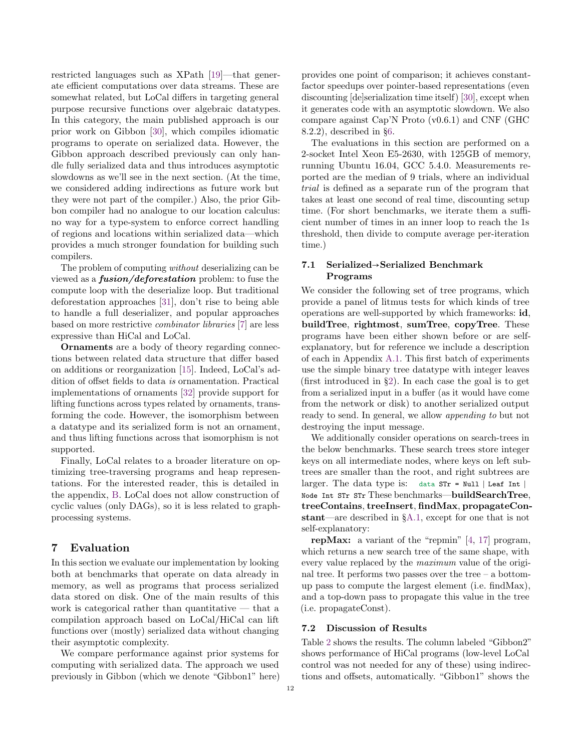restricted languages such as XPath [\[19\]](#page-15-14)—that generate efficient computations over data streams. These are somewhat related, but LoCal differs in targeting general purpose recursive functions over algebraic datatypes. In this category, the main published approach is our prior work on Gibbon [\[30\]](#page-15-3), which compiles idiomatic programs to operate on serialized data. However, the Gibbon approach described previously can only handle fully serialized data and thus introduces asymptotic slowdowns as we'll see in the next section. (At the time, we considered adding indirections as future work but they were not part of the compiler.) Also, the prior Gibbon compiler had no analogue to our location calculus: no way for a type-system to enforce correct handling of regions and locations within serialized data—which provides a much stronger foundation for building such compilers.

The problem of computing without deserializing can be viewed as a fusion/deforestation problem: to fuse the compute loop with the deserialize loop. But traditional deforestation approaches [\[31\]](#page-15-15), don't rise to being able to handle a full deserializer, and popular approaches based on more restrictive combinator libraries [\[7\]](#page-14-10) are less expressive than HiCal and LoCal.

Ornaments are a body of theory regarding connections between related data structure that differ based on additions or reorganization [\[15\]](#page-14-11). Indeed, LoCal's addition of offset fields to data is ornamentation. Practical implementations of ornaments [\[32\]](#page-15-16) provide support for lifting functions across types related by ornaments, transforming the code. However, the isomorphism between a datatype and its serialized form is not an ornament, and thus lifting functions across that isomorphism is not supported.

Finally, LoCal relates to a broader literature on optimizing tree-traversing programs and heap representations. For the interested reader, this is detailed in the appendix, [B.](#page-16-0) LoCal does not allow construction of cyclic values (only DAGs), so it is less related to graphprocessing systems.

## <span id="page-11-0"></span>7 Evaluation

In this section we evaluate our implementation by looking both at benchmarks that operate on data already in memory, as well as programs that process serialized data stored on disk. One of the main results of this work is categorical rather than quantitative  $-$  that a compilation approach based on LoCal/HiCal can lift functions over (mostly) serialized data without changing their asymptotic complexity.

We compare performance against prior systems for computing with serialized data. The approach we used previously in Gibbon (which we denote "Gibbon1" here)

provides one point of comparison; it achieves constantfactor speedups over pointer-based representations (even discounting [de]serialization time itself) [\[30\]](#page-15-3), except when it generates code with an asymptotic slowdown. We also compare against Cap'N Proto (v0.6.1) and CNF (GHC 8.2.2), described in §[6.](#page-10-5)

The evaluations in this section are performed on a 2-socket Intel Xeon E5-2630, with 125GB of memory, running Ubuntu 16.04, GCC 5.4.0. Measurements reported are the median of 9 trials, where an individual trial is defined as a separate run of the program that takes at least one second of real time, discounting setup time. (For short benchmarks, we iterate them a sufficient number of times in an inner loop to reach the 1s threshold, then divide to compute average per-iteration time.)

## <span id="page-11-1"></span>7.1 Serialized→Serialized Benchmark Programs

We consider the following set of tree programs, which provide a panel of litmus tests for which kinds of tree operations are well-supported by which frameworks: id, buildTree, rightmost, sumTree, copyTree. These programs have been either shown before or are selfexplanatory, but for reference we include a description of each in Appendix [A.1.](#page-16-1) This first batch of experiments use the simple binary tree datatype with integer leaves (first introduced in  $\S2$ ). In each case the goal is to get from a serialized input in a buffer (as it would have come from the network or disk) to another serialized output ready to send. In general, we allow appending to but not destroying the input message.

We additionally consider operations on search-trees in the below benchmarks. These search trees store integer keys on all intermediate nodes, where keys on left subtrees are smaller than the root, and right subtrees are larger. The data type is: data STr = Null ∣ Leaf Int ∣ Node Int STr STr These benchmarks—buildSearchTree, treeContains, treeInsert, findMax, propagateConstant—are described in §[A.1,](#page-16-1) except for one that is not self-explanatory:

repMax: a variant of the "repmin" [\[4,](#page-14-12) [17\]](#page-15-17) program, which returns a new search tree of the same shape, with every value replaced by the maximum value of the original tree. It performs two passes over the tree – a bottomup pass to compute the largest element (i.e. findMax), and a top-down pass to propagate this value in the tree (i.e. propagateConst).

### 7.2 Discussion of Results

Table [2](#page-13-0) shows the results. The column labeled "Gibbon2" shows performance of HiCal programs (low-level LoCal control was not needed for any of these) using indirections and offsets, automatically. "Gibbon1" shows the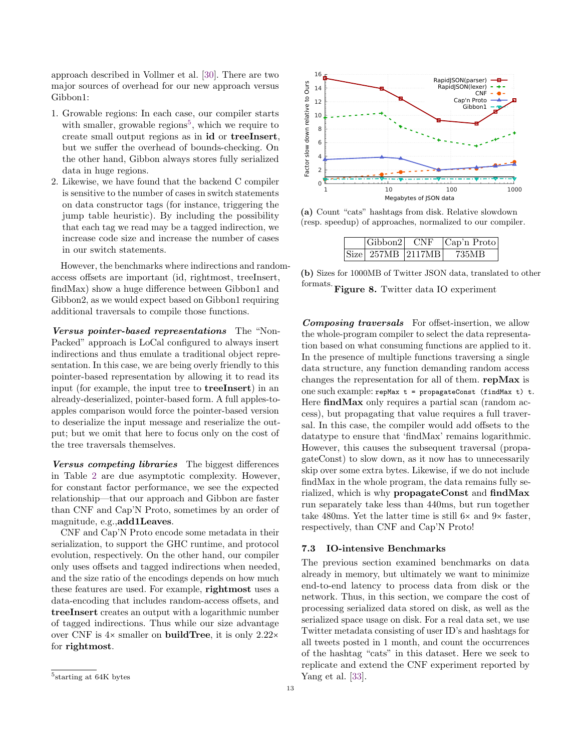approach described in Vollmer et al. [\[30\]](#page-15-3). There are two major sources of overhead for our new approach versus Gibbon1:

- 1. Growable regions: In each case, our compiler starts with smaller, growable regions<sup>[5](#page-12-0)</sup>, which we require to create small output regions as in id or treeInsert, but we suffer the overhead of bounds-checking. On the other hand, Gibbon always stores fully serialized data in huge regions.
- 2. Likewise, we have found that the backend C compiler is sensitive to the number of cases in switch statements on data constructor tags (for instance, triggering the jump table heuristic). By including the possibility that each tag we read may be a tagged indirection, we increase code size and increase the number of cases in our switch statements.

However, the benchmarks where indirections and randomaccess offsets are important (id, rightmost, treeInsert, findMax) show a huge difference between Gibbon1 and Gibbon2, as we would expect based on Gibbon1 requiring additional traversals to compile those functions.

Versus pointer-based representations The "Non-Packed" approach is LoCal configured to always insert indirections and thus emulate a traditional object representation. In this case, we are being overly friendly to this pointer-based representation by allowing it to read its input (for example, the input tree to treeInsert) in an already-deserialized, pointer-based form. A full apples-toapples comparison would force the pointer-based version to deserialize the input message and reserialize the output; but we omit that here to focus only on the cost of the tree traversals themselves.

Versus competing libraries The biggest differences in Table [2](#page-13-0) are due asymptotic complexity. However, for constant factor performance, we see the expected relationship—that our approach and Gibbon are faster than CNF and Cap'N Proto, sometimes by an order of magnitude, e.g.,add1Leaves.

CNF and Cap'N Proto encode some metadata in their serialization, to support the GHC runtime, and protocol evolution, respectively. On the other hand, our compiler only uses offsets and tagged indirections when needed, and the size ratio of the encodings depends on how much these features are used. For example, rightmost uses a data-encoding that includes random-access offsets, and treeInsert creates an output with a logarithmic number of tagged indirections. Thus while our size advantage over CNF is 4× smaller on buildTree, it is only 2.22× for rightmost.



<span id="page-12-1"></span>(a) Count "cats" hashtags from disk. Relative slowdown (resp. speedup) of approaches, normalized to our compiler.

|  |                                         | $ {\rm Gibbon2} $ CNF $ {\rm Cap}$ Proto |
|--|-----------------------------------------|------------------------------------------|
|  | $\sqrt{\text{Size} \cdot 257MB}$ 2117MB | 735MB                                    |

<span id="page-12-2"></span>(b) Sizes for 1000MB of Twitter JSON data, translated to other formats. Figure 8. Twitter data IO experiment

Composing traversals For offset-insertion, we allow the whole-program compiler to select the data representation based on what consuming functions are applied to it. In the presence of multiple functions traversing a single data structure, any function demanding random access changes the representation for all of them. repMax is one such example: repMax t = propagateConst (findMax t) t. Here **findMax** only requires a partial scan (random access), but propagating that value requires a full traversal. In this case, the compiler would add offsets to the datatype to ensure that 'findMax' remains logarithmic. However, this causes the subsequent traversal (propagateConst) to slow down, as it now has to unnecessarily skip over some extra bytes. Likewise, if we do not include findMax in the whole program, the data remains fully serialized, which is why propagateConst and findMax run separately take less than 440ms, but run together take 480ms. Yet the latter time is still  $6\times$  and  $9\times$  faster, respectively, than CNF and Cap'N Proto!

## 7.3 IO-intensive Benchmarks

The previous section examined benchmarks on data already in memory, but ultimately we want to minimize end-to-end latency to process data from disk or the network. Thus, in this section, we compare the cost of processing serialized data stored on disk, as well as the serialized space usage on disk. For a real data set, we use Twitter metadata consisting of user ID's and hashtags for all tweets posted in 1 month, and count the occurrences of the hashtag "cats" in this dataset. Here we seek to replicate and extend the CNF experiment reported by Yang et al. [\[33\]](#page-15-2).

<span id="page-12-0"></span><sup>5</sup> starting at 64K bytes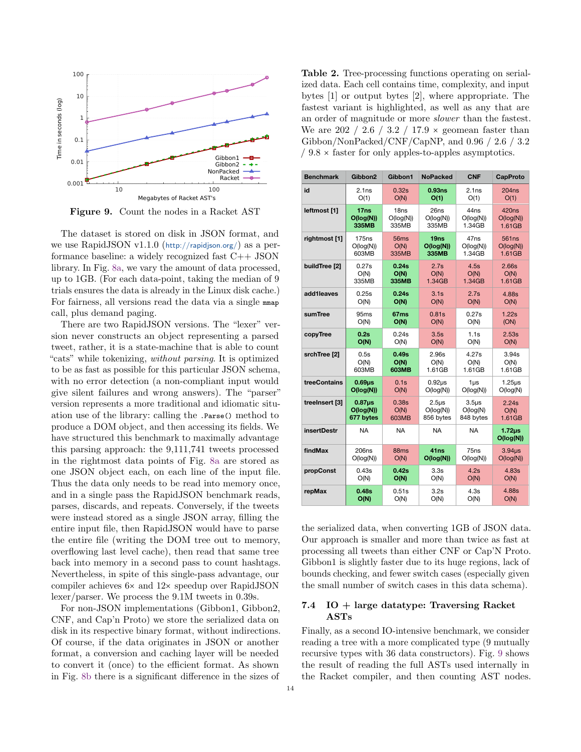<span id="page-13-1"></span>

Figure 9. Count the nodes in a Racket AST

The dataset is stored on disk in JSON format, and we use RapidJSON v1.1.0 (<http://rapidjson.org/>) as a performance baseline: a widely recognized fast  $C++$  JSON library. In Fig. [8a,](#page-12-1) we vary the amount of data processed, up to 1GB. (For each data-point, taking the median of 9 trials ensures the data is already in the Linux disk cache.) For fairness, all versions read the data via a single mmap call, plus demand paging.

There are two RapidJSON versions. The "lexer" version never constructs an object representing a parsed tweet, rather, it is a state-machine that is able to count "cats" while tokenizing, without parsing. It is optimized to be as fast as possible for this particular JSON schema, with no error detection (a non-compliant input would give silent failures and wrong answers). The "parser" version represents a more traditional and idiomatic situation use of the library: calling the .Parse() method to produce a DOM object, and then accessing its fields. We have structured this benchmark to maximally advantage this parsing approach: the 9,111,741 tweets processed in the rightmost data points of Fig. [8a](#page-12-1) are stored as one JSON object each, on each line of the input file. Thus the data only needs to be read into memory once, and in a single pass the RapidJSON benchmark reads, parses, discards, and repeats. Conversely, if the tweets were instead stored as a single JSON array, filling the entire input file, then RapidJSON would have to parse the entire file (writing the DOM tree out to memory, overflowing last level cache), then read that same tree back into memory in a second pass to count hashtags. Nevertheless, in spite of this single-pass advantage, our compiler achieves 6× and 12× speedup over RapidJSON lexer/parser. We process the 9.1M tweets in 0.39s.

For non-JSON implementations (Gibbon1, Gibbon2, CNF, and Cap'n Proto) we store the serialized data on disk in its respective binary format, without indirections. Of course, if the data originates in JSON or another format, a conversion and caching layer will be needed to convert it (once) to the efficient format. As shown in Fig. [8b](#page-12-2) there is a significant difference in the sizes of

<span id="page-13-0"></span>Table 2. Tree-processing functions operating on serialized data. Each cell contains time, complexity, and input bytes [1] or output bytes [2], where appropriate. The fastest variant is highlighted, as well as any that are an order of magnitude or more slower than the fastest. We are  $202 / 2.6 / 3.2 / 17.9 \times$  geomean faster than Gibbon/NonPacked/CNF/CapNP, and 0.96 / 2.6 / 3.2  $/ 9.8 \times$  faster for only apples-to-apples asymptotics.

| <b>Benchmark</b>   | Gibbon2            | Gibbon1           | <b>NoPacked</b> | <b>CNF</b>       | <b>CapProto</b>                 |
|--------------------|--------------------|-------------------|-----------------|------------------|---------------------------------|
| id                 | 2.1ns              | 0.32s             | 0.93ns          | 2.1ns            | 204 <sub>ns</sub>               |
|                    | O(1)               | O(N)              | O(1)            | O(1)             | O(1)                            |
| leftmost [1]       | 17 <sub>ns</sub>   | 18ns              | 26ns            | 44ns             | 420 <sub>ns</sub>               |
|                    | O(log(N))          | O(log(N))         | O(log(N))       | O(log(N))        | O(log(N))                       |
|                    | 335MB              | 335MB             | 335MB           | 1.34GB           | 1.61GB                          |
| rightmost [1]      | 175 <sub>ns</sub>  | 56 <sub>ms</sub>  | 19ns            | 47ns             | 561 <sub>ns</sub>               |
|                    | O(log(N))          | O(N)              | O(log(N))       | O(log(N))        | O(log(N))                       |
|                    | 603MB              | 335MB             | 335MB           | 1.34GB           | 1.61GB                          |
| buildTree [2]      | 0.27s              | 0.24s             | 2.7s            | 4.5s             | 2.66s                           |
|                    | O(N)               | O(N)              | O(N)            | O(N)             | O(N)                            |
|                    | 335MB              | 335MB             | 1.34GB          | 1.34GB           | 1.61GB                          |
| add1leaves         | 0.25s              | 0.24s             | 3.1s            | 2.7s             | 4.88s                           |
|                    | O(N)               | O(N)              | O(N)            | O(N)             | O(N)                            |
| sumTree            | 95 <sub>ms</sub>   | 67 <sub>ms</sub>  | 0.81s           | 0.27s            | 1.22s                           |
|                    | O(N)               | O(N)              | O(N)            | O(N)             | (ON)                            |
| copyTree           | 0.2s               | 0.24s             | 3.5s            | 1.1s             | 2.53s                           |
|                    | O(N)               | O(N)              | O(N)            | O(N)             | O(N)                            |
| srchTree [2]       | 0.5s               | 0.49s             | 2.96s           | 4.27s            | 3.94s                           |
|                    | O(N)               | O(N)              | O(N)            | O(N)             | O(N)                            |
|                    | 603MB              | 603MB             | 1.61GB          | 1.61GB           | 1.61GB                          |
| treeContains       | 0.69 <sub>us</sub> | 0.1s              | $0.92µ$ s       | $1µ$ s           | $1.25µ$ s                       |
|                    | O(log(N))          | O(N)              | O(log(N))       | O(log(N))        | O(log(N))                       |
| treeInsert [3]     | 0.87 <sub>µs</sub> | 0.38 <sub>S</sub> | $2.5µ$ s        | $3.5µ$ s         | 2.24s                           |
|                    | O(log(N))          | O(N)              | O(log(N))       | O(log(N))        | O(N)                            |
|                    | 677 bytes          | 603MB             | 856 bytes       | 848 bytes        | 1.61GB                          |
| <b>insertDestr</b> | NA                 | NA                | <b>NA</b>       | <b>NA</b>        | 1.72 <sub>µs</sub><br>O(log(N)) |
| findMax            | 206 <sub>ns</sub>  | 88 <sub>ms</sub>  | 41ns            | 75 <sub>ns</sub> | $3.94µ$ s                       |
|                    | O(log(N))          | O(N)              | O(log(N))       | O(log(N))        | O(log(N))                       |
| propConst          | 0.43s              | 0.42s             | 3.3s            | 4.2s             | 4.83s                           |
|                    | O(N)               | O(N)              | O(N)            | O(N)             | O(N)                            |
| repMax             | 0.48s              | 0.51s             | 3.2s            | 4.3s             | 4.88s                           |
|                    | O(N)               | O(N)              | O(N)            | O(N)             | O(N)                            |

the serialized data, when converting 1GB of JSON data. Our approach is smaller and more than twice as fast at processing all tweets than either CNF or Cap'N Proto. Gibbon1 is slightly faster due to its huge regions, lack of bounds checking, and fewer switch cases (especially given the small number of switch cases in this data schema).

## 7.4 IO + large datatype: Traversing Racket ASTs

Finally, as a second IO-intensive benchmark, we consider reading a tree with a more complicated type (9 mutually recursive types with 36 data constructors). Fig. [9](#page-13-1) shows the result of reading the full ASTs used internally in the Racket compiler, and then counting AST nodes.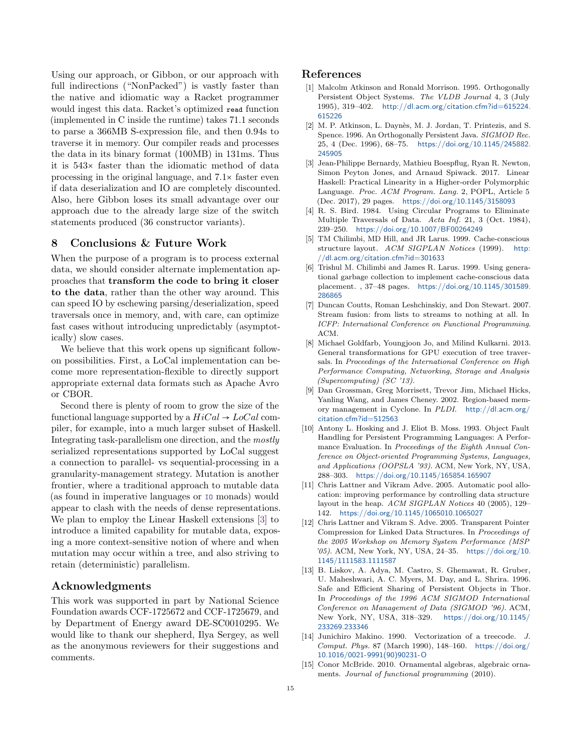Using our approach, or Gibbon, or our approach with full indirections ("NonPacked") is vastly faster than the native and idiomatic way a Racket programmer would ingest this data. Racket's optimized read function (implemented in C inside the runtime) takes 71.1 seconds to parse a 366MB S-expression file, and then 0.94s to traverse it in memory. Our compiler reads and processes the data in its binary format (100MB) in 131ms. Thus it is 543× faster than the idiomatic method of data processing in the original language, and 7.1× faster even if data deserialization and IO are completely discounted. Also, here Gibbon loses its small advantage over our approach due to the already large size of the switch statements produced (36 constructor variants).

## 8 Conclusions & Future Work

When the purpose of a program is to process external data, we should consider alternate implementation approaches that transform the code to bring it closer to the data, rather than the other way around. This can speed IO by eschewing parsing/deserialization, speed traversals once in memory, and, with care, can optimize fast cases without introducing unpredictably (asymptotically) slow cases.

We believe that this work opens up significant followon possibilities. First, a LoCal implementation can become more representation-flexible to directly support appropriate external data formats such as Apache Avro or CBOR.

Second there is plenty of room to grow the size of the functional language supported by a  $HiCal \rightarrow LoCal$  compiler, for example, into a much larger subset of Haskell. Integrating task-parallelism one direction, and the mostly serialized representations supported by LoCal suggest a connection to parallel- vs sequential-processing in a granularity-management strategy. Mutation is another frontier, where a traditional approach to mutable data (as found in imperative languages or IO monads) would appear to clash with the needs of dense representations. We plan to employ the Linear Haskell extensions [\[3\]](#page-14-13) to introduce a limited capability for mutable data, exposing a more context-sensitive notion of where and when mutation may occur within a tree, and also striving to retain (deterministic) parallelism.

## Acknowledgments

This work was supported in part by National Science Foundation awards CCF-1725672 and CCF-1725679, and by Department of Energy award DE-SC0010295. We would like to thank our shepherd, Ilya Sergey, as well as the anonymous reviewers for their suggestions and comments.

#### References

- <span id="page-14-9"></span>[1] Malcolm Atkinson and Ronald Morrison. 1995. Orthogonally Persistent Object Systems. The VLDB Journal 4, 3 (July 1995), 319–402. [http://dl.acm.org/citation.cfm?id=615224.](http://dl.acm.org/citation.cfm?id=615224.615226) [615226](http://dl.acm.org/citation.cfm?id=615224.615226)
- <span id="page-14-2"></span>[2] M. P. Atkinson, L. Daynès, M. J. Jordan, T. Printezis, and S. Spence. 1996. An Orthogonally Persistent Java. SIGMOD Rec. 25, 4 (Dec. 1996), 68–75. [https://doi.org/10.1145/245882.](https://doi.org/10.1145/245882.245905) [245905](https://doi.org/10.1145/245882.245905)
- <span id="page-14-13"></span>[3] Jean-Philippe Bernardy, Mathieu Boespflug, Ryan R. Newton, Simon Peyton Jones, and Arnaud Spiwack. 2017. Linear Haskell: Practical Linearity in a Higher-order Polymorphic Language. Proc. ACM Program. Lang. 2, POPL, Article 5 (Dec. 2017), 29 pages. <https://doi.org/10.1145/3158093>
- <span id="page-14-12"></span>[4] R. S. Bird. 1984. Using Circular Programs to Eliminate Multiple Traversals of Data. Acta Inf. 21, 3 (Oct. 1984), 239–250. <https://doi.org/10.1007/BF00264249>
- <span id="page-14-5"></span>[5] TM Chilimbi, MD Hill, and JR Larus. 1999. Cache-conscious structure layout. ACM SIGPLAN Notices (1999). [http:](http://dl.acm.org/citation.cfm?id=301633) [//dl.acm.org/citation.cfm?id=301633](http://dl.acm.org/citation.cfm?id=301633)
- <span id="page-14-6"></span>[6] Trishul M. Chilimbi and James R. Larus. 1999. Using generational garbage collection to implement cache-conscious data placement. , 37–48 pages. [https://doi.org/10.1145/301589.](https://doi.org/10.1145/301589.286865) [286865](https://doi.org/10.1145/301589.286865)
- <span id="page-14-10"></span>[7] Duncan Coutts, Roman Leshchinskiy, and Don Stewart. 2007. Stream fusion: from lists to streams to nothing at all. In ICFP: International Conference on Functional Programming. ACM.
- <span id="page-14-0"></span>[8] Michael Goldfarb, Youngjoon Jo, and Milind Kulkarni. 2013. General transformations for GPU execution of tree traversals. In Proceedings of the International Conference on High Performance Computing, Networking, Storage and Analysis (Supercomputing) (SC '13).
- <span id="page-14-8"></span>[9] Dan Grossman, Greg Morrisett, Trevor Jim, Michael Hicks, Yanling Wang, and James Cheney. 2002. Region-based memory management in Cyclone. In PLDI. [http://dl.acm.org/](http://dl.acm.org/citation.cfm?id=512563) [citation.cfm?id=512563](http://dl.acm.org/citation.cfm?id=512563)
- <span id="page-14-4"></span>[10] Antony L. Hosking and J. Eliot B. Moss. 1993. Object Fault Handling for Persistent Programming Languages: A Performance Evaluation. In Proceedings of the Eighth Annual Conference on Object-oriented Programming Systems, Languages, and Applications (OOPSLA '93). ACM, New York, NY, USA, 288–303. <https://doi.org/10.1145/165854.165907>
- <span id="page-14-7"></span>[11] Chris Lattner and Vikram Adve. 2005. Automatic pool allocation: improving performance by controlling data structure layout in the heap. ACM SIGPLAN Notices 40 (2005), 129– 142. <https://doi.org/10.1145/1065010.1065027>
- <span id="page-14-14"></span>[12] Chris Lattner and Vikram S. Adve. 2005. Transparent Pointer Compression for Linked Data Structures. In Proceedings of the 2005 Workshop on Memory System Performance (MSP '05). ACM, New York, NY, USA, 24–35. [https://doi.org/10.](https://doi.org/10.1145/1111583.1111587) [1145/1111583.1111587](https://doi.org/10.1145/1111583.1111587)
- <span id="page-14-3"></span>[13] B. Liskov, A. Adya, M. Castro, S. Ghemawat, R. Gruber, U. Maheshwari, A. C. Myers, M. Day, and L. Shrira. 1996. Safe and Efficient Sharing of Persistent Objects in Thor. In Proceedings of the 1996 ACM SIGMOD International Conference on Management of Data (SIGMOD '96). ACM, New York, NY, USA, 318–329. [https://doi.org/10.1145/](https://doi.org/10.1145/233269.233346) [233269.233346](https://doi.org/10.1145/233269.233346)
- <span id="page-14-1"></span>[14] Junichiro Makino. 1990. Vectorization of a treecode. J. Comput. Phys. 87 (March 1990), 148–160. [https://doi.org/](https://doi.org/10.1016/0021-9991(90)90231-O) [10.1016/0021-9991\(90\)90231-O](https://doi.org/10.1016/0021-9991(90)90231-O)
- <span id="page-14-11"></span>[15] Conor McBride. 2010. Ornamental algebras, algebraic ornaments. Journal of functional programming (2010).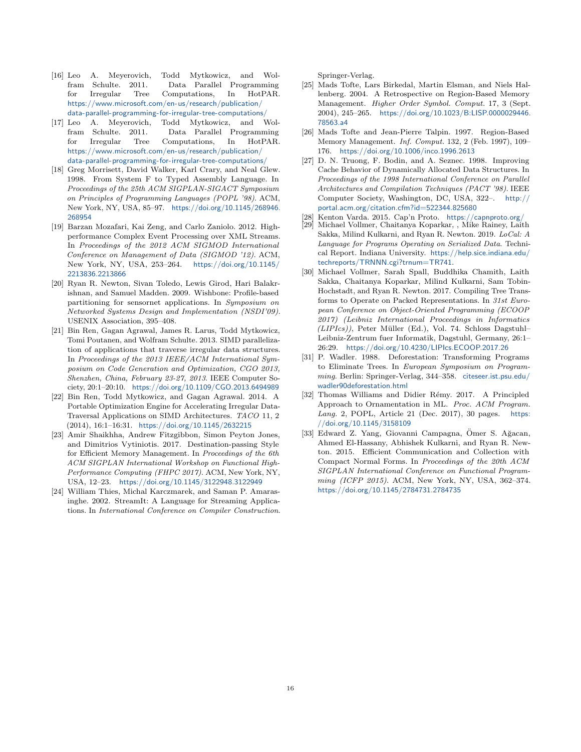- <span id="page-15-1"></span>[16] Leo A. Meyerovich, Todd Mytkowicz, and Wolfram Schulte. 2011. Data Parallel Programming for Irregular Tree Computations, In HotPAR. [https://www.microsoft.com/en-us/research/publication/](https://www.microsoft.com/en-us/research/publication/data- parallel-programming-for-irregular-tree-computations/) [data-parallel-programming-for-irregular-tree-computations/](https://www.microsoft.com/en-us/research/publication/data- parallel-programming-for-irregular-tree-computations/)
- <span id="page-15-17"></span>[17] Leo A. Meyerovich, Todd Mytkowicz, and Wolfram Schulte. 2011. Data Parallel Programming for Irregular Tree Computations, In HotPAR. [https://www.microsoft.com/en-us/research/publication/](https://www.microsoft.com/en-us/research/publication/data-parallel-programming-for-irregular-tree-computations/) [data-parallel-programming-for-irregular-tree-computations/](https://www.microsoft.com/en-us/research/publication/data-parallel-programming-for-irregular-tree-computations/)
- <span id="page-15-7"></span>[18] Greg Morrisett, David Walker, Karl Crary, and Neal Glew. 1998. From System F to Typed Assembly Language. In Proceedings of the 25th ACM SIGPLAN-SIGACT Symposium on Principles of Programming Languages (POPL '98). ACM, New York, NY, USA, 85–97. [https://doi.org/10.1145/268946.](https://doi.org/10.1145/268946.268954) [268954](https://doi.org/10.1145/268946.268954)
- <span id="page-15-14"></span>[19] Barzan Mozafari, Kai Zeng, and Carlo Zaniolo. 2012. Highperformance Complex Event Processing over XML Streams. In Proceedings of the 2012 ACM SIGMOD International Conference on Management of Data (SIGMOD '12). ACM, New York, NY, USA, 253–264. [https://doi.org/10.1145/](https://doi.org/10.1145/2213836.2213866) [2213836.2213866](https://doi.org/10.1145/2213836.2213866)
- <span id="page-15-11"></span>[20] Ryan R. Newton, Sivan Toledo, Lewis Girod, Hari Balakrishnan, and Samuel Madden. 2009. Wishbone: Profile-based partitioning for sensornet applications. In Symposium on Networked Systems Design and Implementation (NSDI'09). USENIX Association, 395–408.
- <span id="page-15-5"></span>[21] Bin Ren, Gagan Agrawal, James R. Larus, Todd Mytkowicz, Tomi Poutanen, and Wolfram Schulte. 2013. SIMD parallelization of applications that traverse irregular data structures. In Proceedings of the 2013 IEEE/ACM International Symposium on Code Generation and Optimization, CGO 2013, Shenzhen, China, February 23-27, 2013. IEEE Computer Society, 20:1–20:10. <https://doi.org/10.1109/CGO.2013.6494989>
- <span id="page-15-6"></span>[22] Bin Ren, Todd Mytkowicz, and Gagan Agrawal. 2014. A Portable Optimization Engine for Accelerating Irregular Data-Traversal Applications on SIMD Architectures. TACO 11, 2 (2014), 16:1–16:31. <https://doi.org/10.1145/2632215>
- <span id="page-15-9"></span>[23] Amir Shaikhha, Andrew Fitzgibbon, Simon Peyton Jones, and Dimitrios Vytiniotis. 2017. Destination-passing Style for Efficient Memory Management. In Proceedings of the 6th ACM SIGPLAN International Workshop on Functional High-Performance Computing (FHPC 2017). ACM, New York, NY, USA, 12–23. <https://doi.org/10.1145/3122948.3122949>
- <span id="page-15-12"></span>[24] William Thies, Michal Karczmarek, and Saman P. Amarasinghe. 2002. StreamIt: A Language for Streaming Applications. In International Conference on Compiler Construction.

Springer-Verlag.

- <span id="page-15-8"></span>[25] Mads Tofte, Lars Birkedal, Martin Elsman, and Niels Hallenberg. 2004. A Retrospective on Region-Based Memory Management. Higher Order Symbol. Comput. 17, 3 (Sept. 2004), 245–265. [https://doi.org/10.1023/B:LISP.0000029446.](https://doi.org/10.1023/B:LISP.0000029446.78563.a4) [78563.a4](https://doi.org/10.1023/B:LISP.0000029446.78563.a4)
- <span id="page-15-10"></span>[26] Mads Tofte and Jean-Pierre Talpin. 1997. Region-Based Memory Management. Inf. Comput. 132, 2 (Feb. 1997), 109– 176. <https://doi.org/10.1006/inco.1996.2613>
- <span id="page-15-4"></span>[27] D. N. Truong, F. Bodin, and A. Seznec. 1998. Improving Cache Behavior of Dynamically Allocated Data Structures. In Proceedings of the 1998 International Conference on Parallel Architectures and Compilation Techniques (PACT '98). IEEE Computer Society, Washington, DC, USA, 322–. [http://](http://portal.acm.org/citation.cfm?id=522344.825680) [portal.acm.org/citation.cfm?id=522344.825680](http://portal.acm.org/citation.cfm?id=522344.825680)
- <span id="page-15-13"></span><span id="page-15-0"></span>[28] Kenton Varda. 2015. Cap'n Proto. <https://capnproto.org/>
- [29] Michael Vollmer, Chaitanya Koparkar, , Mike Rainey, Laith Sakka, Milind Kulkarni, and Ryan R. Newton. 2019. LoCal: A Language for Programs Operating on Serialized Data. Technical Report. Indiana University. [https://help.sice.indiana.edu/](https://help.sice.indiana.edu/techreports/TRNNN.cgi?trnum=TR741) [techreports/TRNNN.cgi?trnum=TR741](https://help.sice.indiana.edu/techreports/TRNNN.cgi?trnum=TR741).
- <span id="page-15-3"></span>[30] Michael Vollmer, Sarah Spall, Buddhika Chamith, Laith Sakka, Chaitanya Koparkar, Milind Kulkarni, Sam Tobin-Hochstadt, and Ryan R. Newton. 2017. Compiling Tree Transforms to Operate on Packed Representations. In 31st European Conference on Object-Oriented Programming (ECOOP 2017) (Leibniz International Proceedings in Informatics  $(LIPIcs)$ ), Peter Müller (Ed.), Vol. 74. Schloss Dagstuhl-Leibniz-Zentrum fuer Informatik, Dagstuhl, Germany, 26:1– 26:29. <https://doi.org/10.4230/LIPIcs.ECOOP.2017.26>
- <span id="page-15-15"></span>[31] P. Wadler. 1988. Deforestation: Transforming Programs to Eliminate Trees. In European Symposium on Programming. Berlin: Springer-Verlag, 344–358. [citeseer.ist.psu.edu/](citeseer.ist.psu.edu/wadler90deforestation.html) [wadler90deforestation.html](citeseer.ist.psu.edu/wadler90deforestation.html)
- <span id="page-15-16"></span>[32] Thomas Williams and Didier Rémy. 2017. A Principled Approach to Ornamentation in ML. Proc. ACM Program. Lang. 2, POPL, Article 21 (Dec. 2017), 30 pages. [https:](https://doi.org/10.1145/3158109) [//doi.org/10.1145/3158109](https://doi.org/10.1145/3158109)
- <span id="page-15-2"></span>[33] Edward Z. Yang, Giovanni Campagna, Ömer S. Ağacan, Ahmed El-Hassany, Abhishek Kulkarni, and Ryan R. Newton. 2015. Efficient Communication and Collection with Compact Normal Forms. In Proceedings of the 20th ACM SIGPLAN International Conference on Functional Programming (ICFP 2015). ACM, New York, NY, USA, 362-374. <https://doi.org/10.1145/2784731.2784735>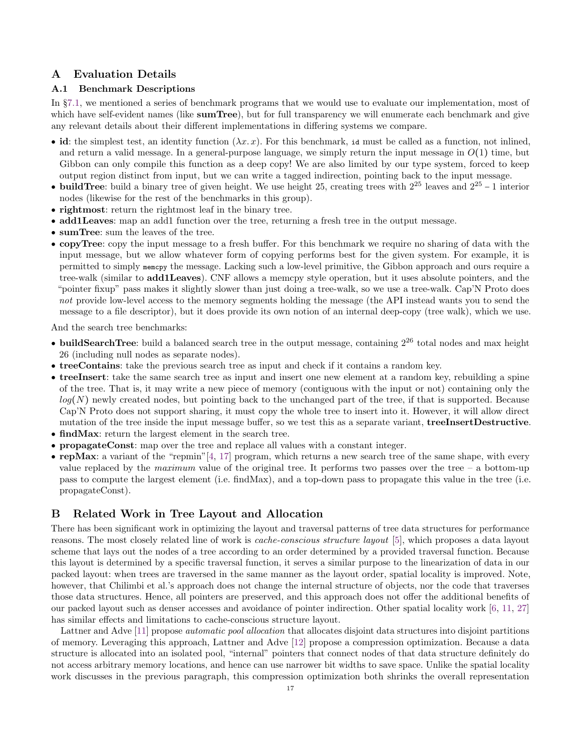# A Evaluation Details

#### <span id="page-16-1"></span>A.1 Benchmark Descriptions

In §[7.1,](#page-11-1) we mentioned a series of benchmark programs that we would use to evaluate our implementation, most of which have self-evident names (like sumTree), but for full transparency we will enumerate each benchmark and give any relevant details about their different implementations in differing systems we compare.

- id: the simplest test, an identity function  $(\lambda x. x)$ . For this benchmark, id must be called as a function, not inlined, and return a valid message. In a general-purpose language, we simply return the input message in  $O(1)$  time, but Gibbon can only compile this function as a deep copy! We are also limited by our type system, forced to keep output region distinct from input, but we can write a tagged indirection, pointing back to the input message.
- buildTree: build a binary tree of given height. We use height 25, creating trees with  $2^{25}$  leaves and  $2^{25}$  1 interior nodes (likewise for the rest of the benchmarks in this group).
- rightmost: return the rightmost leaf in the binary tree.
- add1Leaves: map an add1 function over the tree, returning a fresh tree in the output message.
- sumTree: sum the leaves of the tree.
- copyTree: copy the input message to a fresh buffer. For this benchmark we require no sharing of data with the input message, but we allow whatever form of copying performs best for the given system. For example, it is permitted to simply memcpy the message. Lacking such a low-level primitive, the Gibbon approach and ours require a tree-walk (similar to add1Leaves). CNF allows a memcpy style operation, but it uses absolute pointers, and the "pointer fixup" pass makes it slightly slower than just doing a tree-walk, so we use a tree-walk. Cap'N Proto does not provide low-level access to the memory segments holding the message (the API instead wants you to send the message to a file descriptor), but it does provide its own notion of an internal deep-copy (tree walk), which we use.

And the search tree benchmarks:

- build Search Tree: build a balanced search tree in the output message, containing  $2^{26}$  total nodes and max height 26 (including null nodes as separate nodes).
- treeContains: take the previous search tree as input and check if it contains a random key.
- treeInsert: take the same search tree as input and insert one new element at a random key, rebuilding a spine of the tree. That is, it may write a new piece of memory (contiguous with the input or not) containing only the  $log(N)$  newly created nodes, but pointing back to the unchanged part of the tree, if that is supported. Because Cap'N Proto does not support sharing, it must copy the whole tree to insert into it. However, it will allow direct mutation of the tree inside the input message buffer, so we test this as a separate variant, treeInsertDestructive.
- find Max: return the largest element in the search tree.
- propagateConst: map over the tree and replace all values with a constant integer.
- repMax: a variant of the "repmin" $[4, 17]$  $[4, 17]$  $[4, 17]$  program, which returns a new search tree of the same shape, with every value replaced by the *maximum* value of the original tree. It performs two passes over the tree – a bottom-up pass to compute the largest element (i.e. findMax), and a top-down pass to propagate this value in the tree (i.e. propagateConst).

## <span id="page-16-0"></span>B Related Work in Tree Layout and Allocation

There has been significant work in optimizing the layout and traversal patterns of tree data structures for performance reasons. The most closely related line of work is cache-conscious structure layout [\[5\]](#page-14-5), which proposes a data layout scheme that lays out the nodes of a tree according to an order determined by a provided traversal function. Because this layout is determined by a specific traversal function, it serves a similar purpose to the linearization of data in our packed layout: when trees are traversed in the same manner as the layout order, spatial locality is improved. Note, however, that Chilimbi et al.'s approach does not change the internal structure of objects, nor the code that traverses those data structures. Hence, all pointers are preserved, and this approach does not offer the additional benefits of our packed layout such as denser accesses and avoidance of pointer indirection. Other spatial locality work [\[6,](#page-14-6) [11,](#page-14-7) [27\]](#page-15-4) has similar effects and limitations to cache-conscious structure layout.

Lattner and Adve [\[11\]](#page-14-7) propose *automatic pool allocation* that allocates disjoint data structures into disjoint partitions of memory. Leveraging this approach, Lattner and Adve [\[12\]](#page-14-14) propose a compression optimization. Because a data structure is allocated into an isolated pool, "internal" pointers that connect nodes of that data structure definitely do not access arbitrary memory locations, and hence can use narrower bit widths to save space. Unlike the spatial locality work discusses in the previous paragraph, this compression optimization both shrinks the overall representation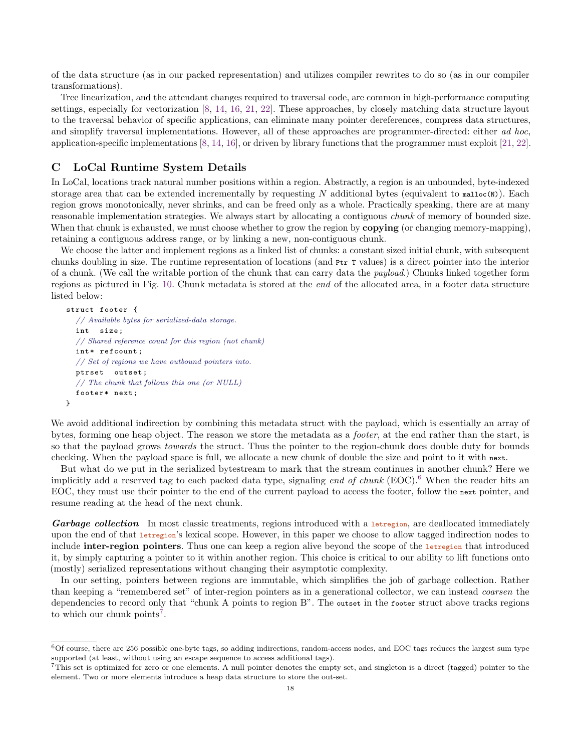of the data structure (as in our packed representation) and utilizes compiler rewrites to do so (as in our compiler transformations).

Tree linearization, and the attendant changes required to traversal code, are common in high-performance computing settings, especially for vectorization [\[8,](#page-14-0) [14,](#page-14-1) [16,](#page-15-1) [21,](#page-15-5) [22\]](#page-15-6). These approaches, by closely matching data structure layout to the traversal behavior of specific applications, can eliminate many pointer dereferences, compress data structures, and simplify traversal implementations. However, all of these approaches are programmer-directed: either ad hoc, application-specific implementations  $[8, 14, 16]$  $[8, 14, 16]$  $[8, 14, 16]$  $[8, 14, 16]$  $[8, 14, 16]$ , or driven by library functions that the programmer must exploit  $[21, 22]$  $[21, 22]$  $[21, 22]$ .

## <span id="page-17-0"></span>C LoCal Runtime System Details

In LoCal, locations track natural number positions within a region. Abstractly, a region is an unbounded, byte-indexed storage area that can be extended incrementally by requesting N additional bytes (equivalent to  $\text{malloc}(N)$ ). Each region grows monotonically, never shrinks, and can be freed only as a whole. Practically speaking, there are at many reasonable implementation strategies. We always start by allocating a contiguous chunk of memory of bounded size. When that chunk is exhausted, we must choose whether to grow the region by **copying** (or changing memory-mapping), retaining a contiguous address range, or by linking a new, non-contiguous chunk.

We choose the latter and implement regions as a linked list of chunks: a constant sized initial chunk, with subsequent chunks doubling in size. The runtime representation of locations (and Ptr T values) is a direct pointer into the interior of a chunk. (We call the writable portion of the chunk that can carry data the payload.) Chunks linked together form regions as pictured in Fig. [10.](#page-18-0) Chunk metadata is stored at the end of the allocated area, in a footer data structure listed below:

```
struct footer {
  // Available bytes for serialized-data storage.
  int size ;
  // Shared reference count for this region (not chunk)
  int* refcount:
  // Set of regions we have outbound pointers into.
  ptrset outset ;
  // The chunk that follows this one (or NULL)
  footer* next;
}
```
We avoid additional indirection by combining this metadata struct with the payload, which is essentially an array of bytes, forming one heap object. The reason we store the metadata as a footer, at the end rather than the start, is so that the payload grows *towards* the struct. Thus the pointer to the region-chunk does double duty for bounds checking. When the payload space is full, we allocate a new chunk of double the size and point to it with next.

But what do we put in the serialized bytestream to mark that the stream continues in another chunk? Here we implicitly add a reserved tag to each packed data type, signaling end of chunk (EOC).<sup>[6](#page-17-1)</sup> When the reader hits an EOC, they must use their pointer to the end of the current payload to access the footer, follow the next pointer, and resume reading at the head of the next chunk.

Garbage collection In most classic treatments, regions introduced with a letregion, are deallocated immediately upon the end of that letregion's lexical scope. However, in this paper we choose to allow tagged indirection nodes to include **inter-region pointers**. Thus one can keep a region alive beyond the scope of the **letregion** that introduced it, by simply capturing a pointer to it within another region. This choice is critical to our ability to lift functions onto (mostly) serialized representations without changing their asymptotic complexity.

In our setting, pointers between regions are immutable, which simplifies the job of garbage collection. Rather than keeping a "remembered set" of inter-region pointers as in a generational collector, we can instead coarsen the dependencies to record only that "chunk A points to region B". The outset in the footer struct above tracks regions to which our chunk points<sup>[7](#page-17-2)</sup>.

<span id="page-17-1"></span> ${}^{6}$ Of course, there are 256 possible one-byte tags, so adding indirections, random-access nodes, and EOC tags reduces the largest sum type supported (at least, without using an escape sequence to access additional tags).

<span id="page-17-2"></span><sup>7</sup>This set is optimized for zero or one elements. A null pointer denotes the empty set, and singleton is a direct (tagged) pointer to the element. Two or more elements introduce a heap data structure to store the out-set.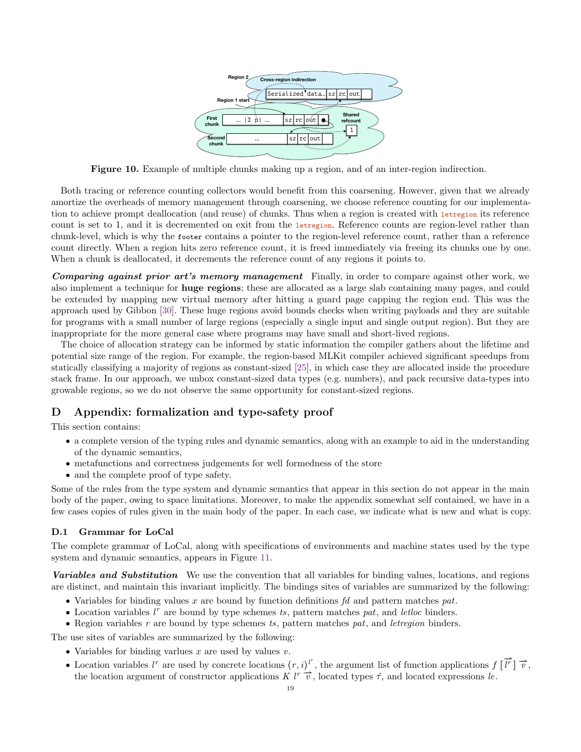

<span id="page-18-0"></span>Figure 10. Example of multiple chunks making up a region, and of an inter-region indirection.

Both tracing or reference counting collectors would benefit from this coarsening. However, given that we already amortize the overheads of memory management through coarsening, we choose reference counting for our implementation to achieve prompt deallocation (and reuse) of chunks. Thus when a region is created with letregion its reference count is set to 1, and it is decremented on exit from the letregion. Reference counts are region-level rather than chunk-level, which is why the footer contains a pointer to the region-level reference count, rather than a reference count directly. When a region hits zero reference count, it is freed immediately via freeing its chunks one by one. When a chunk is deallocated, it decrements the reference count of any regions it points to.

Comparing against prior art's memory management Finally, in order to compare against other work, we also implement a technique for huge regions; these are allocated as a large slab containing many pages, and could be extended by mapping new virtual memory after hitting a guard page capping the region end. This was the approach used by Gibbon [\[30\]](#page-15-3). These huge regions avoid bounds checks when writing payloads and they are suitable for programs with a small number of large regions (especially a single input and single output region). But they are inappropriate for the more general case where programs may have small and short-lived regions.

The choice of allocation strategy can be informed by static information the compiler gathers about the lifetime and potential size range of the region. For example, the region-based MLKit compiler achieved significant speedups from statically classifying a majority of regions as constant-sized [\[25\]](#page-15-8), in which case they are allocated inside the procedure stack frame. In our approach, we unbox constant-sized data types (e.g. numbers), and pack recursive data-types into growable regions, so we do not observe the same opportunity for constant-sized regions.

# D Appendix: formalization and type-safety proof

This section contains:

- a complete version of the typing rules and dynamic semantics, along with an example to aid in the understanding of the dynamic semantics,
- metafunctions and correctness judgements for well formedness of the store
- and the complete proof of type safety.

Some of the rules from the type system and dynamic semantics that appear in this section do not appear in the main body of the paper, owing to space limitations. Moreover, to make the appendix somewhat self contained, we have in a few cases copies of rules given in the main body of the paper. In each case, we indicate what is new and what is copy.

#### D.1 Grammar for LoCal

The complete grammar of LoCal, along with specifications of environments and machine states used by the type system and dynamic semantics, appears in Figure [11.](#page-19-0)

Variables and Substitution We use the convention that all variables for binding values, locations, and regions are distinct, and maintain this invariant implicitly. The bindings sites of variables are summarized by the following:

- Variables for binding values x are bound by function definitions  $fd$  and pattern matches  $pat$ .
- Location variables  $l^r$  are bound by type schemes ts, pattern matches pat, and letloc binders.
- Region variables r are bound by type schemes ts, pattern matches pat, and letregion binders.

The use sites of variables are summarized by the following:

- Variables for binding varlues x are used by values  $v$ .
- Location variables l<sup>r</sup> are used by concrete locations  $\langle r, i \rangle^{l^r}$ , the argument list of function applications  $f\left[\vec{r}\right]$   $\vec{v}$ , the location argument of constructor applications  $K l^r \overrightarrow{v}$ , located types  $\hat{\tau}$ , and located expressions le.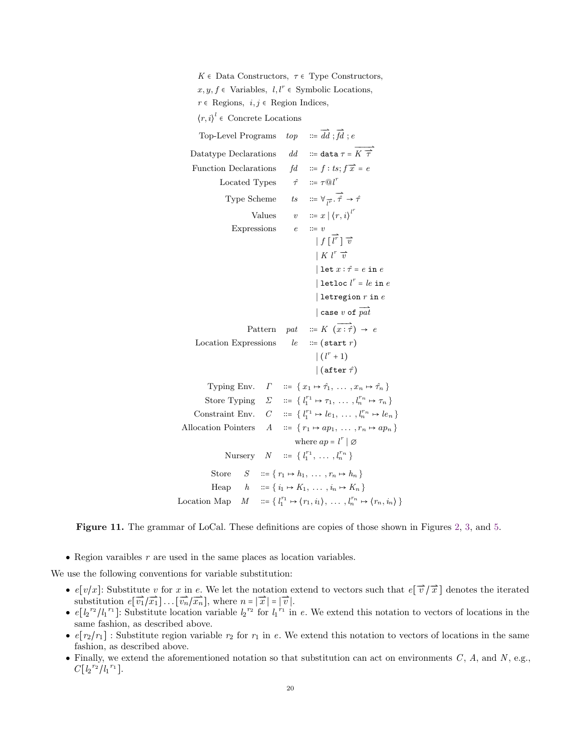$K \in$ Data Constructors,  $\tau \in$  Type Constructors,  $x, y, f \in \text{Variables}, \ l, l^r \in \text{Symbolic Locations},$  $r ∈$  Regions,  $i, j ∈$  Region Indices,

 $\langle r, i \rangle^l \in$  Concrete Locations

<span id="page-19-0"></span>

| Top-Level Programs           | top $::=\overline{dd}$ ; $\overline{fd}$ ; $e$                                                      |
|------------------------------|-----------------------------------------------------------------------------------------------------|
| Datatype Declarations        | $\therefore$ = data $\tau = \overrightarrow{K} \cdot \overrightarrow{\tau}$<br>dd                   |
| <b>Function Declarations</b> | $::= f : ts; f\overrightarrow{x} = e$<br>fd                                                         |
| Located Types                | $\hat{\tau}$ ::= $\tau \mathcal{Q}l^r$                                                              |
| Type Scheme                  | ts $\overrightarrow{x}$ $\overrightarrow{r}$ $\overrightarrow{\hat{\tau}}$ $\rightarrow \hat{\tau}$ |
| Values                       | $::= x \mid \langle r, i \rangle^{l^r}$<br>$\overline{v}$                                           |
| Expressions                  | $::= v$<br>$\epsilon$                                                                               |
|                              | $\vert f \vert \overline{l^r} \vert \overrightarrow{v}$                                             |
|                              | $K l^r \vec{v}$                                                                                     |
|                              | let $x : \hat{\tau} = e$ in $e$                                                                     |
|                              | letloc $l^r = le$ in $e$                                                                            |
|                              | letregion $r$ in $e$                                                                                |
|                              | $\vert$ case $v$ of $\overline{pat}$                                                                |
| Pattern                      | pat $::= K(\overrightarrow{x:\tau}) \rightarrow e$                                                  |
| Location Expressions         | le $\equiv$ (start r)                                                                               |
|                              | $ (l^{r}+1)$                                                                                        |
|                              | $ $ (after $\hat{\tau}$ )                                                                           |
| Typing Env.                  | $\Gamma$ ::= $\{x_1 \mapsto \hat{\tau}_1, \ldots, x_n \mapsto \hat{\tau}_n\}$                       |
| Store Typing                 | $\Sigma$ ::= $\{l_1^{r_1} \mapsto \tau_1, \ldots, l_n^{r_n} \mapsto \tau_n\}$                       |
| Constraint Env.              | $C = \{l_1^{r_1} \mapsto le_1, \ldots, l_n^{r_n} \mapsto le_n\}$                                    |
| Allocation Pointers          | A $\mathrel{\mathop:}=\{r_1 \mapsto ap_1, \ldots, r_n \mapsto ap_n\}$                               |
|                              | where $ap = l^r   \emptyset$                                                                        |
|                              | Nursery $N = \{l_1^{r_1}, \ldots, l_n^{r_n}\}\$                                                     |
| Store                        | $S \rightrightarrows \{r_1 \mapsto h_1, \ldots, r_n \mapsto h_n\}$                                  |
|                              | Heap $h := \{i_1 \mapsto K_1, \ldots, i_n \mapsto K_n\}$                                            |
| M<br>Location Map            | $::=\{l_1^{r_1} \mapsto \langle r_1,i_1\rangle, \ldots, l_n^{r_n} \mapsto \langle r_n,i_n\rangle\}$ |

Figure 11. The grammar of LoCal. These definitions are copies of those shown in Figures [2,](#page-4-1) [3,](#page-4-2) and [5.](#page-6-3)

• Region varaibles  $r$  are used in the same places as location variables.

We use the following conventions for variable substitution:

- $e[v/x]$ : Substitute v for x in e. We let the notation extend to vectors such that  $e[\overrightarrow{v}/\overrightarrow{x}]$  denotes the iterated substitution  $e[\overrightarrow{v_1}/\overrightarrow{x_1}] \dots [\overrightarrow{v_n}/\overrightarrow{x_n}]$ , where  $n = |\overrightarrow{x}| = |\overrightarrow{v}|$ .
- $\bullet$   $e[u^{r_2}/l_1^{r_1}]$ : Substitute location variable  $l_2^{r_2}$  for  $l_1^{r_1}$  in e. We extend this notation to vectors of locations in the same fashion, as described above.
- $e[r_2/r_1]$ : Substitute region variable  $r_2$  for  $r_1$  in e. We extend this notation to vectors of locations in the same fashion, as described above.
- Finally, we extend the aforementioned notation so that substitution can act on environments  $C, A$ , and  $N$ , e.g.,  $C[ l_2^{r_2} / l_1^{r_1}].$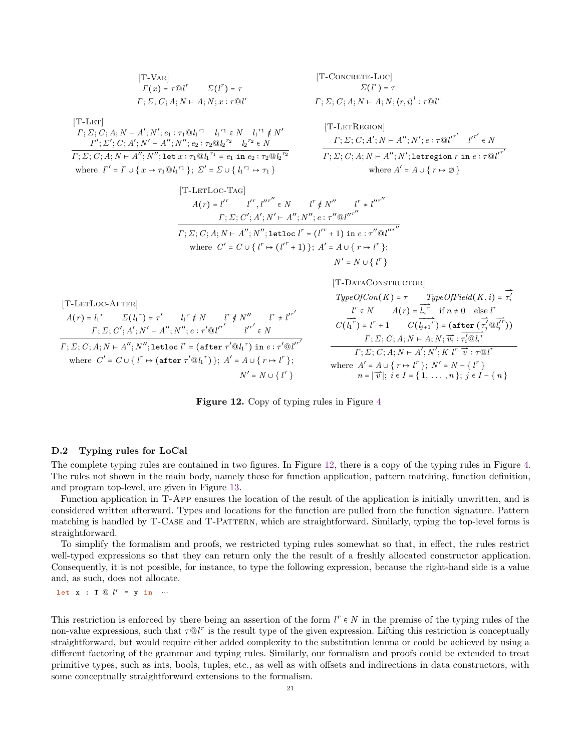<span id="page-20-1"></span>[T-Var] Γ(x) = τ@l <sup>r</sup> Σ(l r ) = τ Γ; Σ; C; A; N ⊢ A; N ; x ∶ τ@l r [T-Concrete-Loc] Σ(l r ) = τ Γ; Σ; C; A; N ⊢ A; N ;⟨r, i⟩ l ∶ τ@l r [T-Let] Γ; Σ; C; A; N ⊢ A ′ ; N ′ ; e<sup>1</sup> ∶ τ1@l<sup>1</sup> r1 l1 r1 ∈ N l<sup>1</sup> r1 ∈/ N ′ Γ ′ ; Σ ′ ; C; A ′ ; N ′ ⊢ A ′′ ; N ′′ ; e<sup>2</sup> ∶ τ2@l<sup>2</sup> r2 l2 r2 ∈ N Γ; Σ; C; A; N ⊢ A ′′ ; N ′′ ; let x ∶ τ1@l<sup>1</sup> <sup>r</sup><sup>1</sup> = e<sup>1</sup> in e<sup>2</sup> ∶ τ2@l<sup>2</sup> r2 where Γ ′ = Γ ∪ { x ↦ τ1@l<sup>1</sup> <sup>r</sup><sup>1</sup> }; Σ ′ = Σ ∪ { l<sup>1</sup> <sup>r</sup><sup>1</sup> ↦ τ<sup>1</sup> } [T-LetRegion] Γ; Σ; C; A ′ ; N ⊢ A ′′ ; N ′ ; e ∶ τ@l ′r ′ l ′r ′ ∈ N Γ; Σ; C; A; N ⊢ A ′′ ; N ′ ; letregion r in e ∶ τ@l ′r ′ where A ′ = A ∪ { r ↦ ∅ } [T-LetLoc-Tag] A(r) = l ′r l ′r , l ′′r ′′ ∈ N l <sup>r</sup> ∈/ N ′′ l r ≠ l ′′r ′′ Γ; Σ; C ′ ; A ′ ; N ′ ⊢ A ′′ ; N ′′ ; e ∶ τ ′′@l ′′r ′′ Γ; Σ; C; A; N ⊢ A ′′ ; N ′′ ; letloc l r = (l ′r + 1) in e ∶ τ ′′@l ′′r ′′ where C ′ = C ∪ { l <sup>r</sup> ↦ (l ′r + 1) }; A ′ = A ∪ { r ↦ l r }; N ′ = N ∪ { l r } [T-LetLoc-After] A(r) = l<sup>1</sup> <sup>r</sup> Σ(l<sup>1</sup> r ) = τ ′ l1 r ∈/ N l <sup>r</sup> ∈/ N ′′ l r ≠ l ′r ′ Γ; Σ; C ′ ; A ′ ; N ′ ⊢ A ′′ ; N ′′ ; e ∶ τ ′@l ′r ′ l ′r ′ ∈ N Γ; Σ; C; A; N ⊢ A ′′ ; N ′′ ; letloc l r = (after τ ′@l<sup>1</sup> r ) in e ∶ τ ′@l ′r ′ where C ′ = C ∪ { l <sup>r</sup> ↦ (after τ ′@l<sup>1</sup> r ) }; A ′ = A ∪ { r ↦ l r }; N ′ = N ∪ { l r } [T-DataConstructor] TypeOfCon(K) = τ TypeOfField(K,i) = Ð⇀ τ ′ i l r ∈ N A(r) = Ð⇀ ln r if n ≠ 0 else l r C( Ð⇀ l1 r ) = l r + 1 C( ÐÐ⇀ l<sup>j</sup>+<sup>1</sup> r ) = (after ( Ð⇀ τ ′ <sup>j</sup> @ Ð⇀ l ′ j r )) Γ; Σ; C; A; N ⊢ A; N ; Ð⇀v<sup>i</sup> <sup>∶</sup> ÐÐÐ⇀ τ ′ <sup>i</sup> @l<sup>i</sup> r Γ; Σ; C; A; N ⊢ A ′ ; N ′ ;K l <sup>r</sup> Ð⇀<sup>v</sup> <sup>∶</sup> <sup>τ</sup>@<sup>l</sup> r where A ′ = A ∪ { r ↦ l r }; N ′ = N − { l r } n = ∣ Ð⇀<sup>v</sup> <sup>∣</sup>; <sup>i</sup> <sup>∈</sup> <sup>I</sup> <sup>=</sup> { <sup>1</sup>, . . . , <sup>n</sup> }; <sup>j</sup> <sup>∈</sup> <sup>I</sup> <sup>−</sup> { <sup>n</sup> }

Figure 12. Copy of typing rules in Figure [4](#page-5-0)

## <span id="page-20-0"></span>D.2 Typing rules for LoCal

The complete typing rules are contained in two figures. In Figure [12,](#page-20-1) there is a copy of the typing rules in Figure [4.](#page-5-0) The rules not shown in the main body, namely those for function application, pattern matching, function definition, and program top-level, are given in Figure [13.](#page-21-0)

Function application in T-App ensures the location of the result of the application is initially unwritten, and is considered written afterward. Types and locations for the function are pulled from the function signature. Pattern matching is handled by T-CASE and T-PATTERN, which are straightforward. Similarly, typing the top-level forms is straightforward.

To simplify the formalism and proofs, we restricted typing rules somewhat so that, in effect, the rules restrict well-typed expressions so that they can return only the the result of a freshly allocated constructor application. Consequently, it is not possible, for instance, to type the following expression, because the right-hand side is a value and, as such, does not allocate.

let  $x : T @ l^r = y in ...$ 

This restriction is enforced by there being an assertion of the form  $l^r \in N$  in the premise of the typing rules of the non-value expressions, such that  $\tau \mathbb{Q}l^r$  is the result type of the given expression. Lifting this restriction is conceptually straightforward, but would require either added complexity to the substitution lemma or could be achieved by using a different factoring of the grammar and typing rules. Similarly, our formalism and proofs could be extended to treat primitive types, such as ints, bools, tuples, etc., as well as with offsets and indirections in data constructors, with some conceptually straightforward extensions to the formalism.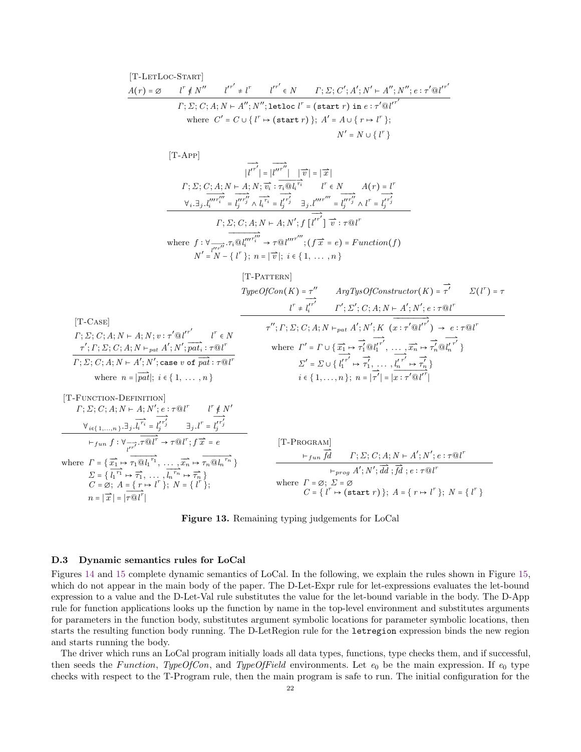<span id="page-21-0"></span>
$$
[\text{T-LerLoc-Strar}]
$$
\n
$$
\frac{A(r) = \emptyset \quad l' \notin N'' \quad l''' \neq l'' \quad l'' \in N \quad r; \Sigma; C'; A'; N' \mapsto A'', N''; e : \tau' \otimes l''
$$
\n
$$
r; \Sigma; C; A; N \mapsto A'', N''; \text{letoc } l' = (\text{start } r) \text{ in } e : \tau' \otimes l''
$$
\nwhere  $C' = C \cup \{I' \mapsto (\text{start } r)\}; A' = A \cup \{\tau \mapsto I'\};$ \n
$$
N' = N \cup \{I'\}
$$
\n
$$
\frac{[I' \bullet]}{I' \times \frac{1}{3}, I'' \times I''} = \frac{I'' \cdot \hat{I} \cup \{I\}}{I'' \cdot \hat{I} \cup \{I\}} = \frac{I'' \cdot \hat{I} \cup \{I\}}{I'' \cdot \hat{I} \cup \{I\}} = \frac{I'' \cdot \hat{I} \cup \{I\}}{I'' \cdot \hat{I} \cup \{I\}} = \frac{I'' \cdot \hat{I} \cup \{I\}}{I'' \cdot \hat{I} \cup \{I\}} = \frac{I'' \cdot \hat{I} \cup \{I\}}{I'' \cdot \hat{I} \cup \{I\}} = \frac{I'' \cdot \hat{I} \cup \{I\}}{I'' \cdot \hat{I} \cup \{I\}} = \frac{I'' \cdot \hat{I} \cup \{I\}}{I'' \cdot \hat{I} \cup \{I\}} = \frac{I'' \cdot \hat{I} \cup \{I\}}{I'' \cdot \hat{I} \cup \{I\}} = \frac{I'' \cdot \hat{I} \cup \{I\}}{I'' \cdot \hat{I} \cup \{I\}} = \frac{I'' \cdot \hat{I} \cup \{I\}}{I'' \cdot \hat{I} \cup \{I\}} = \frac{I'' \cdot \hat{I} \cup \{I\}}{I'' \cdot \hat{I} \cup \{I\}} = \frac{I'' \cdot \hat{I} \cup \{I\}}{I'' \cdot \hat{I} \cup \{I\}} = \frac{I'' \cdot \hat{I} \cup \{I\}}{I'' \cdot \hat{I} \cup \{I\}} = \frac{I'' \cdot \hat{I} \cup \{I\}}{I'' \cdot \hat{I} \cup \{
$$

Figure 13. Remaining typing judgements for LoCal

## <span id="page-21-1"></span>D.3 Dynamic semantics rules for LoCal

Figures [14](#page-22-1) and [15](#page-22-2) complete dynamic semantics of LoCal. In the following, we explain the rules shown in Figure [15,](#page-22-2) which do not appear in the main body of the paper. The D-Let-Expr rule for let-expressions evaluates the let-bound expression to a value and the D-Let-Val rule substitutes the value for the let-bound variable in the body. The D-App rule for function applications looks up the function by name in the top-level environment and substitutes arguments for parameters in the function body, substitutes argument symbolic locations for parameter symbolic locations, then starts the resulting function body running. The D-LetRegion rule for the letregion expression binds the new region and starts running the body.

The driver which runs an LoCal program initially loads all data types, functions, type checks them, and if successful, then seeds the Function, TypeOfCon, and TypeOfField environments. Let  $e_0$  be the main expression. If  $e_0$  type checks with respect to the T-Program rule, then the main program is safe to run. The initial configuration for the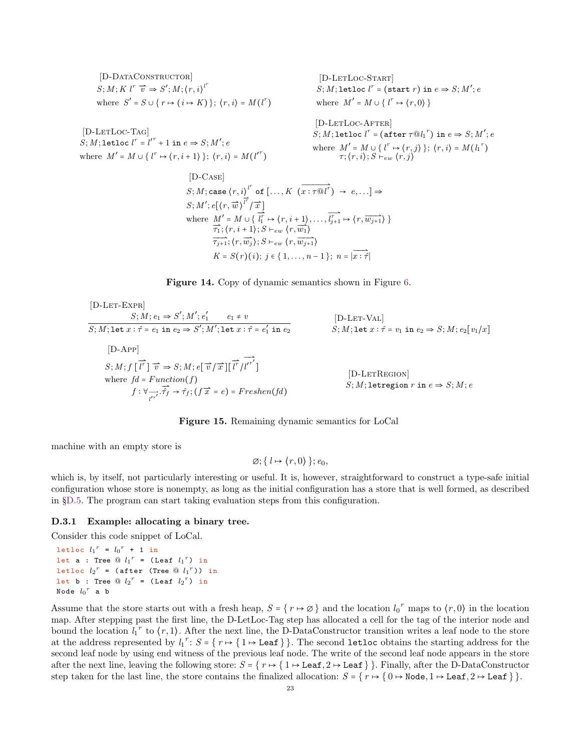<span id="page-22-1"></span>[D-DATACONSTRUCTOR]  $S; M; K \, l^r \, \overrightarrow{v} \Rightarrow S'; M; \langle r, i \rangle^{l^r}$ where  $S' = S \cup \{r \mapsto (i \mapsto K)\}; (r, i) = M(l^r)$ 

[D-LETLOC-TAG]  $S; M;$ letloc  $l^r = l'^r + 1$  in  $e \Rightarrow S; M'; e$ where  $M' = M \cup \{l^r \mapsto \langle r, i+1 \rangle\}; \langle r, i \rangle = M(l'^r)$ 

[D-LetLoc-Start]  $S; M;$ letloc  $l^r$  = (start  $r$ ) in  $e \Rightarrow S; M'; e$ where  $M' = M \cup \{ l^r \mapsto \langle r, 0 \rangle \}$ 

[D-LETLOC-AFTER]  $S; M;$ letloc  $l^r$  = (after  $\tau @ l_1^{\ r})$  in  $e \Rightarrow S; M'; e$ where  $M' = M \cup \{l^r \mapsto \langle r, j \rangle\}; \langle r, i \rangle = M({l_1}^r)$  $\tau$ ;  $\langle r,i \rangle$ ;  $S \vdash_{ew} \langle r,j \rangle$ 

[D-Case] S; M; case  $\langle r, i \rangle^{l^r}$  of  $[\ldots, K \, (\overrightarrow{x : \tau \mathbb{Q}l^r}) \to e, \ldots] \Rightarrow$  $S; M'; e[\langle r, \overrightarrow{w} \rangle^{\overrightarrow{l^r}}/\overrightarrow{x}]$ where  $M' = M \cup \{\overrightarrow{l_1} \mapsto \langle r, i+1 \rangle, \ldots, \overrightarrow{l_{j+1}} \mapsto \langle r, \overrightarrow{w_{j+1}} \rangle\}$  $\overrightarrow{\tau_1}; \langle r, i+1 \rangle; S \vdash_{ew} \langle r, \overrightarrow{w_1} \rangle$  $\overrightarrow{\tau_{j+1}}$ ;  $\langle r, \overrightarrow{w_j} \rangle$ ;  $S \vdash_{ew} \langle r, \overrightarrow{w_{j+1}} \rangle$  $K = S(r)(i); j \in \{1, \ldots, n-1\}; n = |\overrightarrow{x : \hat{\tau}}|$ 



<span id="page-22-2"></span>
$$
[D-LET-EXPR]
$$
\n
$$
S; M; e_1 \Rightarrow S'; M'; e_1' e_1' e_1 \neq v
$$
\n
$$
S; M; \text{let } x : \hat{\tau} = e_1 \text{ in } e_2 \Rightarrow S'; M'; \text{let } x : \hat{\tau} = e_1' \text{ in } e_2
$$
\n
$$
[D-LET-VAL]
$$
\n
$$
S; M; \text{let } x : \hat{\tau} = v_1 \text{ in } e_2 \Rightarrow S; M; e_2[v_1/x]
$$
\n
$$
[D-APP]
$$
\n
$$
S; M; f [\vec{l}^T] \vec{v} \Rightarrow S; M; e [\vec{v}/\vec{x}] [\vec{l}^T/\vec{l'}^T]
$$
\nwhere  $fd = Function(f)$   
\n
$$
f : \forall \overrightarrow{r'} : \hat{\tau}_f \rightarrow \hat{\tau}_f; (f \vec{x} = e) = Freshen(fd)
$$
\n
$$
S; M; \text{letregion } r \text{ in } e \Rightarrow S; M; e
$$



machine with an empty store is

$$
\varnothing;\{\,l\mapsto \langle r,0\rangle\,\};e_0,
$$

which is, by itself, not particularly interesting or useful. It is, however, straightforward to construct a type-safe initial configuration whose store is nonempty, as long as the initial configuration has a store that is well formed, as described in §[D.5.](#page-23-0) The program can start taking evaluation steps from this configuration.

#### <span id="page-22-0"></span>D.3.1 Example: allocating a binary tree.

Consider this code snippet of LoCal.

letloc  $l_1^r = l_0^r + 1$  in let a : Tree  $@ l_1^r = (Leaf l_1^r) in$ letloc  $l_2{}^r$  = (after (Tree  $@l_1{}^r$ )) in let b : Tree  $@ l_2^r = (Leaf l_2^r) in$ Node  $l_0^r$  a b

Assume that the store starts out with a fresh heap,  $S = \{r \mapsto \emptyset\}$  and the location  $l_0^r$  maps to  $\langle r, 0 \rangle$  in the location map. After stepping past the first line, the D-LetLoc-Tag step has allocated a cell for the tag of the interior node and bound the location  $l_1^{\ r}$  to  $\langle r,1\rangle$ . After the next line, the D-DataConstructor transition writes a leaf node to the store at the address represented by  $l_1^r$ :  $S = \{ r \mapsto \{1 \mapsto \text{Leaf}\} \}$ . The second letloc obtains the starting address for the second leaf node by using end witness of the previous leaf node. The write of the second leaf node appears in the store after the next line, leaving the following store:  $S = \{ r \mapsto \{ 1 \mapsto \text{Leaf}, 2 \mapsto \text{Leaf} \} \}$ . Finally, after the D-DataConstructor step taken for the last line, the store contains the finalized allocation:  $S = \{r \mapsto \{0 \mapsto \text{Node}, 1 \mapsto \text{Leaf}, 2 \mapsto \text{Leaf}\}\}.$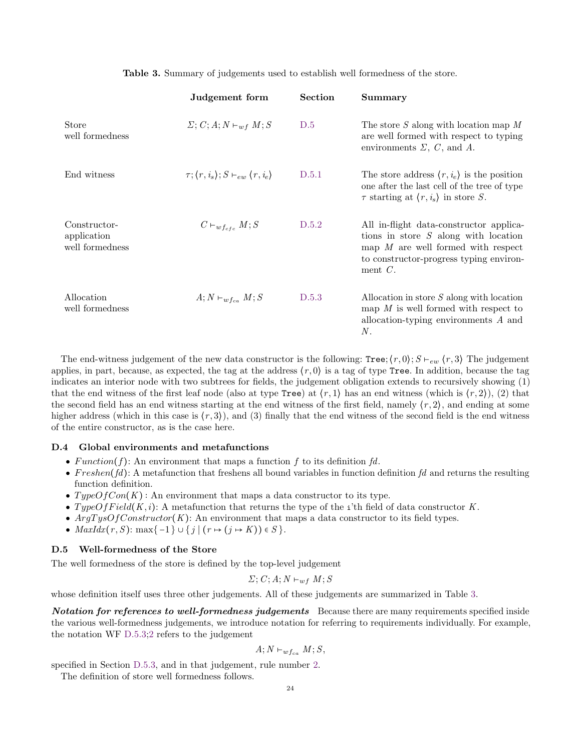| Table 3. Summary of judgements used to establish well formedness of the store. |  |
|--------------------------------------------------------------------------------|--|
|--------------------------------------------------------------------------------|--|

<span id="page-23-1"></span>

|                                                | Judgement form                                                             | <b>Section</b> | Summary                                                                                                                                                                            |
|------------------------------------------------|----------------------------------------------------------------------------|----------------|------------------------------------------------------------------------------------------------------------------------------------------------------------------------------------|
| Store<br>well formedness                       | $\Sigma; C; A; N \vdash_{wf} M; S$                                         | D.5            | The store $S$ along with location map $M$<br>are well formed with respect to typing<br>environments $\Sigma$ , $C$ , and $A$ .                                                     |
| End witness                                    | $\tau$ ; $\langle r, i_s \rangle$ ; $S \vdash_{ew} \langle r, i_e \rangle$ | D.5.1          | The store address $\langle r, i_e \rangle$ is the position<br>one after the last cell of the tree of type<br>$\tau$ starting at $\langle r, i_s \rangle$ in store S.               |
| Constructor-<br>application<br>well formedness | $C\vdash_{w f_{cfc}} M; S$                                                 | D.5.2          | All in-flight data-constructor applica-<br>tions in store $S$ along with location<br>map $M$ are well formed with respect<br>to constructor-progress typing environ-<br>ment $C$ . |
| Allocation<br>well formedness                  | $A; N \vdash_{w f_{ca}} M; S$                                              | D.5.3          | Allocation in store $S$ along with location<br>map $M$ is well formed with respect to<br>allocation-typing environments $A$ and<br>$N$ .                                           |

The end-witness judgement of the new data constructor is the following: Tree; $\langle r, 0 \rangle$ ;  $S \vdash_{ew} \langle r, 3 \rangle$  The judgement applies, in part, because, as expected, the tag at the address  $(r, 0)$  is a tag of type Tree. In addition, because the tag indicates an interior node with two subtrees for fields, the judgement obligation extends to recursively showing (1) that the end witness of the first leaf node (also at type Tree) at  $\langle r, 1 \rangle$  has an end witness (which is  $\langle r, 2 \rangle$ ), (2) that the second field has an end witness starting at the end witness of the first field, namely  $\langle r, 2 \rangle$ , and ending at some higher address (which in this case is  $(r, 3)$ ), and (3) finally that the end witness of the second field is the end witness of the entire constructor, as is the case here.

#### D.4 Global environments and metafunctions

- Function(f): An environment that maps a function f to its definition  $fd$ .
- $Freshen(fd)$ : A metafunction that freshens all bound variables in function definition fd and returns the resulting function definition.
- $TypeOfCon(K)$ : An environment that maps a data constructor to its type.
- TypeOfField(K, i): A metafunction that returns the type of the i'th field of data constructor K.
- $ArgT y sOfConstructor(K)$ : An environment that maps a data constructor to its field types.
- $MaxIdx(r, S)$ : max{-1} ∪ { j |  $(r \mapsto (j \mapsto K)) \in S$  }.

## <span id="page-23-0"></span>D.5 Well-formedness of the Store

The well formedness of the store is defined by the top-level judgement

$$
\Sigma; C; A; N \vdash_{wf} M; S
$$

whose definition itself uses three other judgements. All of these judgements are summarized in Table [3.](#page-23-1)

Notation for references to well-formedness judgements Because there are many requirements specified inside the various well-formedness judgements, we introduce notation for referring to requirements individually. For example, the notation WF [D.5.3;](#page-25-1)[2](#page-25-2) refers to the judgement

$$
A;N\vdash_{wf_{ca}} M;S,
$$

specified in Section [D.5.3,](#page-25-1) and in that judgement, rule number [2.](#page-25-2)

The definition of store well formedness follows.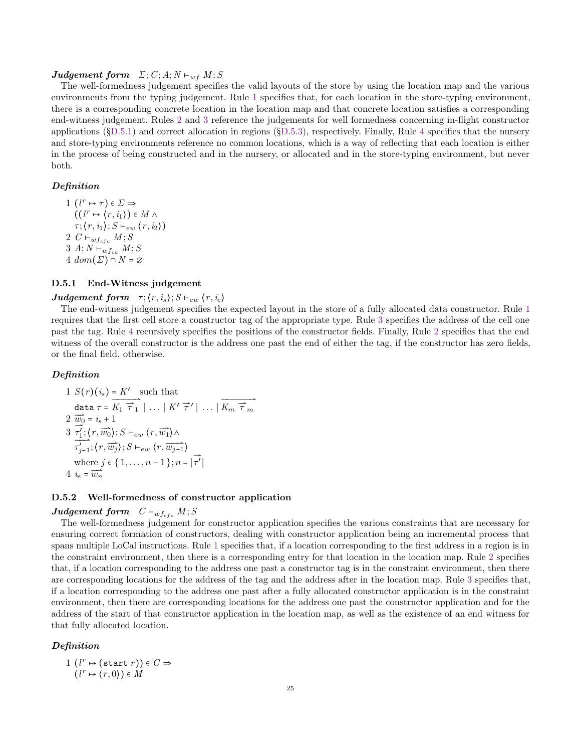#### Judgement form  $\Sigma: C; A; N \vdash_{w f} M; S$

The well-formedness judgement specifies the valid layouts of the store by using the location map and the various environments from the typing judgement. Rule [1](#page-24-2) specifies that, for each location in the store-typing environment, there is a corresponding concrete location in the location map and that concrete location satisfies a corresponding end-witness judgement. Rules [2](#page-24-3) and [3](#page-24-4) reference the judgements for well formedness concerning in-flight constructor applications  $(\text{\&D.5.1})$  and correct allocation in regions  $(\text{\&D.5.3})$ , respectively. Finally, Rule [4](#page-24-5) specifies that the nursery and store-typing environments reference no common locations, which is a way of reflecting that each location is either in the process of being constructed and in the nursery, or allocated and in the store-typing environment, but never both.

## Definition

<span id="page-24-3"></span><span id="page-24-2"></span> $1\ (l^r \mapsto \tau) \in \Sigma \Rightarrow$  $((l^r \mapsto \langle r, i_1 \rangle) \in M \wedge$  $\tau$ ;  $\langle r, i_1 \rangle$ ;  $S \vdash_{ew} \langle r, i_2 \rangle$ ) 2  $C \vdash_{wf_{cfc}} M; S$ 3  $A; N \vdash_{wf_{ca}} M; S$  $4 \text{ dom}(\Sigma) \cap N = \emptyset$ 

## <span id="page-24-5"></span><span id="page-24-4"></span><span id="page-24-0"></span>D.5.1 End-Witness judgement

Judgement form  $\tau$ ;  $\langle r, i_s \rangle$ ;  $S \vdash_{ew} \langle r, i_e \rangle$ 

The end-witness judgement specifies the expected layout in the store of a fully allocated data constructor. Rule [1](#page-24-6) requires that the first cell store a constructor tag of the appropriate type. Rule [3](#page-24-7) specifies the address of the cell one past the tag. Rule [4](#page-24-8) recursively specifies the positions of the constructor fields. Finally, Rule [2](#page-24-9) specifies that the end witness of the overall constructor is the address one past the end of either the tag, if the constructor has zero fields, or the final field, otherwise.

#### Definition

<span id="page-24-9"></span><span id="page-24-7"></span><span id="page-24-6"></span>1 
$$
S(r)(i_s) = K'
$$
 such that  
\n
$$
\frac{\text{data } \tau = K_1 \overrightarrow{\tau}_1 | \dots | K' \overrightarrow{\tau}' | \dots | K_m \overrightarrow{\tau}_m}{2 \overrightarrow{w_0} = i_s + 1}
$$
\n3  $\overrightarrow{\tau'_1; (r, w_0); S \vdash_{ew} \langle r, \overrightarrow{w_1} \rangle \wedge \overrightarrow{\tau'_{j+1}}; (r, \overrightarrow{w_j}); S \vdash_{ew} \langle r, \overrightarrow{w_{j+1}} \rangle}$   
\nwhere  $j \in \{1, \dots, n-1\}; n = |\overrightarrow{\tau'}|$   
\n4  $i_e = \overrightarrow{w_n}$ 

#### <span id="page-24-8"></span><span id="page-24-1"></span>D.5.2 Well-formedness of constructor application

## Judgement form  $C \vdash_{w f_{cfc}} M; S$

The well-formedness judgement for constructor application specifies the various constraints that are necessary for ensuring correct formation of constructors, dealing with constructor application being an incremental process that spans multiple LoCal instructions. Rule [1](#page-24-10) specifies that, if a location corresponding to the first address in a region is in the constraint environment, then there is a corresponding entry for that location in the location map. Rule [2](#page-24-11) specifies that, if a location corresponding to the address one past a constructor tag is in the constraint environment, then there are corresponding locations for the address of the tag and the address after in the location map. Rule [3](#page-25-3) specifies that, if a location corresponding to the address one past after a fully allocated constructor application is in the constraint environment, then there are corresponding locations for the address one past the constructor application and for the address of the start of that constructor application in the location map, as well as the existence of an end witness for that fully allocated location.

## Definition

<span id="page-24-11"></span><span id="page-24-10"></span>
$$
1 \ (l^r \mapsto (\text{start } r)) \in C \Rightarrow
$$

$$
(l^r \mapsto \langle r, 0 \rangle) \in M
$$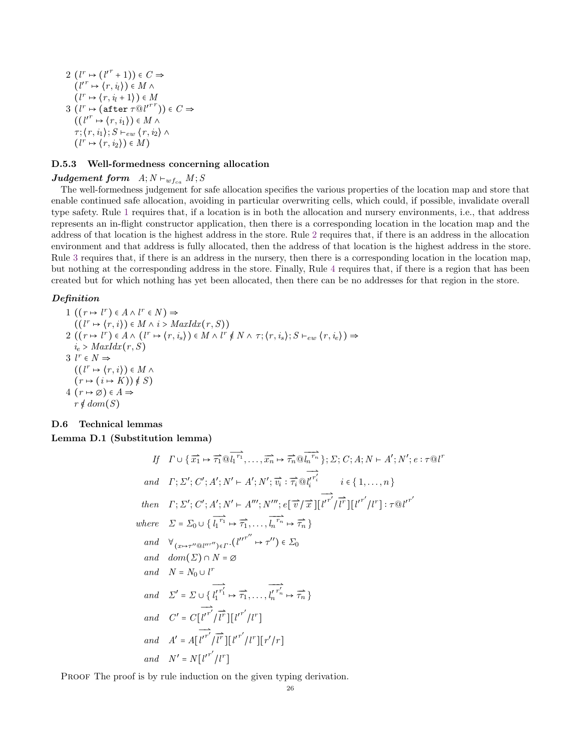<span id="page-25-3"></span>
$$
2 (l^r \mapsto (l'^r + 1)) \in C \Rightarrow
$$
  
\n
$$
(l'^r \mapsto \langle r, i_l \rangle) \in M \land
$$
  
\n
$$
(l^r \mapsto \langle r, i_l + 1 \rangle) \in M
$$
  
\n
$$
3 (l^r \mapsto (\text{after } \tau @{l'}^{r^r})) \in C \Rightarrow
$$
  
\n
$$
((l'^r \mapsto \langle r, i_1 \rangle) \in M \land
$$
  
\n
$$
\tau; \langle r, i_1 \rangle; S \vdash_{ew} \langle r, i_2 \rangle \land
$$
  
\n
$$
(l^r \mapsto \langle r, i_2 \rangle) \in M)
$$

#### <span id="page-25-1"></span>D.5.3 Well-formedness concerning allocation

# Judgement form  $A; N \vdash_{w f_{ca}} M; S$

The well-formedness judgement for safe allocation specifies the various properties of the location map and store that enable continued safe allocation, avoiding in particular overwriting cells, which could, if possible, invalidate overall type safety. Rule [1](#page-25-4) requires that, if a location is in both the allocation and nursery environments, i.e., that address represents an in-flight constructor application, then there is a corresponding location in the location map and the address of that location is the highest address in the store. Rule [2](#page-25-2) requires that, if there is an address in the allocation environment and that address is fully allocated, then the address of that location is the highest address in the store. Rule [3](#page-25-5) requires that, if there is an address in the nursery, then there is a corresponding location in the location map, but nothing at the corresponding address in the store. Finally, Rule [4](#page-25-6) requires that, if there is a region that has been created but for which nothing has yet been allocated, then there can be no addresses for that region in the store.

#### <span id="page-25-4"></span>Definition

<span id="page-25-5"></span><span id="page-25-2"></span>1  $((r \mapsto l^r) \in A \wedge l^r \in N) \Rightarrow$  $((l^r \mapsto \langle r, i \rangle) \in M \land i > \text{MaxIdx}(r, S))$  $2((r \mapsto l^r) \in A \wedge (l^r \mapsto \langle r, i_s \rangle) \in M \wedge l^r \notin N \wedge \tau; \langle r, i_s \rangle; S \vdash_{ew} \langle r, i_e \rangle) \Rightarrow$  $i_e > \text{MaxIdx}(r, S)$  $3 \, l^r \in N \Rightarrow$  $((l^r \mapsto \langle r, i \rangle) \in M \wedge$  $(r \mapsto (i \mapsto K)) \notin S$  $4(r \mapsto \emptyset) \in A \Rightarrow$  $r \notin dom(S)$ 

## <span id="page-25-6"></span><span id="page-25-0"></span>D.6 Technical lemmas

<span id="page-25-7"></span>Lemma D.1 (Substitution lemma)

If 
$$
\Gamma \cup \{\overrightarrow{x_1} \mapsto \overrightarrow{\tau_1} \otimes \overrightarrow{l_1} \overrightarrow{r_1}, \dots, \overrightarrow{x_n} \mapsto \overrightarrow{\tau_n} \otimes \overrightarrow{l_n} \overrightarrow{r_n} \}
$$
;  $\Sigma$ ;  $C$ ;  $A$ ;  $N \mapsto A'$ ;  $N'$ ;  $e : \tau \otimes l'$   
\nand  $\Gamma$ ;  $\Sigma'$ ;  $C'$ ;  $A'$ ;  $N' \mapsto A'$ ;  $N'$ ;  $\overrightarrow{v_i} : \overrightarrow{\tau_i} \otimes \overrightarrow{l_i} \overrightarrow{r_i}$   $i \in \{1, \dots, n\}$   
\nthen  $\Gamma$ ;  $\Sigma'$ ;  $C'$ ;  $A'$ ;  $N' \mapsto A'''$ ;  $N'''$ ;  $e[\overrightarrow{v}/\overrightarrow{x}][l'''\overrightarrow{l^r}][l'''\overrightarrow{l^r}][l'''\overrightarrow{l^r}]\}$  and  $\Gamma$ ;  $\Sigma' \mapsto \overrightarrow{C}$  and  $\overrightarrow{C}$  and  $\overrightarrow{C}$  and  $\overrightarrow{C}$  and  $\overrightarrow{C}$  and  $\overrightarrow{C}$  and  $\overrightarrow{C}$  and  $\overrightarrow{C}$  and  $\overrightarrow{C}$  and  $\overrightarrow{C}$  and  $\overrightarrow{C}$  and  $\overrightarrow{C}' = \Sigma \cup \{l_1'' \rightarrow \overrightarrow{\tau_1}, \dots, l_n'' \rightarrow \overrightarrow{\tau_n}\}$   
\nand  $C' = C[\overrightarrow{l^r}/\overrightarrow{l^r}][l'''\overrightarrow{l^r}][l'''\overrightarrow{l^r}]]$   
\nand  $A' = A[\overrightarrow{l^r'}/\overrightarrow{l^r}][l'''\overrightarrow{l^r}][r''/\overrightarrow{l^r}]]$   
\nand  $N' = N[\overrightarrow{l^r'}/\overrightarrow{l^r}][l'''\overrightarrow{l^r}][r''/\overrightarrow{l^r}][r''/\overrightarrow{l^r}]]$   
\nand  $N' = N[\overrightarrow{l^r'}/\overrightarrow{l^r}][l'''\overrightarrow{l^r}][r''/\overrightarrow{l^r}][r''/\overrightarrow{l^r}][r''/\overrightarrow{l^r}][r''/\overrightarrow{l^r}][r''/\overrightarrow{l^r}][r''/\overrightarrow{l^r}][r''/\overrightarrow{l^$ 

PROOF The proof is by rule induction on the given typing derivation.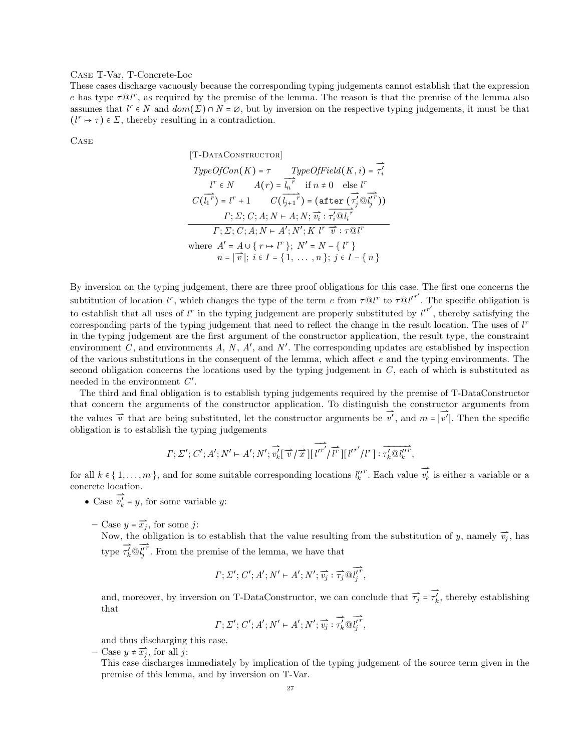#### Case T-Var, T-Concrete-Loc

These cases discharge vacuously because the corresponding typing judgements cannot establish that the expression e has type  $\tau \mathbb{Q}l^r$ , as required by the premise of the lemma. The reason is that the premise of the lemma also assumes that  $l^r \in N$  and  $dom(\Sigma) \cap N = \emptyset$ , but by inversion on the respective typing judgements, it must be that  $(l^r \mapsto \tau) \in \Sigma$ , thereby resulting in a contradiction.

**CASE** 

[T-DATACONSTRUCTOR]

$$
TypeOfCon(K) = \tau
$$
  
\n
$$
TypeOfField(K, i) = \overrightarrow{\tau_i}
$$
  
\n
$$
l^r \in N
$$
  
\n
$$
A(r) = \overrightarrow{l_n}^r
$$
 if  $n \neq 0$  else  $l^r$   
\n
$$
C(\overrightarrow{l_1}^r) = l^r + 1
$$
  
\n
$$
C(\overrightarrow{l_2}^r) = (\text{after } (\overrightarrow{\tau_j} \textcircled{a} \overrightarrow{l_j}^r))
$$
  
\n
$$
I^r; \Sigma; C; A; N \vdash A; N; \overrightarrow{v_i} : \overrightarrow{\tau_i} \textcircled{a} \overrightarrow{l_i}^r
$$
  
\n
$$
I^r; \Sigma; C; A; N \vdash A'; N'; K l^r \overrightarrow{v} : \tau \textcircled{l_i}^r
$$
  
\nwhere  $A' = A \cup \{r \mapsto l^r\}; N' = N - \{l^r\}$   
\n $n = |\overrightarrow{v}|; i \in I = \{1, ..., n\}; j \in I - \{n\}$ 

By inversion on the typing judgement, there are three proof obligations for this case. The first one concerns the subtitution of location  $l^r$ , which changes the type of the term e from  $\tau \otimes l^r$  to  $\tau \otimes l^{r}$ . The specific obligation is to establish that all uses of  $l^r$  in the typing judgement are properly substituted by  $l^{r'}$ , thereby satisfying the corresponding parts of the typing judgement that need to reflect the change in the result location. The uses of  $l<sup>r</sup>$ in the typing judgement are the first argument of the constructor application, the result type, the constraint environment  $C$ , and environments  $A, N, A'$ , and  $N'$ . The corresponding updates are established by inspection of the various substitutions in the consequent of the lemma, which affect  $e$  and the typing environments. The second obligation concerns the locations used by the typing judgement in  $C$ , each of which is substituted as needed in the environment  $C'$ .

The third and final obligation is to establish typing judgements required by the premise of T-DataConstructor that concern the arguments of the constructor application. To distinguish the constructor arguments from the values  $\vec{v}$  that are being substituted, let the constructor arguments be  $\vec{v'}$ , and  $m = |\vec{v'}|$ . Then the specific obligation is to establish the typing judgements

$$
\Gamma; \Sigma'; C'; A'; N' \vdash A'; N'; \overrightarrow{v'_k} \cdot \overrightarrow{v} \cdot \overrightarrow{x} \cdot \overrightarrow{l'} \cdot \overrightarrow{l'} \cdot \overrightarrow{l'} \cdot \overrightarrow{l'} \cdot \overrightarrow{l'} \cdot \overrightarrow{l'} \cdot \overrightarrow{v'}
$$

for all  $k \in \{1,\ldots,m\}$ , and for some suitable corresponding locations  $l_k''$ . Each value  $\overrightarrow{v_k}$  is either a variable or a concrete location.

- Case  $\overrightarrow{v'_k} = y$ , for some variable y:
- Case  $y = \overrightarrow{x_j}$ , for some j:

Now, the obligation is to establish that the value resulting from the substitution of y, namely  $\vec{v}_j$ , has type  $\overrightarrow{\tau'_k}$ <sup>Q</sup>  $\Rightarrow$  $\overline{l_j'}$ . From the premise of the lemma, we have that

$$
\Gamma; \Sigma'; C'; A'; N' \vdash A'; N'; \overrightarrow{v_j} : \overrightarrow{\tau_j} \, \overrightarrow{Q} \overrightarrow{l_j'}^T,
$$

and, moreover, by inversion on T-DataConstructor, we can conclude that  $\vec{\tau}_j = \vec{\tau}_k$ , thereby establishing that

 $\Gamma; \Sigma'; C'; A'; N' \vdash A'; N'; \overrightarrow{v_i} : \overrightarrow{\tau_k'}$  $\tau'_k@$  $\Rightarrow$  $l'_j$  $\overline{r}$ ,

and thus discharging this case.

– Case  $y \neq \overline{x_j}$ , for all j:

This case discharges immediately by implication of the typing judgement of the source term given in the premise of this lemma, and by inversion on T-Var.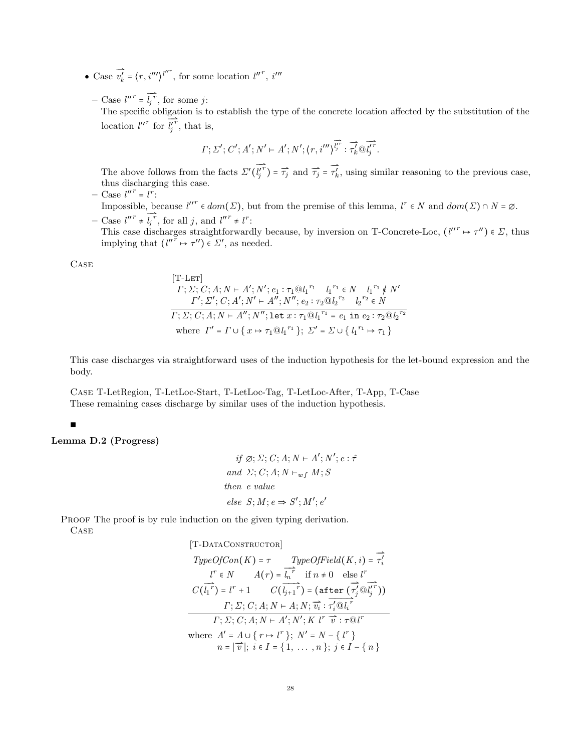- Case  $\overrightarrow{v'_k} = \langle r, i'''\rangle^{l'''}$ , for some location  $l''$ ,  $i''$ 
	- Case  $l''^r = \overrightarrow{l_j}^r$ , for some j:

The specific obligation is to establish the type of the concrete location affected by the substitution of the location  $l^{\prime\prime r}$  for  $\frac{\partial^{\alpha}}{\partial r}$  $\overline{l_j^{\prime r}}$ , that is,

$$
\Gamma; \Sigma'; C'; A'; N' \vdash A'; N'; \langle r, i'''\rangle^{\overrightarrow{l'_{j}}}: \overrightarrow{\tau'_{k}} \overset{\frown}{\otimes} \overrightarrow{l'_{j}}.
$$

The above follows from the facts  $\Sigma'$  $\Rightarrow$  $\overrightarrow{l_j'}$  =  $\overrightarrow{\tau_j}$  and  $\overrightarrow{\tau_j} = \overrightarrow{\tau_k}$ , using similar reasoning to the previous case, thus discharging this case.

 $-$  Case  $l''^r = l^r$ :

Impossible, because  $l''^r \in dom(\Sigma)$ , but from the premise of this lemma,  $l^r \in N$  and  $dom(\Sigma) \cap N = \emptyset$ . – Case  $l''^{r} \neq l_{j}^{r}$ , for all j, and  $l''^{r} \neq l^{r}$ :

This case discharges straightforwardly because, by inversion on T-Concrete-Loc,  $(l'' \mapsto \tau'') \in \Sigma$ , thus implying that  $(l''^r \mapsto \tau'') \in \Sigma'$ , as needed.

**CASE** 

[T-LET]  
\n
$$
\Gamma
$$
;  $\Sigma$ ;  $C$ ;  $A$ ;  $N \vdash A'$ ;  $N'$ ;  $e_1 : \tau_1 @ l_1^{r_1} \t l_1^{r_1} \t N \t l_1^{r_1} \t M \t N'$   
\n $\Gamma'$ ;  $\Sigma'$ ;  $C$ ;  $A'$ ;  $N' \vdash A''$ ;  $N''$ ;  $e_2 : \tau_2 @ l_2^{r_2} \t l_2^{r_2} \t N$   
\n $\Gamma$ ;  $\Sigma$ ;  $C$ ;  $A$ ;  $N \vdash A''$ ;  $N''$ ; **let**  $x : \tau_1 @ l_1^{r_1} = e_1$  in  $e_2 : \tau_2 @ l_2^{r_2}$   
\nwhere  $\Gamma' = \Gamma \cup \{x \mapsto \tau_1 @ l_1^{r_1}\}; \Sigma' = \Sigma \cup \{l_1^{r_1} \mapsto \tau_1\}$ 

This case discharges via straightforward uses of the induction hypothesis for the let-bound expression and the body.

Case T-LetRegion, T-LetLoc-Start, T-LetLoc-Tag, T-LetLoc-After, T-App, T-Case These remaining cases discharge by similar uses of the induction hypothesis.

#### ∎

#### Lemma D.2 (Progress)

if 
$$
\emptyset
$$
;  $\Sigma$ ;  $C$ ;  $A$ ;  $N \vdash A'$ ;  $N'$ ;  $e : \hat{\tau}$   
and  $\Sigma$ ;  $C$ ;  $A$ ;  $N \vdash_{wf} M$ ;  $S$   
then  $e$  value  
else  $S$ ;  $M$ ;  $e \Rightarrow S'$ ;  $M'$ ;  $e'$ 

PROOF The proof is by rule induction on the given typing derivation. Case

[T-DATACONSTRUCTOR]

$$
TypeOfCon(K) = \tau
$$
  
\n
$$
I' \in N
$$
  
\n
$$
I' \in N
$$
  
\n
$$
A(r) = \overline{l_n}^r
$$
 if  $n \neq 0$  else  $l^r$   
\n
$$
C(\overline{l_1}^r) = l^r + 1
$$
  
\n
$$
C(\overline{l_{j+1}}^r) = (\text{after } (\overline{r'_j} \textcircled{u'_j}^r))
$$
  
\n
$$
I; \Sigma; C; A; N \vdash A; N; \overline{v_i} : \overline{r'_i} \textcircled{u_i}^r
$$
  
\n
$$
I; \Sigma; C; A; N \vdash A'; N'; K l^r \overline{v} : \tau \textcircled{u'}^r
$$
  
\nwhere  $A' = A \cup \{r \mapsto l^r\}; N' = N - \{l^r\}$   
\n $n = |\overline{v}|; i \in I = \{1, ..., n\}; j \in I - \{n\}$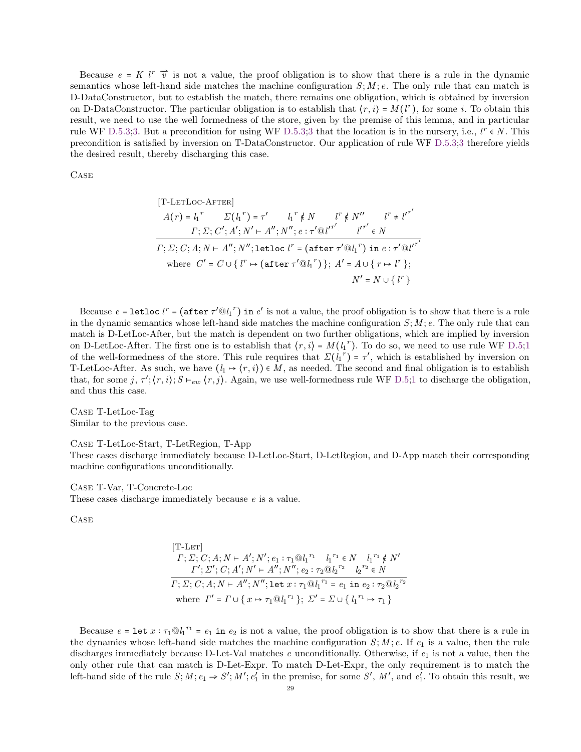Because  $e = K l^r \vec{v}$  is not a value, the proof obligation is to show that there is a rule in the dynamic semantics whose left-hand side matches the machine configuration  $S;M;e$ . The only rule that can match is D-DataConstructor, but to establish the match, there remains one obligation, which is obtained by inversion on D-DataConstructor. The particular obligation is to establish that  $\langle r, i \rangle = M(l^r)$ , for some i. To obtain this result, we need to use the well formedness of the store, given by the premise of this lemma, and in particular rule WF [D.5.3](#page-25-1)[;3.](#page-25-5) But a precondition for using WF [D.5.3;](#page-25-1)[3](#page-25-5) that the location is in the nursery, i.e.,  $l^r \in N$ . This precondition is satisfied by inversion on T-DataConstructor. Our application of rule WF [D.5.3;](#page-25-1)[3](#page-25-5) therefore yields the desired result, thereby discharging this case.

Case

[T-LETLoc-AFTER]  
\n
$$
A(r) = l_1^r \sum (l_1^r) = \tau' \qquad l_1^r \notin N \qquad l^r \notin N'' \qquad l^r \neq l'^{r'}
$$
\n
$$
\Gamma; \Sigma; C'; A'; N' \vdash A''; N''; e : \tau' @ l'^{r'} \qquad l'^{r'} \in N
$$
\n
$$
\Gamma; \Sigma; C; A; N \vdash A''; N''; \text{letloc } l^r = (\text{after } \tau' @ l_1^r) \text{ in } e : \tau' @ l'^{r'}
$$
\nwhere  $C' = C \cup \{ l^r \mapsto (\text{after } \tau' @ l_1^r) \}; A' = A \cup \{ r \mapsto l^r \};$ \n
$$
N' = N \cup \{ l^r \}
$$

Because  $e = \text{letloc } l^r = (\text{after } \tau' @ l_1^r) \text{ in } e' \text{ is not a value, the proof obligation is to show that there is a rule.}$ in the dynamic semantics whose left-hand side matches the machine configuration  $S;M;e$ . The only rule that can match is D-LetLoc-After, but the match is dependent on two further obligations, which are implied by inversion on D-LetLoc-After. The first one is to establish that  $\langle r, i \rangle = M(l_1^r)$  $\langle r, i \rangle = M(l_1^r)$  $\langle r, i \rangle = M(l_1^r)$ . To do so, we need to use rule WF [D.5;](#page-23-0)1 of the well-formedness of the store. This rule requires that  $\Sigma(l_1^r) = \tau'$ , which is established by inversion on T-LetLoc-After. As such, we have  $(l_1 \mapsto \langle r, i \rangle) \in M$ , as needed. The second and final obligation is to establish that, for some j,  $\tau'$ ;  $\langle r, i \rangle$ ;  $S \vdash_{ew} \langle r, j \rangle$ . Again, we use well-formedness rule WF [D.5;](#page-23-0)[1](#page-24-2) to discharge the obligation, and thus this case.

Case T-LetLoc-Tag Similar to the previous case.

Case T-LetLoc-Start, T-LetRegion, T-App

These cases discharge immediately because D-LetLoc-Start, D-LetRegion, and D-App match their corresponding machine configurations unconditionally.

Case T-Var, T-Concrete-Loc These cases discharge immediately because e is a value.

Case

[T-LET]  
\n
$$
\Gamma
$$
;  $\Sigma$ ;  $C$ ;  $A$ ;  $N \vdash A'$ ;  $N'$ ;  $e_1 : \tau_1 @ l_1^{r_1} \t l_1^{r_1} \t N \t l_1^{r_1} \t M'$   
\n $\Gamma'$ ;  $\Sigma'$ ;  $C$ ;  $A'$ ;  $N' \vdash A''$ ;  $N''$ ;  $e_2 : \tau_2 @ l_2^{r_2} \t l_2^{r_2} \t N$   
\n $\overline{\Gamma}$ ;  $\Sigma$ ;  $C$ ;  $A$ ;  $N \vdash A''$ ;  $N''$ ; let  $x : \tau_1 @ l_1^{r_1} = e_1$  in  $e_2 : \tau_2 @ l_2^{r_2}$   
\nwhere  $\Gamma' = \Gamma \cup \{x \mapsto \tau_1 @ l_1^{r_1}\}; \Sigma' = \Sigma \cup \{l_1^{r_1} \mapsto \tau_1\}$ 

Because  $e = \text{let } x : \tau_1 \otimes l_1^{r_1} = e_1$  in  $e_2$  is not a value, the proof obligation is to show that there is a rule in the dynamics whose left-hand side matches the machine configuration  $S;M;e$ . If  $e_1$  is a value, then the rule discharges immediately because D-Let-Val matches  $e$  unconditionally. Otherwise, if  $e_1$  is not a value, then the only other rule that can match is D-Let-Expr. To match D-Let-Expr, the only requirement is to match the left-hand side of the rule  $S; M; e_1 \Rightarrow S'; M'; e'_1$  in the premise, for some  $S', M'$ , and  $e'_1$ . To obtain this result, we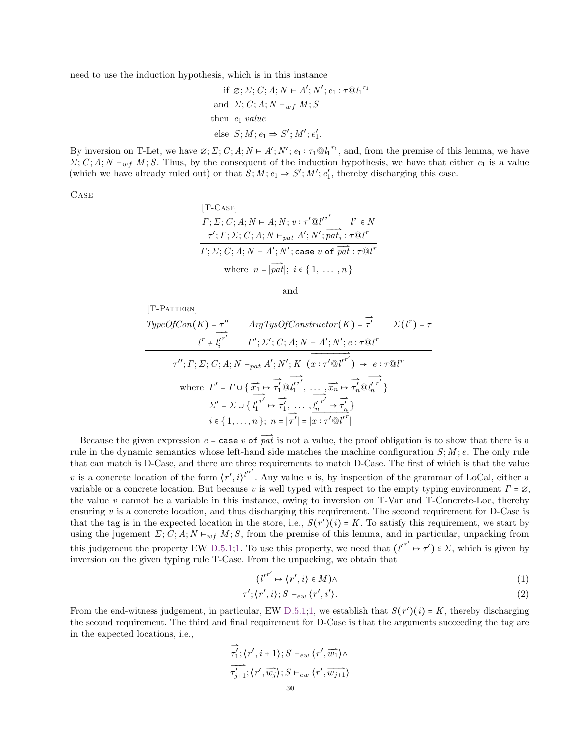need to use the induction hypothesis, which is in this instance

[T-Pattern]

if 
$$
\emptyset
$$
;  $\Sigma$ ;  $C$ ;  $A$ ;  $N \vdash A'$ ;  $N'$ ;  $e_1 : \tau \mathbb{Q}l_1^{r_1}$   
and  $\Sigma$ ;  $C$ ;  $A$ ;  $N \vdash_{wf} M$ ;  $S$   
then  $e_1$  value  
else  $S$ ;  $M$ ;  $e_1 \Rightarrow S'$ ;  $M'$ ;  $e'_1$ .

By inversion on T-Let, we have  $\emptyset; \Sigma; C; A; N \vdash A'; N'; e_1 : \tau_1 \mathbb{Q}l_1^{r_1}$ , and, from the premise of this lemma, we have  $\Sigma$ ; C; A; N  $\vdash_{wf} M$ ; S. Thus, by the consequent of the induction hypothesis, we have that either  $e_1$  is a value (which we have already ruled out) or that  $S; M; e_1 \Rightarrow S'; M'; e'_1$ , thereby discharging this case.

**CASE** 

[T-CASE]  
\n
$$
\Gamma
$$
;  $\Sigma$ ;  $C$ ;  $A$ ;  $N \vdash A$ ;  $N$ ;  $v : \tau' \tcdot \tcdot u'^{r'}$   $l^r \in N$   
\n $\tau'$ ;  $\Gamma$ ;  $\Sigma$ ;  $C$ ;  $A$ ;  $N \vdash_{pat} A'$ ;  $N'$ ;  $\overrightarrow{pat_i} : \tau \tcdot \tcdot u'^{r}$   
\n $\Gamma$ ;  $\Sigma$ ;  $C$ ;  $A$ ;  $N \vdash A'$ ;  $N'$ ; case  $v$  of  $\overrightarrow{pat} : \tau \tcdot \tcdot u'^{r}$   
\nwhere  $n = |\overrightarrow{pat}|$ ;  $i \in \{1, ..., n\}$ 

and

$$
TypeOfCon(K) = \tau''
$$
\n
$$
ArgTysOfConstructor(K) = \overrightarrow{\tau'} \quad \Sigma(l^r) = \tau
$$
\n
$$
l^r \neq l_i^{rr'} \quad \Gamma'; \Sigma'; C; A; N \vdash A'; N'; e : \tau @ l^r
$$
\n
$$
\tau''; \Gamma; \Sigma; C; A; N \vdash_{pat} A'; N'; K \quad (\overrightarrow{x : \tau' @ l'^{r'}}) \rightarrow e : \tau @ l^r
$$
\n
$$
\text{where } \Gamma' = \Gamma \cup \{\overrightarrow{x_1} \mapsto \overrightarrow{\tau'_1} @ \overrightarrow{l'_1}'; \dots, \overrightarrow{x_n} \mapsto \overrightarrow{\tau'_n} @ \overrightarrow{l'_n} \}
$$
\n
$$
\Sigma' = \Sigma \cup \{ l_1^{r'} \mapsto \overrightarrow{\tau'_1}, \dots, l_n^{r'} \mapsto \overrightarrow{\tau'_n} \}
$$
\n
$$
i \in \{1, \dots, n\}; n = |\overrightarrow{\tau'}| = |\overrightarrow{x : \tau' @ l'^r}|
$$

Because the given expression  $e = \csc v$  of  $\overrightarrow{pat}$  is not a value, the proof obligation is to show that there is a rule in the dynamic semantics whose left-hand side matches the machine configuration  $S;M;e$ . The only rule that can match is D-Case, and there are three requirements to match D-Case. The first of which is that the value v is a concrete location of the form  $\langle r',i\rangle^{l'''}$ . Any value v is, by inspection of the grammar of LoCal, either a variable or a concrete location. But because v is well typed with respect to the empty typing environment  $\Gamma = \emptyset$ , the value  $v$  cannot be a variable in this instance, owing to inversion on T-Var and T-Concrete-Loc, thereby ensuring  $v$  is a concrete location, and thus discharging this requirement. The second requirement for D-Case is that the tag is in the expected location in the store, i.e.,  $S(r)(i) = K$ . To satisfy this requirement, we start by using the jugement  $\Sigma; C; A; N \vdash_{wf} M; S$ , from the premise of this lemma, and in particular, unpacking from this judgement the property EW [D.5.1](#page-24-0)[;1.](#page-24-6) To use this property, we need that  $(l^{r^{r'}} \mapsto \tau') \in \Sigma$ , which is given by inversion on the given typing rule T-Case. From the unpacking, we obtain that

<span id="page-29-0"></span>
$$
(l^{r^{r'}} \mapsto \langle r', i \rangle \in M) \wedge \tag{1}
$$

$$
\tau'; (r', i); S \vdash_{ew} \langle r', i' \rangle. \tag{2}
$$

From the end-witness judgement, in particular, EW [D.5.1;](#page-24-0)[1,](#page-24-6) we establish that  $S(r)(i) = K$ , thereby discharging the second requirement. The third and final requirement for D-Case is that the arguments succeeding the tag are in the expected locations, i.e.,

$$
\overrightarrow{\tau_1}; \langle r', i+1 \rangle; S \vdash_{ew} \langle r', \overrightarrow{w_1} \rangle \land \overrightarrow{\tau_{j+1}}; \langle r', \overrightarrow{w_j} \rangle; S \vdash_{ew} \langle r', \overrightarrow{w_{j+1}} \rangle
$$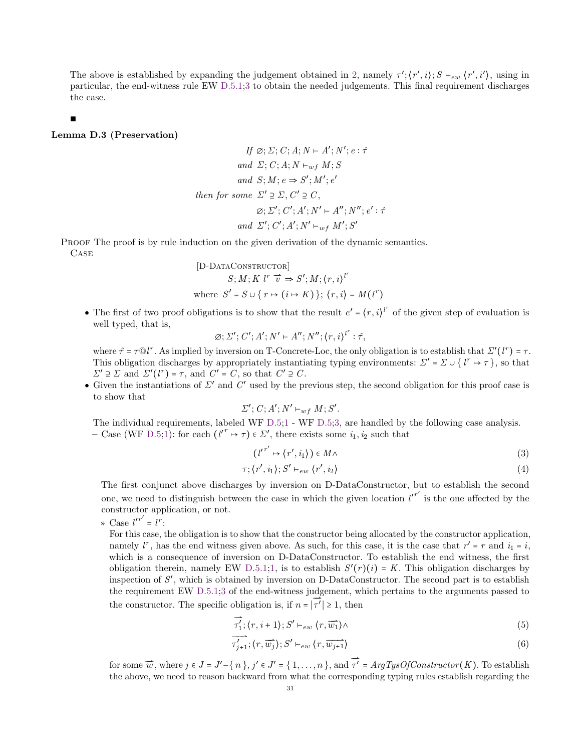The above is established by expanding the judgement obtained in [2,](#page-29-0) namely  $\tau'; \langle r', i \rangle; S \vdash_{ew} \langle r', i' \rangle$ , using in particular, the end-witness rule EW [D.5.1;](#page-24-0)[3](#page-24-7) to obtain the needed judgements. This final requirement discharges the case.

∎

Lemma D.3 (Preservation)

If 
$$
\emptyset
$$
;  $\Sigma$ ;  $C$ ;  $A$ ;  $N \vdash A'$ ;  $N'$ ;  $e : \hat{\tau}$   
\nand  $\Sigma$ ;  $C$ ;  $A$ ;  $N \vdash_{wf} M$ ;  $S$   
\nand  $S$ ;  $M$ ;  $e \Rightarrow S'$ ;  $M'$ ;  $e'$   
\nthen for some  $\Sigma' \supseteq \Sigma$ ,  $C' \supseteq C$ ,  
\n $\emptyset$ ;  $\Sigma'$ ;  $C'$ ;  $A'$ ;  $N' \vdash A''$ ;  $N''$ ;  $e' : \hat{\tau}$   
\nand  $\Sigma'$ ;  $C'$ ;  $A'$ ;  $N' \vdash_{wf} M'$ ;  $S'$ 

PROOF The proof is by rule induction on the given derivation of the dynamic semantics. **CASE** 

[D-DATACONSTRUCTOR]  
\n
$$
S; M; K l^r \overrightarrow{v} \Rightarrow S'; M; \langle r, i \rangle^{l^r}
$$
  
\nwhere  $S' = S \cup \{ r \mapsto (i \mapsto K) \}; \langle r, i \rangle = M(l^r)$ 

• The first of two proof obligations is to show that the result  $e' = (r, i)^{l^r}$  of the given step of evaluation is well typed, that is,

$$
\varnothing;\varSigma';C';A';N'+A'';N'';\langle r,i\rangle^{l^{r}}:\hat{\tau},
$$

where  $\hat{\tau} = \tau \mathbb{Q} l^r$ . As implied by inversion on T-Concrete-Loc, the only obligation is to establish that  $\Sigma'(l^r) = \tau$ . This obligation discharges by appropriately instantiating typing environments:  $\Sigma' = \Sigma \cup \{l^r \mapsto \tau\}$ , so that  $\Sigma' \supseteq \Sigma$  and  $\Sigma'(l^r) = \tau$ , and  $C' = C$ , so that  $C' \supseteq C$ .

• Given the instantiations of  $\Sigma'$  and  $C'$  used by the previous step, the second obligation for this proof case is to show that

$$
\Sigma'; C; A'; N' \vdash_{wf} M; S'.
$$

The individual requirements, labeled WF [D.5;](#page-23-0)[1](#page-24-2) - WF [D.5;](#page-23-0)[3,](#page-24-4) are handled by the following case analysis. – Case (WF [D.5;](#page-23-0)[1\)](#page-24-2): for each  $(l^{r} \mapsto \tau) \in \Sigma'$ , there exists some  $i_1, i_2$  such that

<span id="page-30-1"></span>
$$
(l^{r^{r'}} \mapsto \langle r', i_1 \rangle) \in M \wedge \tag{3}
$$

$$
\tau; \langle r', i_1 \rangle; S' \vdash_{ew} \langle r', i_2 \rangle \tag{4}
$$

The first conjunct above discharges by inversion on D-DataConstructor, but to establish the second one, we need to distinguish between the case in which the given location  $l'^{r'}$  is the one affected by the constructor application, or not.

\* Case  $l^{r'} = l^r$ :

For this case, the obligation is to show that the constructor being allocated by the constructor application, namely  $l^r$ , has the end witness given above. As such, for this case, it is the case that  $r' = r$  and  $i_1 = i$ , which is a consequence of inversion on D-DataConstructor. To establish the end witness, the first obligation therein, namely EW [D.5.1;](#page-24-0)[1,](#page-24-6) is to establish  $S'(r)(i) = K$ . This obligation discharges by inspection of S ′ , which is obtained by inversion on D-DataConstructor. The second part is to establish the requirement EW [D.5.1](#page-24-0)[;3](#page-24-7) of the end-witness judgement, which pertains to the arguments passed to the constructor. The specific obligation is, if  $n = |\tau'| \geq 1$ , then

<span id="page-30-0"></span>
$$
\overrightarrow{\tau_1}; (r, i+1); S' \vdash_{ew} \langle r, \overrightarrow{w_1} \rangle \wedge \tag{5}
$$

$$
\overrightarrow{\tau'_{j+1}}; \langle r, \overrightarrow{w_j} \rangle; S' \vdash_{ew} \langle r, \overrightarrow{w_{j+1}} \rangle \tag{6}
$$

for some  $\vec{w}$ , where  $j \in J = J' - \{n\}$ ,  $j' \in J' = \{1, ..., n\}$ , and  $\vec{\tau'} = ArgTysOfConstruction(K)$ . To establish the above, we need to reason backward from what the corresponding typing rules establish regarding the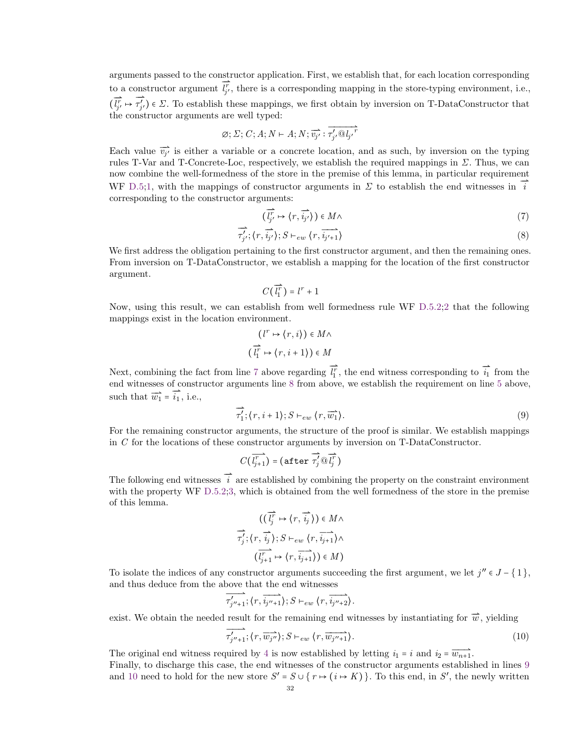arguments passed to the constructor application. First, we establish that, for each location corresponding to a constructor argument  $\overline{l_{j'}^r}$ , there is a corresponding mapping in the store-typing environment, i.e.,  $(\overrightarrow{l_{ij}} \mapsto \overrightarrow{\tau_{ji}}) \in \Sigma$ . To establish these mappings, we first obtain by inversion on T-DataConstructor that the constructor arguments are well typed:

$$
\varnothing; \varSigma; C; A; N \vdash A; N; \overrightarrow{v_{j'}}; \overrightarrow{\tau'_{j'} \mathbb{Q}l_{j'}}^r
$$

Each value  $\overrightarrow{v}_{j'}$  is either a variable or a concrete location, and as such, by inversion on the typing rules T-Var and T-Concrete-Loc, respectively, we establish the required mappings in  $\Sigma$ . Thus, we can now combine the well-formedness of the store in the premise of this lemma, in particular requirement WF [D.5;](#page-23-0)[1,](#page-24-2) with the mappings of constructor arguments in  $\Sigma$  to establish the end witnesses in  $\overline{i}$ corresponding to the constructor arguments:

<span id="page-31-1"></span><span id="page-31-0"></span>
$$
\left(\overrightarrow{l_{j'}}\mapsto\left\langle r,\overrightarrow{i_{j'}}\right\rangle\right)\in M\wedge\tag{7}
$$

$$
\overrightarrow{r'_{j'}}; \langle r, \overrightarrow{i_{j'}} \rangle; S \vdash_{ew} \langle r, \overrightarrow{i_{j'+1}} \rangle \tag{8}
$$

We first address the obligation pertaining to the first constructor argument, and then the remaining ones. From inversion on T-DataConstructor, we establish a mapping for the location of the first constructor argument.

$$
C(\overrightarrow{l_1^r})=l^r+1
$$

Now, using this result, we can establish from well formedness rule WF [D.5.2;](#page-24-1)[2](#page-24-11) that the following mappings exist in the location environment.

<span id="page-31-2"></span>
$$
(l^r \mapsto \langle r, i \rangle) \in M \wedge
$$
  

$$
(\overline{l_1^r} \mapsto \langle r, i + 1 \rangle) \in M
$$

Next, combining the fact from line [7](#page-31-0) above regarding  $\overrightarrow{l_1}$ , the end witness corresponding to  $\overrightarrow{i_1}$  from the end witnesses of constructor arguments line [8](#page-31-1) from above, we establish the requirement on line [5](#page-30-0) above, such that  $\overrightarrow{w_1} = \overrightarrow{i_1}$ , i.e.,

$$
\overrightarrow{r_1}; (r, i+1); S \vdash_{ew} \langle r, \overrightarrow{w_1} \rangle. \tag{9}
$$

For the remaining constructor arguments, the structure of the proof is similar. We establish mappings in  $C$  for the locations of these constructor arguments by inversion on T-DataConstructor.

$$
C(\overrightarrow{l_{j+1}}) = (\text{after } \overrightarrow{\tau_j} \textcircled{a} \overrightarrow{l_j})
$$

The following end witnesses  $\overrightarrow{i}$  are established by combining the property on the constraint environment with the property WF [D.5.2](#page-24-1)[;3,](#page-25-3) which is obtained from the well formedness of the store in the premise of this lemma.

$$
((\overrightarrow{l_j^r} \mapsto \langle r, \overrightarrow{i_j}) ) \in M \land \n\overrightarrow{r_j}; \langle r, \overrightarrow{i_j} \rangle; S \vdash_{ew} \langle r, \overrightarrow{i_{j+1}} \rangle \land (\overrightarrow{l_{j+1}^r} \mapsto \langle r, \overrightarrow{i_{j+1}} \rangle) \in M)
$$

To isolate the indices of any constructor arguments succeeding the first argument, we let  $j'' \in J - \{1\}$ , and thus deduce from the above that the end witnesses

$$
\overrightarrow{\tau'_{j''+1}}; \langle r, \overrightarrow{i_{j''+1}} \rangle; S \vdash_{ew} \langle r, \overrightarrow{i_{j''+2}} \rangle.
$$

exist. We obtain the needed result for the remaining end witnesses by instantiating for  $\vec{w}$ , yielding

<span id="page-31-3"></span>
$$
\overrightarrow{\tau'_{j''+1}}; \langle r, \overrightarrow{w_{j''}} \rangle; S \vdash_{ew} \langle r, \overrightarrow{w_{j''+1}} \rangle. \tag{10}
$$

The original end witness required by [4](#page-30-1) is now established by letting  $i_1 = i$  and  $i_2 = \overrightarrow{w_{n+1}}$ .

Finally, to discharge this case, the end witnesses of the constructor arguments established in lines [9](#page-31-2) and [10](#page-31-3) need to hold for the new store  $S' = S \cup \{r \mapsto (i \mapsto K)\}\.$  To this end, in S', the newly written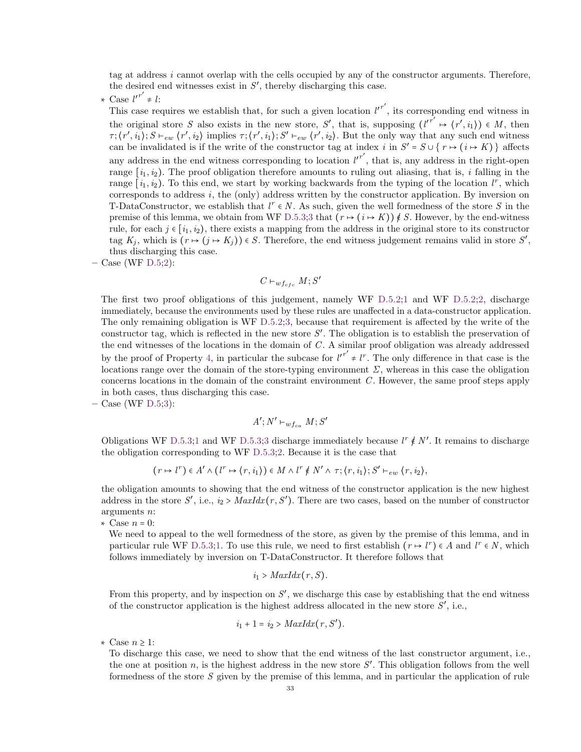tag at address i cannot overlap with the cells occupied by any of the constructor arguments. Therefore, the desired end witnesses exist in  $S'$ , thereby discharging this case.

∗ Case  $l'^{r'}$  ≠ l:

This case requires we establish that, for such a given location  $l^{r^{r'}}$ , its corresponding end witness in the original store S also exists in the new store, S', that is, supposing  $(l^{r^{r'}} \mapsto (r', i_1)) \in M$ , then  $\tau$ ;  $\langle r', i_1 \rangle$ ;  $S \vdash_{ew} \langle r', i_2 \rangle$  implies  $\tau$ ;  $\langle r', i_1 \rangle$ ;  $S' \vdash_{ew} \langle r', i_2 \rangle$ . But the only way that any such end witness can be invalidated is if the write of the constructor tag at index i in  $S' = S \cup \{r \mapsto (i \mapsto K)\}\$ affects any address in the end witness corresponding to location  $l^{r'}$ , that is, any address in the right-open range  $[i_1,i_2]$ . The proof obligation therefore amounts to ruling out aliasing, that is, i falling in the range  $[i_1, i_2]$ . To this end, we start by working backwards from the typing of the location  $l^r$ , which corresponds to address  $i$ , the (only) address written by the constructor application. By inversion on T-DataConstructor, we establish that  $l^r \in N$ . As such, given the well formedness of the store S in the premise of this lemma, we obtain from WF [D.5.3](#page-25-1)[;3](#page-25-5) that  $(r \mapsto (i \mapsto K)) \notin S$ . However, by the end-witness rule, for each  $j \in [i_1, i_2)$ , there exists a mapping from the address in the original store to its constructor tag  $K_j$ , which is  $(r \mapsto (j \mapsto K_j)) \in S$ . Therefore, the end witness judgement remains valid in store  $S'$ , thus discharging this case.

 $-$  Case (WF [D.5;](#page-23-0)[2\)](#page-24-3):

$$
C\vdash_{wf_{cfc}} M;S'
$$

The first two proof obligations of this judgement, namely WF [D.5.2;](#page-24-1)[1](#page-24-10) and WF [D.5.2](#page-24-1)[;2,](#page-24-11) discharge immediately, because the environments used by these rules are unaffected in a data-constructor application. The only remaining obligation is WF [D.5.2;](#page-24-1)[3,](#page-25-3) because that requirement is affected by the write of the constructor tag, which is reflected in the new store  $S'$ . The obligation is to establish the preservation of the end witnesses of the locations in the domain of C . A similar proof obligation was already addressed by the proof of Property [4,](#page-30-1) in particular the subcase for  $l^{r'} \neq l^r$ . The only difference in that case is the locations range over the domain of the store-typing environment  $\Sigma$ , whereas in this case the obligation concerns locations in the domain of the constraint environment C . However, the same proof steps apply in both cases, thus discharging this case.

 $-$  Case (WF [D.5;](#page-23-0)[3\)](#page-24-4):

$$
A';N'\vdash_{wf_{ca}} M;S'
$$

Obligations WF [D.5.3;](#page-25-1)[1](#page-25-4) and WF D.5.[3](#page-25-5);3 discharge immediately because  $l^r \notin N'$ . It remains to discharge the obligation corresponding to WF [D.5.3;](#page-25-1)[2.](#page-25-2) Because it is the case that

$$
(r \mapsto l^r) \in A' \wedge (l^r \mapsto \langle r, i_1 \rangle) \in M \wedge l^r \notin N' \wedge \tau; \langle r, i_1 \rangle; S' \vdash_{ew} \langle r, i_2 \rangle,
$$

the obligation amounts to showing that the end witness of the constructor application is the new highest address in the store  $S'$ , i.e.,  $i_2 > \text{MaxIdx}(r, S')$ . There are two cases, based on the number of constructor arguments n:

 $\star$  Case  $n = 0$ :

We need to appeal to the well formedness of the store, as given by the premise of this lemma, and in particular rule WF [D.5.3;](#page-25-1)[1.](#page-25-4) To use this rule, we need to first establish  $(r \mapsto l^r) \in A$  and  $l^r \in N$ , which follows immediately by inversion on T-DataConstructor. It therefore follows that

$$
i_1 > \text{MaxIdx}(r, S).
$$

From this property, and by inspection on  $S'$ , we discharge this case by establishing that the end witness of the constructor application is the highest address allocated in the new store  $S'$ , i.e.,

$$
i_1 + 1 = i_2 > \text{MaxIdx}(r, S').
$$

∗ Case n ≥ 1:

To discharge this case, we need to show that the end witness of the last constructor argument, i.e., the one at position  $n$ , is the highest address in the new store  $S'$ . This obligation follows from the well formedness of the store S given by the premise of this lemma, and in particular the application of rule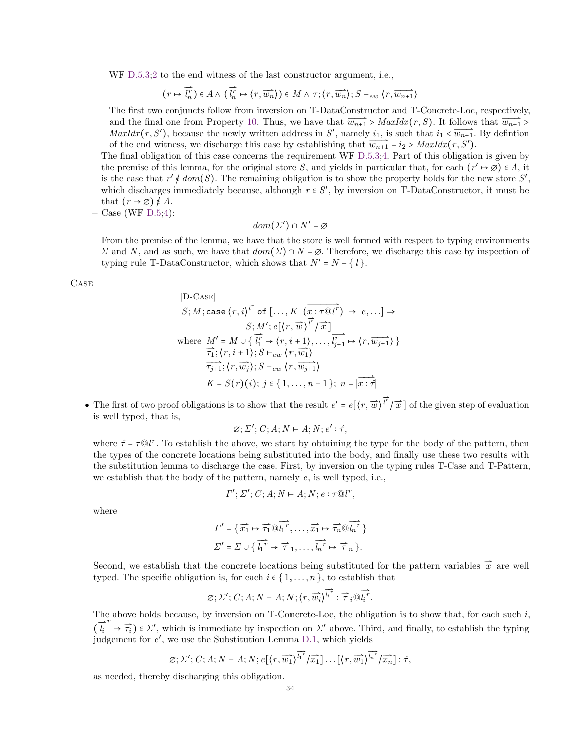WF  $D.5.3:2$  $D.5.3:2$  to the end witness of the last constructor argument, i.e.,

$$
(r \mapsto \overrightarrow{l_n^r}) \in A \wedge (\overrightarrow{l_n^r} \mapsto \langle r, \overrightarrow{w_n} \rangle) \in M \wedge \tau; \langle r, \overrightarrow{w_n} \rangle; S \vdash_{ew} \langle r, \overrightarrow{w_{n+1}} \rangle
$$

The first two conjuncts follow from inversion on T-DataConstructor and T-Concrete-Loc, respectively, and the final one from Property [10.](#page-31-3) Thus, we have that  $\overline{w_{n+1}} > \text{MaxIdx}(r, S)$ . It follows that  $\overline{w_{n+1}} > \text{MaxIdx}(r, S)$  $MaxIdx(r, S')$ , because the newly written address in S', namely  $i_1$ , is such that  $i_1 < \overline{w_{n+1}}$ . By defintion of the end witness, we discharge this case by establishing that  $\overline{w_{n+1}} = i_2 > \text{MaxIdx}(r, S')$ .

The final obligation of this case concerns the requirement WF [D.5.3;](#page-25-1)[4.](#page-25-6) Part of this obligation is given by the premise of this lemma, for the original store S, and yields in particular that, for each  $(r' \mapsto \emptyset) \in A$ , it is the case that  $r' \notin dom(S)$ . The remaining obligation is to show the property holds for the new store  $S'$ , which discharges immediately because, although  $r \in S'$ , by inversion on T-DataConstructor, it must be that  $(r \mapsto \emptyset) \notin A$ .

 $-$  Case (WF [D.5;](#page-23-0)[4\)](#page-24-5):

 $dom(\Sigma') \cap N' = \varnothing$ 

From the premise of the lemma, we have that the store is well formed with respect to typing environments  $\Sigma$  and N, and as such, we have that  $dom(\Sigma) \cap N = \emptyset$ . Therefore, we discharge this case by inspection of typing rule T-DataConstructor, which shows that  $N' = N - \{ l \}$ .

**CASE** 

$$
[D{\text -}CASE]
$$

$$
S; M; \text{case } \langle r, i \rangle^{l^r} \text{ of } [\dots, K \ (\overline{x : \tau \mathbb{Q} l^r}) \to e, \dots] \Rightarrow
$$
  
\n
$$
S; M'; e[(r, \overline{w})^{\overline{l^r}} / \overline{x}]
$$
  
\nwhere  $M' = M \cup \{\overline{l_1^r} \mapsto \langle r, i+1 \rangle, \dots, \overline{l_{j+1}^r} \mapsto \langle r, \overline{w_{j+1}} \rangle\}$   
\n
$$
\overline{\tau_1}; \langle r, i+1 \rangle; S \vdash_{ew} \langle r, \overline{w_1} \rangle
$$
  
\n
$$
\overline{\tau_{j+1}}; \langle r, \overline{w_j} \rangle; S \vdash_{ew} \langle r, \overline{w_{j+1}} \rangle
$$
  
\n
$$
K = S(r)(i); j \in \{1, \dots, n-1\}; n = |\overline{x : \hat{\tau}}|
$$

• The first of two proof obligations is to show that the result  $e' = e[(r, \vec{w})^{\vec{l}}/\vec{x}]$  of the given step of evaluation is well typed, that is,

 $\varnothing; \varSigma'; C; A; N \vdash A; N; e' : \hat{\tau},$ 

where  $\hat{\tau} = \tau \mathbb{Q}l^r$ . To establish the above, we start by obtaining the type for the body of the pattern, then the types of the concrete locations being substituted into the body, and finally use these two results with the substitution lemma to discharge the case. First, by inversion on the typing rules T-Case and T-Pattern, we establish that the body of the pattern, namely e, is well typed, i.e.,

$$
\Gamma'; \Sigma'; C; A; N \vdash A; N; e: \tau \mathbb{Q}l^r,
$$

where

$$
\Gamma' = \{ \overrightarrow{x_1} \mapsto \overrightarrow{\tau_1} \textcircled{a_1} \overrightarrow{r}, \dots, \overrightarrow{x_1} \mapsto \overrightarrow{\tau_n} \textcircled{a_n} \overrightarrow{r} \}
$$

$$
\Sigma' = \Sigma \cup \{ \overrightarrow{l_1}^r \mapsto \overrightarrow{\tau}_1, \dots, \overrightarrow{l_n}^r \mapsto \overrightarrow{\tau}_n \}.
$$

Second, we establish that the concrete locations being substituted for the pattern variables  $\vec{x}$  are well typed. The specific obligation is, for each  $i \in \{1, \ldots, n\}$ , to establish that

$$
\varnothing;\varSigma';C;A;N\vdash A;N;\langle r,\overrightarrow{w_i}\rangle^{\overrightarrow{l_i}^r}:\overrightarrow{\tau}_i\circledcirc\overrightarrow{l_i}^r.
$$

The above holds because, by inversion on T-Concrete-Loc, the obligation is to show that, for each such  $i$ ,  $(\overrightarrow{l_i}^r \mapsto \overrightarrow{\tau_i}) \in \Sigma'$ , which is immediate by inspection on  $\Sigma'$  above. Third, and finally, to establish the typing judgement for  $e'$ , we use the Substitution Lemma [D.1,](#page-25-7) which yields

$$
\varnothing;\Sigma';C;A;N\vdash A;N;e[(r,\overrightarrow{w_1})^{\overrightarrow{l_1}^r}/\overrightarrow{x_1}]\ldots[(r,\overrightarrow{w_1})^{\overrightarrow{l_n}^r}/\overrightarrow{x_n}]:\hat{\tau},
$$

as needed, thereby discharging this obligation.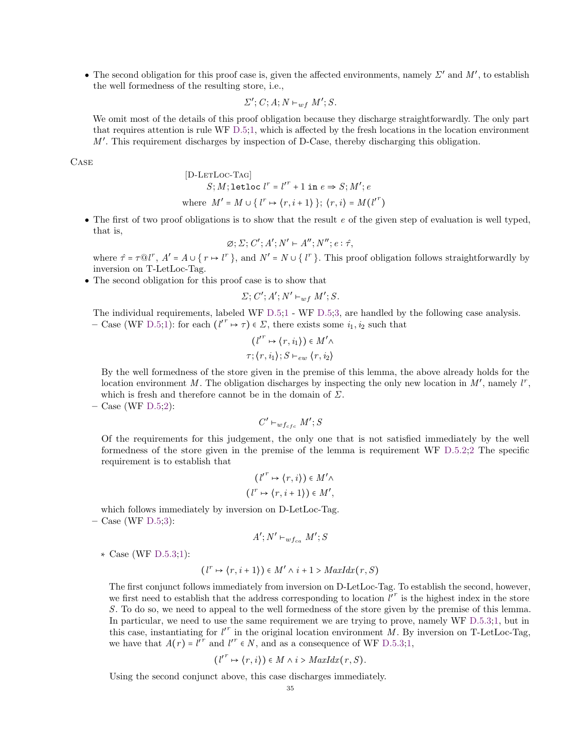• The second obligation for this proof case is, given the affected environments, namely  $\Sigma'$  and  $M'$ , to establish the well formedness of the resulting store, i.e.,

$$
\Sigma'; C; A; N \vdash_{wf} M'; S.
$$

We omit most of the details of this proof obligation because they discharge straightforwardly. The only part that requires attention is rule WF [D.5;](#page-23-0)[1,](#page-24-2) which is affected by the fresh locations in the location environment M'. This requirement discharges by inspection of D-Case, thereby discharging this obligation.

Case

[D-LETLOC-TAG]  
\n
$$
S; M; \text{letloc } l^r = l'^r + 1 \text{ in } e \Rightarrow S; M'; e
$$
  
\nwhere  $M' = M \cup \{l^r \mapsto \langle r, i+1 \rangle\}; \langle r, i \rangle = M(l'^r)$ 

• The first of two proof obligations is to show that the result  $e$  of the given step of evaluation is well typed, that is,

$$
\varnothing; \varSigma; C'; A'; N' \vdash A''; N''; e: \hat{\tau},
$$

where  $\hat{\tau} = \tau \mathbb{Q}l^r$ ,  $A' = A \cup \{r \mapsto l^r\}$ , and  $N' = N \cup \{l^r\}$ . This proof obligation follows straightforwardly by inversion on T-LetLoc-Tag.

• The second obligation for this proof case is to show that

$$
\Sigma; C'; A'; N' \vdash_{wf} M'; S.
$$

The individual requirements, labeled WF [D.5;](#page-23-0)[1](#page-24-2) - WF D.5;[3,](#page-24-4) are handled by the following case analysis. – Case (WF [D.5;](#page-23-0)[1\)](#page-24-2): for each  $(l^{r} \mapsto \tau) \in \Sigma$ , there exists some  $i_1, i_2$  such that

$$
(l'^r \mapsto \langle r, i_1 \rangle) \in M' \wedge
$$
  

$$
\tau; \langle r, i_1 \rangle; S \vdash_{ew} \langle r, i_2 \rangle
$$

By the well formedness of the store given in the premise of this lemma, the above already holds for the location environment M. The obligation discharges by inspecting the only new location in  $M'$ , namely  $l^r$ , which is fresh and therefore cannot be in the domain of  $\Sigma$ .

 $-$  Case (WF [D.5;](#page-23-0)[2\)](#page-24-3):

$$
C' \vdash_{wf_{cfc}} M'; S
$$

Of the requirements for this judgement, the only one that is not satisfied immediately by the well formedness of the store given in the premise of the lemma is requirement WF [D.5.2;](#page-24-1)[2](#page-24-11) The specific requirement is to establish that

$$
(l'^r \mapsto \langle r, i \rangle) \in M' \wedge
$$

$$
(l^r \mapsto \langle r, i+1 \rangle) \in M',
$$

which follows immediately by inversion on D-LetLoc-Tag. – Case (WF [D.5;](#page-23-0)[3\)](#page-24-4):

$$
A';N'\vdash_{wf_{ca}} M';S
$$

∗ Case (WF [D.5.3;](#page-25-1)[1\)](#page-25-4):

$$
(l^r \mapsto (r, i + 1)) \in M' \land i + 1 > \text{MaxIdx}(r, S)
$$

The first conjunct follows immediately from inversion on D-LetLoc-Tag. To establish the second, however, we first need to establish that the address corresponding to location  $\tilde{l}'$  is the highest index in the store S. To do so, we need to appeal to the well formedness of the store given by the premise of this lemma. In particular, we need to use the same requirement we are trying to prove, namely WF [D.5.3;](#page-25-1)[1,](#page-25-4) but in this case, instantiating for  $l^{r}$  in the original location environment M. By inversion on T-LetLoc-Tag, we have that  $A(r) = l^r$  and  $l^r \in N$ , and as a consequence of WF [D.5.3;](#page-25-1)[1,](#page-25-4)

$$
(l^{r} \mapsto \langle r, i \rangle) \in M \land i > \text{MaxIdx}(r, S).
$$

Using the second conjunct above, this case discharges immediately.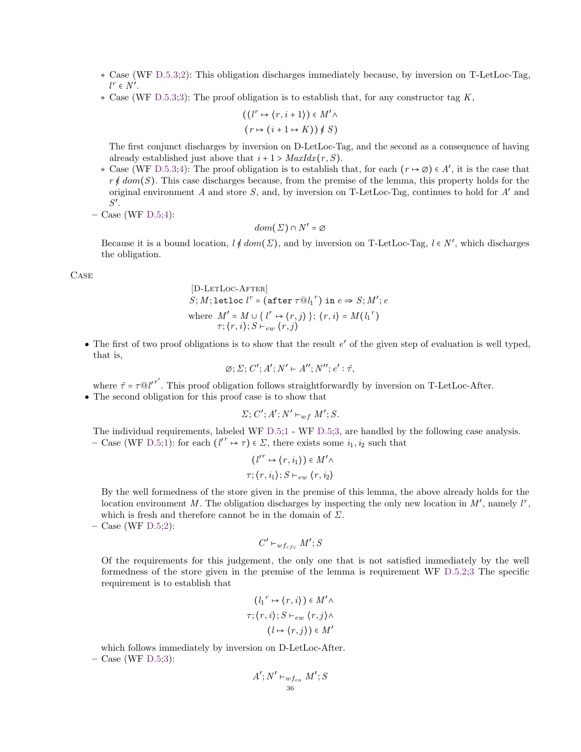- ∗ Case (WF [D.5.3;](#page-25-1)[2\)](#page-25-2): This obligation discharges immediately because, by inversion on T-LetLoc-Tag,  $l^r \in N'.$
- $\star$  Case (WF [D.5.3;](#page-25-1)[3\)](#page-25-5): The proof obligation is to establish that, for any constructor tag K,

$$
((lr \mapsto \langle r, i+1 \rangle) \in M' \land (r \mapsto (i+1 \mapsto K)) \notin S)
$$

The first conjunct discharges by inversion on D-LetLoc-Tag, and the second as a consequence of having already established just above that  $i + 1 > \text{MaxIdx}(r, S)$ .

- ∗ Case (WF [D.5.3;](#page-25-1)[4\)](#page-25-6): The proof obligation is to establish that, for each  $(r \mapsto \emptyset) \in A'$ , it is the case that  $r \notin dom(S)$ . This case discharges because, from the premise of the lemma, this property holds for the original environment  $A$  and store  $S$ , and, by inversion on T-LetLoc-Tag, continues to hold for  $A'$  and  $S'.$
- $-$  Case (WF [D.5;](#page-23-0)[4\)](#page-24-5):

 $dom(\Sigma) \cap N' = \varnothing$ 

Because it is a bound location,  $l \notin dom(\Sigma)$ , and by inversion on T-LetLoc-Tag,  $l \in N'$ , which discharges the obligation.

**CASE** 

[D-LETLOC-AFTER]  
\n
$$
S; M; \text{letloc } l^r = (\text{after } \tau @ l_1^r) \text{ in } e \Rightarrow S; M'; e
$$
  
\nwhere  $M' = M \cup \{ l^r \mapsto \langle r, j \rangle \}; \langle r, i \rangle = M (l_1^r)$   
\n $\tau; \langle r, i \rangle; S \vdash_{ew} \langle r, j \rangle$ 

• The first of two proof obligations is to show that the result  $e'$  of the given step of evaluation is well typed, that is,

$$
\varnothing; \varSigma; C'; A'; N' \vdash A''; N''; e' : \hat{\tau},
$$

where  $\hat{\tau} = \tau \otimes l'^{r'}$ . This proof obligation follows straightforwardly by inversion on T-LetLoc-After.

• The second obligation for this proof case is to show that

$$
\Sigma; C'; A'; N' \vdash_{wf} M'; S.
$$

The individual requirements, labeled WF [D.5;](#page-23-0)[1](#page-24-2) - WF [D.5;](#page-23-0)[3,](#page-24-4) are handled by the following case analysis. – Case (WF [D.5;](#page-23-0)[1\)](#page-24-2): for each  $(l^{r} \mapsto \tau) \in \Sigma$ , there exists some  $i_1, i_2$  such that

$$
(l'^r \mapsto \langle r, i_1 \rangle) \in M' \wedge
$$
  

$$
\tau; \langle r, i_1 \rangle; S \vdash_{ew} \langle r, i_2 \rangle
$$

By the well formedness of the store given in the premise of this lemma, the above already holds for the location environment M. The obligation discharges by inspecting the only new location in  $M'$ , namely  $l^r$ , which is fresh and therefore cannot be in the domain of  $\Sigma$ .

 $-$  Case (WF [D.5;](#page-23-0)[2\)](#page-24-3):

$$
C' \vdash_{wf_{cfc}} M'; S
$$

Of the requirements for this judgement, the only one that is not satisfied immediately by the well formedness of the store given in the premise of the lemma is requirement WF [D.5.2;](#page-24-1)[3](#page-25-3) The specific requirement is to establish that

$$
(l_1^r \mapsto \langle r, i \rangle) \in M' \wedge
$$
  

$$
\tau; \langle r, i \rangle; S \vdash_{ew} \langle r, j \rangle \wedge
$$
  

$$
(l \mapsto \langle r, j \rangle) \in M'
$$

which follows immediately by inversion on D-LetLoc-After.  $-$  Case (WF [D.5;](#page-23-0)[3\)](#page-24-4):

$$
A';N'\vdash_{wf_{ca}} M';S
$$
36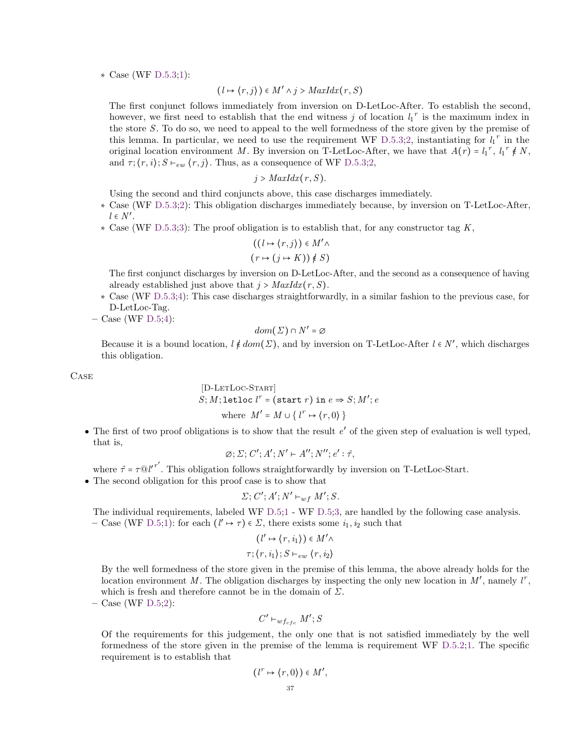∗ Case (WF [D.5.3;](#page-25-1)[1\)](#page-25-4):

$$
(l \mapsto \langle r, j \rangle) \in M' \land j > \text{MaxIdx}(r, S)
$$

The first conjunct follows immediately from inversion on D-LetLoc-After. To establish the second, however, we first need to establish that the end witness j of location  $l_1^r$  is the maximum index in the store S. To do so, we need to appeal to the well formedness of the store given by the premise of this lemma. In particular, we need to use the requirement WF [D.5.3;](#page-25-1)[2,](#page-25-2) instantiating for  $l_1^{\ r}$  in the original location environment M. By inversion on T-LetLoc-After, we have that  $A(r) = l_1^r, l_1^r \notin N$ , and  $\tau$ ; $\langle r, i \rangle$ ;  $S \vdash_{ew} \langle r, j \rangle$ . Thus, as a consequence of WF [D.5.3;](#page-25-1)[2,](#page-25-2)

$$
j > \text{MaxIdx}(r, S).
$$

Using the second and third conjuncts above, this case discharges immediately.

- ∗ Case (WF [D.5.3;](#page-25-1)[2\)](#page-25-2): This obligation discharges immediately because, by inversion on T-LetLoc-After,  $l\in N'.$
- $\star$  Case (WF [D.5.3;](#page-25-1)[3\)](#page-25-5): The proof obligation is to establish that, for any constructor tag K,

$$
((l \mapsto \langle r, j \rangle) \in M' \wedge
$$

$$
(r \mapsto (j \mapsto K)) \notin S)
$$

The first conjunct discharges by inversion on D-LetLoc-After, and the second as a consequence of having already established just above that  $j > \text{MaxIdx}(r, S)$ .

- ∗ Case (WF [D.5.3;](#page-25-1)[4\)](#page-25-6): This case discharges straightforwardly, in a similar fashion to the previous case, for D-LetLoc-Tag.
- $-$  Case (WF [D.5;](#page-23-0)[4\)](#page-24-5):

$$
dom(\varSigma) \cap N' = \varnothing
$$

Because it is a bound location,  $l \notin dom(\Sigma)$ , and by inversion on T-LetLoc-After  $l \in N'$ , which discharges this obligation.

**CASE** 

[D-LETLOC-START]  
\n
$$
S; M; \text{letloc } l^r = (\text{start } r) \text{ in } e \Rightarrow S; M'; e
$$
  
\nwhere  $M' = M \cup \{ l^r \mapsto \langle r, 0 \rangle \}$ 

• The first of two proof obligations is to show that the result  $e'$  of the given step of evaluation is well typed, that is,

$$
\varnothing; \varSigma; C'; A'; N' \vdash A''; N''; e' : \hat{\tau},
$$

where  $\hat{\tau} = \tau \mathbb{Q}l'^{r'}$ . This obligation follows straightforwardly by inversion on T-LetLoc-Start.

● The second obligation for this proof case is to show that

$$
\Sigma; C'; A'; N' \vdash_{wf} M'; S.
$$

The individual requirements, labeled WF [D.5;](#page-23-0)[1](#page-24-2) - WF [D.5;](#page-23-0)[3,](#page-24-4) are handled by the following case analysis. – Case (WF [D.5;](#page-23-0)[1\)](#page-24-2): for each  $(l' \mapsto \tau) \in \Sigma$ , there exists some  $i_1, i_2$  such that

$$
(l' \mapsto \langle r, i_1 \rangle) \in M' \wedge
$$
  

$$
\tau; \langle r, i_1 \rangle; S \vdash_{ew} \langle r, i_2 \rangle
$$

By the well formedness of the store given in the premise of this lemma, the above already holds for the location environment M. The obligation discharges by inspecting the only new location in  $M'$ , namely  $l^r$ , which is fresh and therefore cannot be in the domain of  $\Sigma$ .

 $-$  Case (WF [D.5;](#page-23-0)[2\)](#page-24-3):

$$
C' \vdash_{wf_{cfc}} M'; S
$$

Of the requirements for this judgement, the only one that is not satisfied immediately by the well formedness of the store given in the premise of the lemma is requirement WF [D.5.2;](#page-24-1)[1.](#page-24-10) The specific requirement is to establish that

$$
(l^r \mapsto \langle r, 0 \rangle) \in M',
$$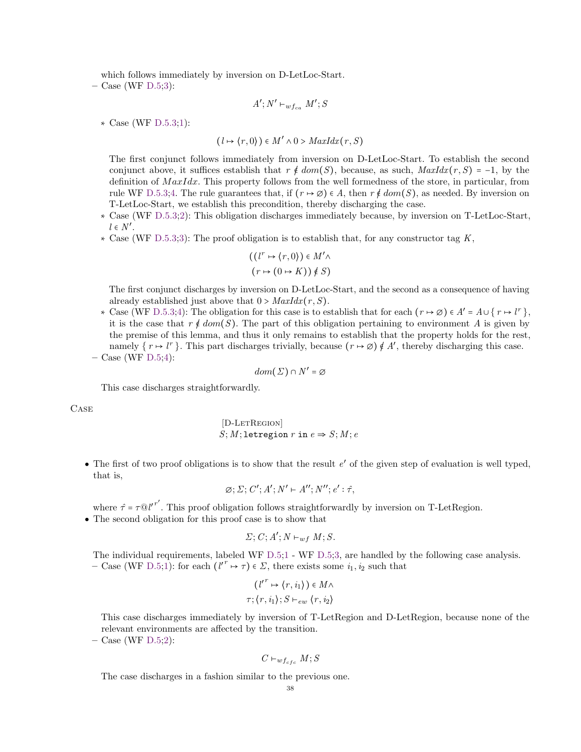which follows immediately by inversion on D-LetLoc-Start.  $-$  Case (WF [D.5;](#page-23-0)[3\)](#page-24-4):

$$
A';N'\vdash_{wf_{ca}} M';S
$$

∗ Case (WF [D.5.3;](#page-25-1)[1\)](#page-25-4):

$$
(l \mapsto \langle r, 0 \rangle) \in M' \land 0 > \text{MaxIdx}(r, S)
$$

The first conjunct follows immediately from inversion on D-LetLoc-Start. To establish the second conjunct above, it suffices establish that  $r \notin dom(S)$ , because, as such,  $MaxIdx(r, S) = -1$ , by the definition of  $MaxIdx$ . This property follows from the well formedness of the store, in particular, from rule WF [D.5.3;](#page-25-1)[4.](#page-25-6) The rule guarantees that, if  $(r \mapsto \emptyset) \in A$ , then  $r \notin dom(S)$ , as needed. By inversion on T-LetLoc-Start, we establish this precondition, thereby discharging the case.

- ∗ Case (WF [D.5.3;](#page-25-1)[2\)](#page-25-2): This obligation discharges immediately because, by inversion on T-LetLoc-Start,  $l\in N'.$
- $\star$  Case (WF [D.5.3;](#page-25-1)[3\)](#page-25-5): The proof obligation is to establish that, for any constructor tag K,

$$
((lr \mapsto \langle r, 0 \rangle) \in M' \wedge
$$

$$
(r \mapsto (0 \mapsto K)) \notin S)
$$

The first conjunct discharges by inversion on D-LetLoc-Start, and the second as a consequence of having already established just above that  $0 > \text{MaxIdx}(r, S)$ .

∗ Case (WF [D.5.3;](#page-25-1)[4\)](#page-25-6): The obligation for this case is to establish that for each  $(r \mapsto \emptyset) \in A' = A \cup \{r \mapsto l^r\}$ , it is the case that  $r \notin dom(S)$ . The part of this obligation pertaining to environment A is given by the premise of this lemma, and thus it only remains to establish that the property holds for the rest, namely  $\{r \mapsto l^r\}$ . This part discharges trivially, because  $(r \mapsto \emptyset) \notin A'$ , thereby discharging this case.

 $-$  Case (WF [D.5;](#page-23-0)[4\)](#page-24-5):

$$
dom(\Sigma) \cap N' = \varnothing
$$

This case discharges straightforwardly.

**CASE** 

$$
[D\text{-LETREGION}]
$$
  
 $S; M; \text{letregion } r \text{ in } e \Rightarrow S; M; e$ 

• The first of two proof obligations is to show that the result  $e'$  of the given step of evaluation is well typed, that is,

$$
\varnothing; \varSigma; C'; A'; N' \vdash A''; N''; e' : \hat{\tau},
$$

where  $\hat{\tau} = \tau \otimes l'^{r'}$ . This proof obligation follows straightforwardly by inversion on T-LetRegion. • The second obligation for this proof case is to show that

$$
\Sigma; C; A'; N \vdash_{wf} M; S.
$$

The individual requirements, labeled WF [D.5;](#page-23-0)[1](#page-24-2) - WF [D.5;](#page-23-0)[3,](#page-24-4) are handled by the following case analysis. – Case (WF [D.5;](#page-23-0)[1\)](#page-24-2): for each  $(l^{r} \mapsto \tau) \in \Sigma$ , there exists some  $i_1, i_2$  such that

$$
(l'^r \mapsto \langle r, i_1 \rangle) \in M \wedge
$$
  

$$
\tau; \langle r, i_1 \rangle; S \vdash_{ew} \langle r, i_2 \rangle
$$

This case discharges immediately by inversion of T-LetRegion and D-LetRegion, because none of the relevant environments are affected by the transition.

 $-$  Case (WF [D.5;](#page-23-0)[2\)](#page-24-3):

$$
C\vdash_{wf_{cfc}} M;S
$$

The case discharges in a fashion similar to the previous one.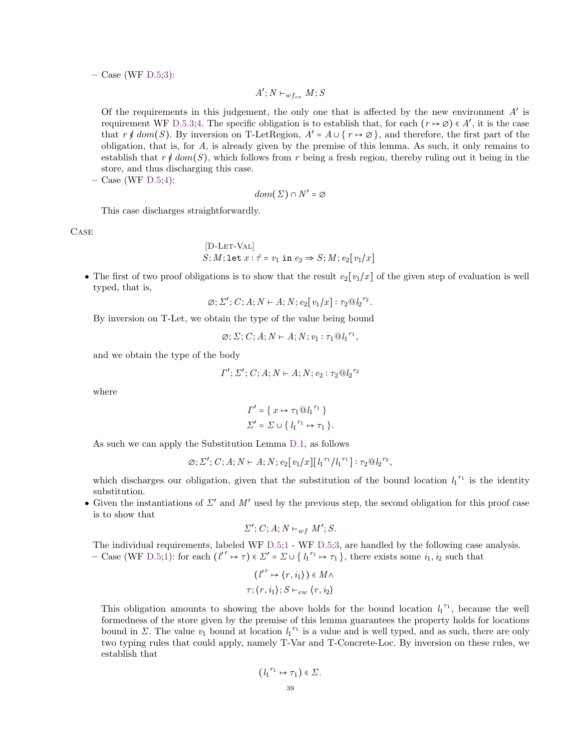$-$  Case (WF [D.5;](#page-23-0)[3\)](#page-24-4):

$$
A';N\vdash_{wf_{ca}} M;S
$$

Of the requirements in this judgement, the only one that is affected by the new environment  $A'$  is requirement WF [D.5.3;](#page-25-1)[4.](#page-25-6) The specific obligation is to establish that, for each  $(r \mapsto \emptyset) \in A'$ , it is the case that  $r \notin dom(S)$ . By inversion on T-LetRegion,  $A' = A \cup \{r \mapsto \emptyset\}$ , and therefore, the first part of the obligation, that is, for A, is already given by the premise of this lemma. As such, it only remains to establish that  $r \notin dom(S)$ , which follows from r being a fresh region, thereby ruling out it being in the store, and thus discharging this case.

 $-$  Case (WF [D.5;](#page-23-0)[4\)](#page-24-5):

$$
dom(\varSigma) \cap N' = \varnothing
$$

This case discharges straightforwardly.

**CASE** 

[D-LET-VAL]  

$$
S; M; \text{let } x : \hat{\tau} = v_1 \text{ in } e_2 \Rightarrow S; M; e_2[v_1/x]
$$

• The first of two proof obligations is to show that the result  $e_2[v_1/x]$  of the given step of evaluation is well typed, that is,

$$
\varnothing;\varSigma';C;A;N\vdash A;N;e_2[v_1/x]:\tau_2@l_2^{r_2}.
$$

By inversion on T-Let, we obtain the type of the value being bound

$$
\varnothing; \varSigma; C; A; N \vdash A; N; v_1 : \tau_1 @ l_1^{r_1},
$$

and we obtain the type of the body

$$
\Gamma';\Sigma';\,C;A;N\vdash A;N;e_2:\tau_2@l_2^{r_2}
$$

where

$$
\begin{aligned} \Gamma' &= \left\{ \, x \mapsto \tau_1 @ l_1^{r_1} \, \right\} \\ \varSigma' &= \varSigma \cup \left\{ \, l_1^{r_1} \mapsto \tau_1 \, \right\}. \end{aligned}
$$

As such we can apply the Substitution Lemma [D.1,](#page-25-7) as follows

$$
\varnothing;\,\Sigma';\,C;A;N\vdash A;N;\,e_2[\,v_1/x\,][\,l_1^{\,r_1}/l_1^{\,r_1}]:\tau_2@l_2^{\,r_2},
$$

which discharges our obligation, given that the substitution of the bound location  $l_1^{r_1}$  is the identity substitution.

• Given the instantiations of  $\Sigma'$  and  $M'$  used by the previous step, the second obligation for this proof case is to show that

$$
\Sigma'; C; A; N \vdash_{wf} M'; S.
$$

The individual requirements, labeled WF [D.5;](#page-23-0)[1](#page-24-2) - WF D.5;[3,](#page-24-4) are handled by the following case analysis.  $-$  Case (WF [D.5;](#page-23-0)[1\)](#page-24-2): for each  $(l^{r} \mapsto \tau) \in \Sigma' = \Sigma \cup \{l_1^{r_1} \mapsto \tau_1\}$ , there exists some  $i_1, i_2$  such that

$$
(l'^{r} \mapsto \langle r, i_1 \rangle) \in M \wedge
$$
  

$$
\tau; \langle r, i_1 \rangle; S \vdash_{ew} \langle r, i_2 \rangle
$$

This obligation amounts to showing the above holds for the bound location  $l_1^{r_1}$ , because the well formedness of the store given by the premise of this lemma guarantees the property holds for locations bound in  $\Sigma$ . The value  $v_1$  bound at location  $l_1^{r_1}$  is a value and is well typed, and as such, there are only two typing rules that could apply, namely T-Var and T-Concrete-Loc. By inversion on these rules, we establish that

$$
\left(l_1^{r_1}\mapsto\tau_1\right)\in\Sigma.
$$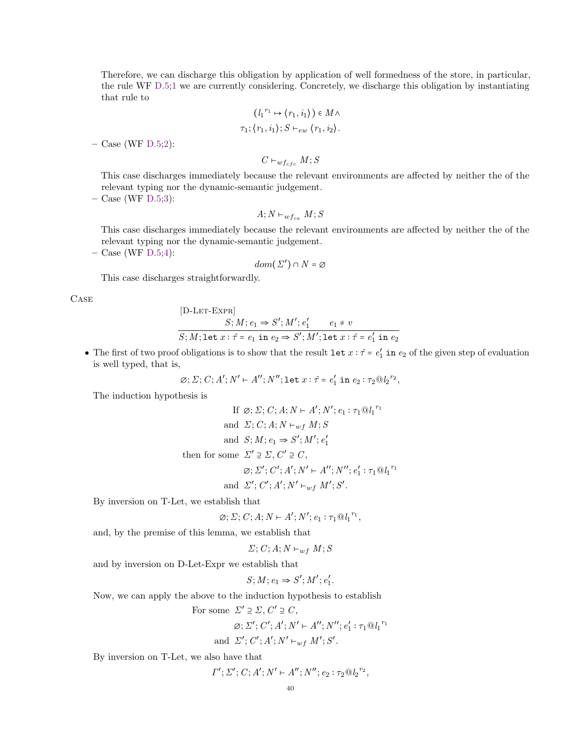Therefore, we can discharge this obligation by application of well formedness of the store, in particular, the rule WF [D.5](#page-23-0)[;1](#page-24-2) we are currently considering. Concretely, we discharge this obligation by instantiating that rule to

$$
(l_1^{r_1} \mapsto \langle r_1, i_1 \rangle) \in M \wedge
$$
  

$$
\tau_1; \langle r_1, i_1 \rangle; S \vdash_{ew} \langle r_1, i_2 \rangle.
$$

– Case (WF  $D.5;2$  $D.5;2$ ):

 $C \vdash_{wf_{cfc}} M; S$ 

This case discharges immediately because the relevant environments are affected by neither the of the relevant typing nor the dynamic-semantic judgement.

 $-$  Case (WF [D.5;](#page-23-0)[3\)](#page-24-4):

$$
A; N \vdash_{wf_{ca}} M; S
$$

This case discharges immediately because the relevant environments are affected by neither the of the relevant typing nor the dynamic-semantic judgement.

 $-$  Case (WF [D.5;](#page-23-0)[4\)](#page-24-5):

$$
dom(\varSigma') \cap N = \varnothing
$$

This case discharges straightforwardly.

**CASE** 

$$
[D\text{-LET-EXPR}]
$$
  
\n
$$
S; M; e_1 \Rightarrow S'; M'; e'_1 \qquad e_1 \neq v
$$
  
\n
$$
S; M; \text{let } x : \hat{\tau} = e_1 \text{ in } e_2 \Rightarrow S'; M'; \text{let } x : \hat{\tau} = e'_1 \text{ in } e_2
$$

• The first of two proof obligations is to show that the result let  $x : \hat{\tau} = e'_1$  in  $e_2$  of the given step of evaluation is well typed, that is,

$$
\varnothing; \varSigma; C; A'; N' \vdash A''; N''; \text{let } x : \hat{\tau} = e'_1 \text{ in } e_2 : \tau_2 @ l_2^{\ r_2},
$$

The induction hypothesis is

If 
$$
\varnothing; \varSigma; C; A; N \vdash A'; N'; e_1 : \tau_1 \mathbb{Q}l_1^{r_1}
$$
  
and  $\varSigma; C; A; N \vdash_{wf} M; S$   
and  $S; M; e_1 \Rightarrow S'; M'; e'_1$   
then for some  $\varSigma' \supseteq \varSigma, C' \supseteq C$ ,  
 $\varnothing; \varSigma'; C'; A'; N' \vdash A''; N''; e'_1 : \tau_1 \mathbb{Q}l_1^{r_1}$   
and  $\varSigma'; C'; A'; N' \vdash_{wf} M'; S'.$ 

By inversion on T-Let, we establish that

$$
\varnothing; \varSigma; C; A; N \vdash A'; N'; e_1 : \tau_1 @ l_1^{r_1},
$$

and, by the premise of this lemma, we establish that

$$
\varSigma; C; A; N \vdash_{wf} M; S
$$

and by inversion on D-Let-Expr we establish that

$$
S; M; e_1 \Rightarrow S'; M'; e_1'
$$

.

Now, we can apply the above to the induction hypothesis to establish

For some 
$$
\Sigma' \supseteq \Sigma
$$
,  $C' \supseteq C$ ,  
\n $\emptyset$ ;  $\Sigma'$ ;  $C'$ ;  $A'$ ;  $N' \vdash A''$ ;  $N''$ ;  $e'_1 : \tau_1 \otimes l_1^{r_1}$   
\nand  $\Sigma'$ ;  $C'$ ;  $A'$ ;  $N' \vdash_{wf} M'$ ;  $S'$ .

By inversion on T-Let, we also have that

$$
\Gamma';\Sigma';\,C;A';N'\vdash A'';N'';e_2:\tau_2@l_2^{r_2},
$$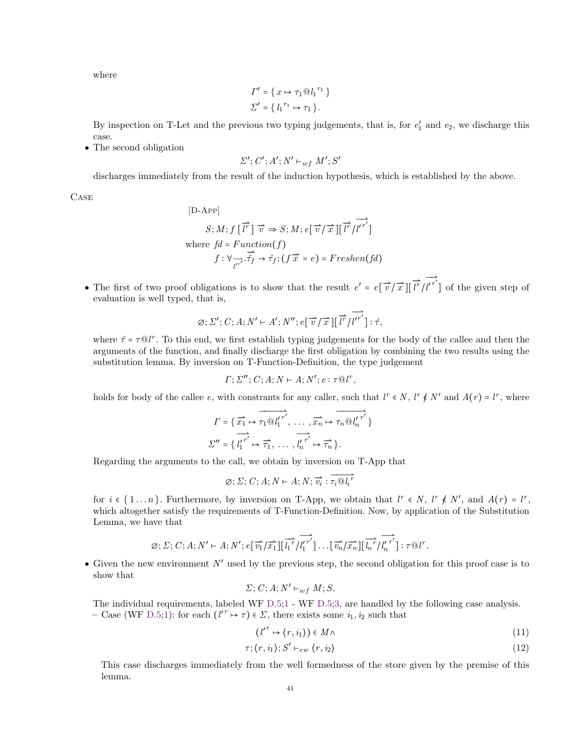where

$$
\Gamma' = \{ x \mapsto \tau_1 @ l_1^{r_1} \}
$$

$$
\Sigma' = \{ l_1^{r_1} \mapsto \tau_1 \}.
$$

By inspection on T-Let and the previous two typing judgements, that is, for  $e'_1$  and  $e_2$ , we discharge this case.

• The second obligation

$$
\Sigma'; C'; A'; N' \vdash_{wf} M'; S'
$$

discharges immediately from the result of the induction hypothesis, which is established by the above.

**CASE** 

[D-APP]  
\n
$$
S; M; f[\vec{l^r}] \vec{v} \Rightarrow S; M; e[\vec{v}/\vec{x}][\vec{l^r}/\vec{l^r'}]
$$
  
\nwhere  $fd = Function(f)$   
\n $f: \forall \overrightarrow{r^r} \cdot \hat{f} \rightarrow \hat{f} \cdot f; (f\vec{x} = e) = Freshen(fd)$ 

• The first of two proof obligations is to show that the result  $e' = e[\vec{v}/\vec{x}][\vec{r}]$  $\rightarrow$  $l^{r'}$ ] of the given step of evaluation is well typed, that is,

$$
\varnothing;\varSigma';\,C;A;N'\vdash A';N'';e[\overrightarrow{v}/\overrightarrow{x}][\overrightarrow{l'}\overrightarrow{l'''}]:\hat{\tau},
$$

where  $\hat{\tau} = \tau \mathbb{Q}l^r$ . To this end, we first establish typing judgements for the body of the callee and then the arguments of the function, and finally discharge the first obligation by combining the two results using the substitution lemma. By inversion on T-Function-Definition, the type judgement

$$
\Gamma; \Sigma''; C; A; N \vdash A; N'; e: \tau \mathbb{Q}l^r,
$$

holds for body of the callee e, with constrants for any caller, such that  $l^r \in N$ ,  $l^r \notin N'$  and  $A(r) = l^r$ , where

$$
\Gamma = \{ \overrightarrow{x_1} \mapsto \overrightarrow{\tau_1 \otimes l_1'}^{r'}, \dots, \overrightarrow{x_n} \mapsto \overrightarrow{\tau_n \otimes l_n'}^{r'} \}
$$

$$
\Sigma'' = \{ l_1'^{r'} \mapsto \overrightarrow{\tau_1}, \dots, l_n'^{r'} \mapsto \overrightarrow{\tau_n} \}.
$$

Regarding the arguments to the call, we obtain by inversion on T-App that

$$
\varnothing;\varSigma;C;A;N\vdash A;N;\overrightarrow{v_i}:\overrightarrow{\tau_i\mathbin{\overline{\omega}}l_i}^r
$$

for  $i \in \{1...n\}$ . Furthermore, by inversion on T-App, we obtain that  $l^r \in N$ ,  $l^r \notin N'$ , and  $A(r) = l^r$ , which altogether satisfy the requirements of T-Function-Definition. Now, by application of the Substitution Lemma, we have that

$$
\varnothing; \varSigma; C; A; N' \vdash A; N'; e[\overrightarrow{v_1}/\overrightarrow{x_1}][\overrightarrow{l_1}^r/\overrightarrow{l_1'}^r] \dots [\overrightarrow{v_n}/\overrightarrow{x_n}][\overrightarrow{l_n}^r/\overrightarrow{l_n'}^r] : \tau \otimes l^r.
$$

• Given the new environment  $N'$  used by the previous step, the second obligation for this proof case is to show that

$$
\Sigma; C; A; N' \vdash_{wf} M; S.
$$

The individual requirements, labeled WF [D.5;](#page-23-0)[1](#page-24-2) - WF [D.5;](#page-23-0)[3,](#page-24-4) are handled by the following case analysis. – Case (WF [D.5;](#page-23-0)[1\)](#page-24-2): for each  $(l^{r} \mapsto \tau) \in \Sigma$ , there exists some  $i_1, i_2$  such that

$$
(l'^r \mapsto \langle r, i_1 \rangle) \in M \wedge \tag{11}
$$

$$
\tau; \langle r, i_1 \rangle; S' \vdash_{ew} \langle r, i_2 \rangle \tag{12}
$$

This case discharges immediately from the well formedness of the store given by the premise of this lemma.